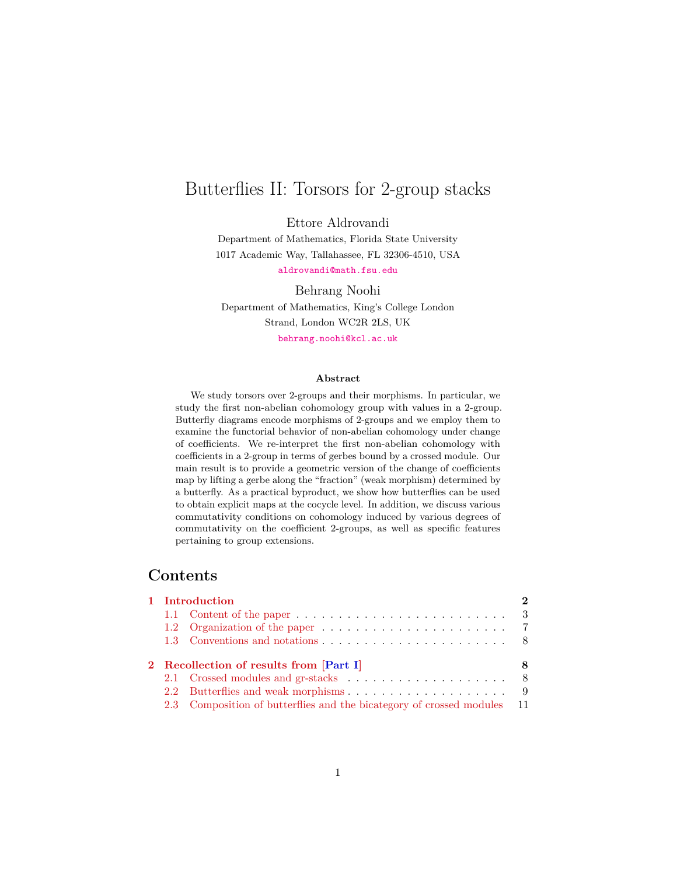# <span id="page-0-0"></span>Butterflies II: Torsors for 2-group stacks

Ettore Aldrovandi

Department of Mathematics, Florida State University 1017 Academic Way, Tallahassee, FL 32306-4510, USA

<aldrovandi@math.fsu.edu>

Behrang Noohi

Department of Mathematics, King's College London Strand, London WC2R 2LS, UK

<behrang.noohi@kcl.ac.uk>

#### **Abstract**

We study torsors over 2-groups and their morphisms. In particular, we study the first non-abelian cohomology group with values in a 2-group. Butterfly diagrams encode morphisms of 2-groups and we employ them to examine the functorial behavior of non-abelian cohomology under change of coefficients. We re-interpret the first non-abelian cohomology with coefficients in a 2-group in terms of gerbes bound by a crossed module. Our main result is to provide a geometric version of the change of coefficients map by lifting a gerbe along the "fraction" (weak morphism) determined by a butterfly. As a practical byproduct, we show how butterflies can be used to obtain explicit maps at the cocycle level. In addition, we discuss various commutativity conditions on cohomology induced by various degrees of commutativity on the coefficient 2-groups, as well as specific features pertaining to group extensions.

# **Contents**

| $\mathbf{D}$<br>1 Introduction          |  |  |  |  |  |  |  |
|-----------------------------------------|--|--|--|--|--|--|--|
|                                         |  |  |  |  |  |  |  |
|                                         |  |  |  |  |  |  |  |
|                                         |  |  |  |  |  |  |  |
| 2 Recollection of results from [Part I] |  |  |  |  |  |  |  |
|                                         |  |  |  |  |  |  |  |
|                                         |  |  |  |  |  |  |  |
|                                         |  |  |  |  |  |  |  |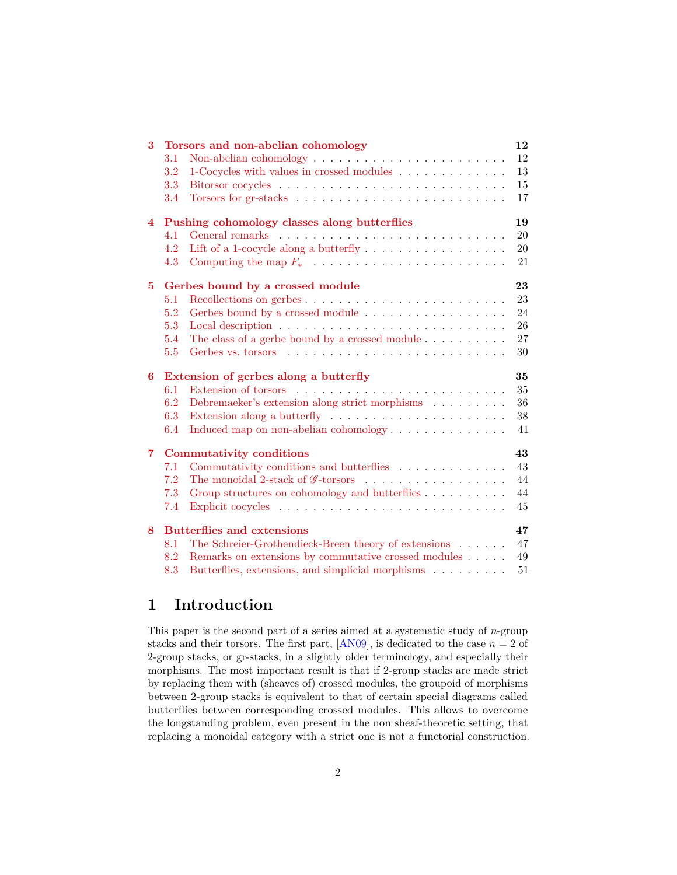<span id="page-1-1"></span>

| 3                       |     | Torsors and non-abelian cohomology                                                     | 12     |
|-------------------------|-----|----------------------------------------------------------------------------------------|--------|
|                         | 3.1 | Non-abelian cohomology $\dots \dots \dots \dots \dots \dots \dots \dots \dots$         | 12     |
|                         | 3.2 | 1-Cocycles with values in crossed modules                                              | $13\,$ |
|                         | 3.3 |                                                                                        | 15     |
|                         | 3.4 |                                                                                        | 17     |
| $\overline{\mathbf{4}}$ |     | Pushing cohomology classes along butterflies                                           | 19     |
|                         | 4.1 |                                                                                        | 20     |
|                         | 4.2 | Lift of a 1-cocycle along a butterfly $\dots \dots \dots \dots \dots \dots$            | 20     |
|                         | 4.3 | Computing the map $F_* \dots \dots \dots \dots \dots \dots \dots \dots \dots$          | 21     |
| 5.                      |     | Gerbes bound by a crossed module                                                       | 23     |
|                         | 5.1 |                                                                                        | 23     |
|                         | 5.2 | Gerbes bound by a crossed module                                                       | 24     |
|                         | 5.3 |                                                                                        | 26     |
|                         | 5.4 | The class of a gerbe bound by a crossed module $\dots \dots \dots$                     | 27     |
|                         | 5.5 |                                                                                        | 30     |
| 6                       |     | Extension of gerbes along a butterfly                                                  | 35     |
|                         | 6.1 |                                                                                        | 35     |
|                         | 6.2 | Debrema<br>eker's extension along strict morphisms $\hfill\ldots\ldots\ldots\ldots$    | 36     |
|                         | 6.3 | Extension along a butterfly $\dots \dots \dots \dots \dots \dots \dots \dots$          | 38     |
|                         | 6.4 | Induced map on non-abelian cohomology                                                  | 41     |
| $\overline{7}$          |     | <b>Commutativity conditions</b>                                                        | 43     |
|                         | 7.1 | Commutativity conditions and butterflies                                               | 43     |
|                         | 7.2 | The monoidal 2-stack of $\mathscr G\text{-torsors}\dots\dots\dots\dots\dots\dots\dots$ | 44     |
|                         | 7.3 | Group structures on cohomology and butterflies                                         | 44     |
|                         | 7.4 |                                                                                        | 45     |
| 8                       |     | <b>Butterflies and extensions</b>                                                      | 47     |
|                         | 8.1 | The Schreier-Grothendieck-Breen theory of extensions                                   | 47     |
|                         | 8.2 | Remarks on extensions by commutative crossed modules                                   | 49     |
|                         | 8.3 | Butterflies, extensions, and simplicial morphisms                                      | $51\,$ |

# <span id="page-1-0"></span>**1 Introduction**

This paper is the second part of a series aimed at a systematic study of *n*-group stacks and their torsors. The first part,  $[ANO9]$ , is dedicated to the case  $n = 2$  of 2-group stacks, or gr-stacks, in a slightly older terminology, and especially their morphisms. The most important result is that if 2-group stacks are made strict by replacing them with (sheaves of) crossed modules, the groupoid of morphisms between 2-group stacks is equivalent to that of certain special diagrams called butterflies between corresponding crossed modules. This allows to overcome the longstanding problem, even present in the non sheaf-theoretic setting, that replacing a monoidal category with a strict one is not a functorial construction.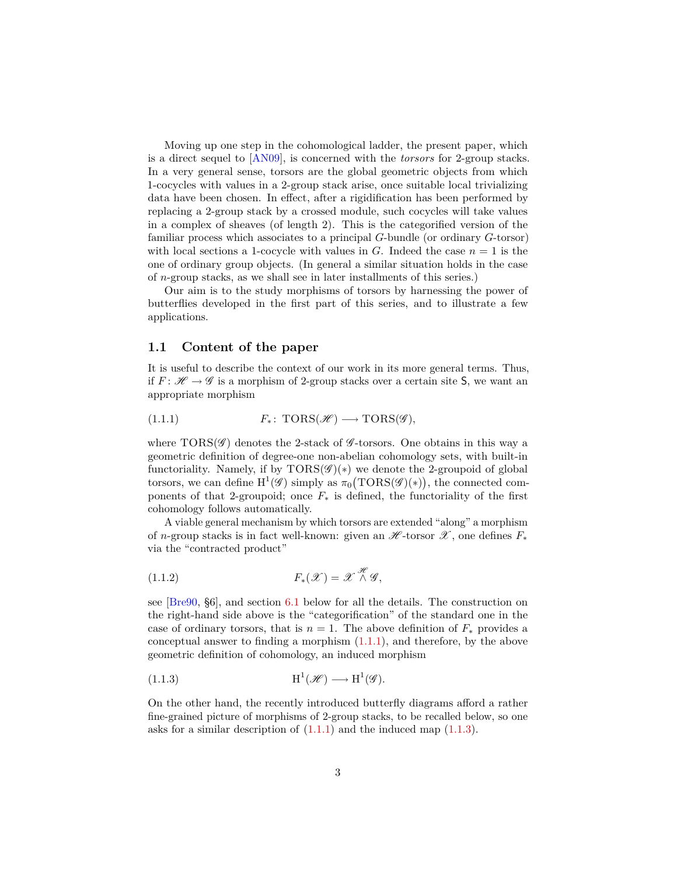<span id="page-2-4"></span>Moving up one step in the cohomological ladder, the present paper, which is a direct sequel to [\[AN09\]](#page-52-0), is concerned with the *torsors* for 2-group stacks. In a very general sense, torsors are the global geometric objects from which 1-cocycles with values in a 2-group stack arise, once suitable local trivializing data have been chosen. In effect, after a rigidification has been performed by replacing a 2-group stack by a crossed module, such cocycles will take values in a complex of sheaves (of length 2). This is the categorified version of the familiar process which associates to a principal *G*-bundle (or ordinary *G*-torsor) with local sections a 1-cocycle with values in *G*. Indeed the case  $n = 1$  is the one of ordinary group objects. (In general a similar situation holds in the case of *n*-group stacks, as we shall see in later installments of this series.)

Our aim is to the study morphisms of torsors by harnessing the power of butterflies developed in the first part of this series, and to illustrate a few applications.

### <span id="page-2-0"></span>**1.1 Content of the paper**

It is useful to describe the context of our work in its more general terms. Thus, if  $F: \mathcal{H} \to \mathcal{G}$  is a morphism of 2-group stacks over a certain site S, we want an appropriate morphism

<span id="page-2-1"></span>(1.1.1) 
$$
F_*\colon \text{TORS}(\mathscr{H}) \longrightarrow \text{TORS}(\mathscr{G}),
$$

where  $TORS(\mathscr{G})$  denotes the 2-stack of  $\mathscr{G}$ -torsors. One obtains in this way a geometric definition of degree-one non-abelian cohomology sets, with built-in functoriality. Namely, if by  $TORS(\mathscr{G})(*)$  we denote the 2-groupoid of global torsors, we can define  $H^1(\mathscr{G})$  simply as  $\pi_0(TORS(\mathscr{G})(*))$ , the connected components of that 2-groupoid; once  $F_*$  is defined, the functoriality of the first cohomology follows automatically.

A viable general mechanism by which torsors are extended "along" a morphism of *n*-group stacks is in fact well-known: given an  $\mathscr{H}$ -torsor  $\mathscr{X}$ , one defines  $F_*$ via the "contracted product"

<span id="page-2-3"></span>(1.1.2) 
$$
F_*(\mathscr{X}) = \mathscr{X} \overset{\mathscr{H}}{\wedge} \mathscr{G},
$$

see [\[Bre90,](#page-52-1) §6], and section [6.1](#page-34-1) below for all the details. The construction on the right-hand side above is the "categorification" of the standard one in the case of ordinary torsors, that is  $n = 1$ . The above definition of  $F_*$  provides a conceptual answer to finding a morphism [\(1.1.1\)](#page-2-1), and therefore, by the above geometric definition of cohomology, an induced morphism

<span id="page-2-2"></span>(1.1.3) 
$$
H^1(\mathscr{H}) \longrightarrow H^1(\mathscr{G}).
$$

On the other hand, the recently introduced butterfly diagrams afford a rather fine-grained picture of morphisms of 2-group stacks, to be recalled below, so one asks for a similar description of  $(1.1.1)$  and the induced map  $(1.1.3)$ .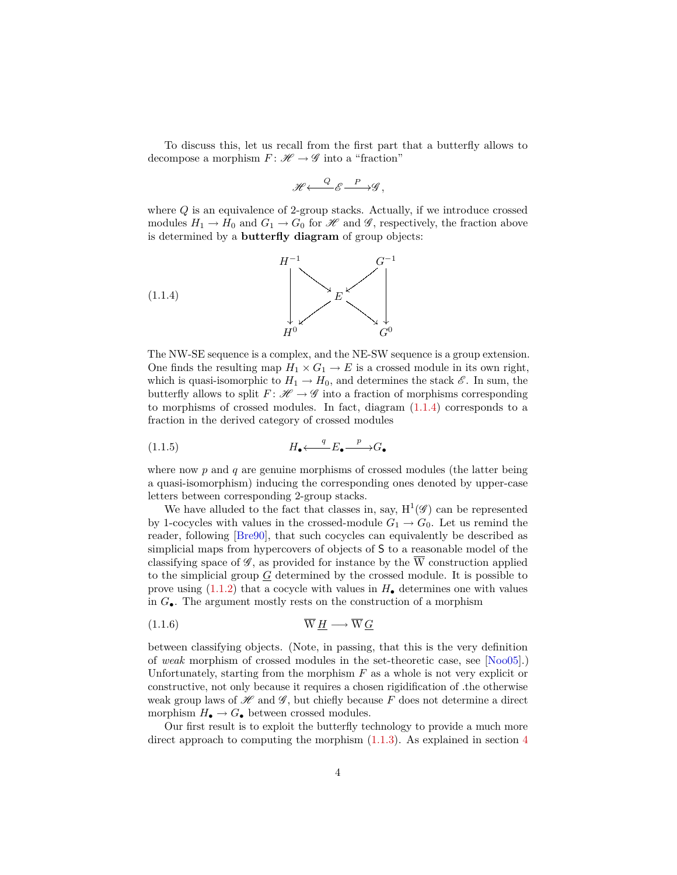<span id="page-3-2"></span>To discuss this, let us recall from the first part that a butterfly allows to decompose a morphism  $F: \mathscr{H} \to \mathscr{G}$  into a "fraction"

<span id="page-3-0"></span>
$$
\mathscr{H} \longleftarrow \mathscr{C} \xrightarrow{P} \mathscr{G},
$$

where *Q* is an equivalence of 2-group stacks. Actually, if we introduce crossed modules  $H_1 \to H_0$  and  $G_1 \to G_0$  for  $\mathscr H$  and  $\mathscr G$ , respectively, the fraction above is determined by a **butterfly diagram** of group objects:



The NW-SE sequence is a complex, and the NE-SW sequence is a group extension. One finds the resulting map  $H_1 \times G_1 \to E$  is a crossed module in its own right, which is quasi-isomorphic to  $H_1 \to H_0$ , and determines the stack  $\mathscr{E}$ . In sum, the butterfly allows to split  $F: \mathcal{H} \to \mathcal{G}$  into a fraction of morphisms corresponding to morphisms of crossed modules. In fact, diagram [\(1.1.4\)](#page-3-0) corresponds to a fraction in the derived category of crossed modules

<span id="page-3-1"></span>
$$
(1.1.5) \t\t H_{\bullet} \xleftarrow{q} E_{\bullet} \xrightarrow{p} G_{\bullet}
$$

where now p and q are genuine morphisms of crossed modules (the latter being a quasi-isomorphism) inducing the corresponding ones denoted by upper-case letters between corresponding 2-group stacks.

We have alluded to the fact that classes in, say,  $H^1(\mathscr{G})$  can be represented by 1-cocycles with values in the crossed-module  $G_1 \rightarrow G_0$ . Let us remind the reader, following [\[Bre90\]](#page-52-1), that such cocycles can equivalently be described as simplicial maps from hypercovers of objects of S to a reasonable model of the classifying space of  $\mathscr{G}$ , as provided for instance by the W construction applied to the simplicial group  $G$  determined by the crossed module. It is possible to prove using  $(1.1.2)$  that a cocycle with values in  $H_{\bullet}$  determines one with values in *G*•. The argument mostly rests on the construction of a morphism

$$
\overline{W} \underline{H} \longrightarrow \overline{W} \underline{G}
$$

between classifying objects. (Note, in passing, that this is the very definition of *weak* morphism of crossed modules in the set-theoretic case, see [\[Noo05\]](#page-54-0).) Unfortunately, starting from the morphism *F* as a whole is not very explicit or constructive, not only because it requires a chosen rigidification of .the otherwise weak group laws of  $\mathscr H$  and  $\mathscr G$ , but chiefly because F does not determine a direct morphism  $H_{\bullet} \to G_{\bullet}$  between crossed modules.

Our first result is to exploit the butterfly technology to provide a much more direct approach to computing the morphism  $(1.1.3)$ . As explained in section [4](#page-18-0)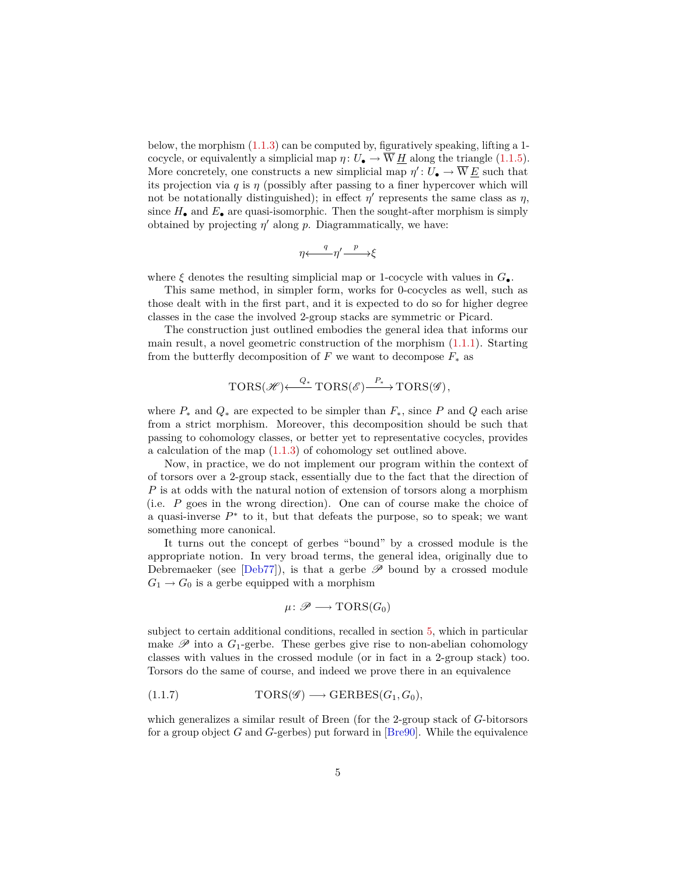<span id="page-4-1"></span>below, the morphism  $(1.1.3)$  can be computed by, figuratively speaking, lifting a 1cocycle, or equivalently a simplicial map  $\eta: U_{\bullet} \to \overline{W} H$  along the triangle [\(1.1.5\)](#page-3-1). More concretely, one constructs a new simplicial map  $\eta' : U_{\bullet} \to \overline{W} \underline{E}$  such that its projection via  $q$  is  $\eta$  (possibly after passing to a finer hypercover which will not be notationally distinguished); in effect  $\eta'$  represents the same class as  $\eta$ , since  $H_{\bullet}$  and  $E_{\bullet}$  are quasi-isomorphic. Then the sought-after morphism is simply obtained by projecting  $\eta'$  along  $p$ . Diagrammatically, we have:

$$
\eta \longleftarrow \eta' \xrightarrow{p} \xi
$$

where  $\xi$  denotes the resulting simplicial map or 1-cocycle with values in  $G_{\bullet}$ .

This same method, in simpler form, works for 0-cocycles as well, such as those dealt with in the first part, and it is expected to do so for higher degree classes in the case the involved 2-group stacks are symmetric or Picard.

The construction just outlined embodies the general idea that informs our main result, a novel geometric construction of the morphism [\(1.1.1\)](#page-2-1). Starting from the butterfly decomposition of  $F$  we want to decompose  $F_*$  as

$$
\text{TORS}(\mathscr{H}) \xleftarrow{Q_*} \text{TORS}(\mathscr{E}) \xrightarrow{P_*} \text{TORS}(\mathscr{G}),
$$

where  $P_*$  and  $Q_*$  are expected to be simpler than  $F_*$ , since P and Q each arise from a strict morphism. Moreover, this decomposition should be such that passing to cohomology classes, or better yet to representative cocycles, provides a calculation of the map [\(1.1.3\)](#page-2-2) of cohomology set outlined above.

Now, in practice, we do not implement our program within the context of of torsors over a 2-group stack, essentially due to the fact that the direction of *P* is at odds with the natural notion of extension of torsors along a morphism (i.e. *P* goes in the wrong direction). One can of course make the choice of a quasi-inverse  $P^*$  to it, but that defeats the purpose, so to speak; we want something more canonical.

It turns out the concept of gerbes "bound" by a crossed module is the appropriate notion. In very broad terms, the general idea, originally due to Debremaeker (see [\[Deb77\]](#page-53-0)), is that a gerbe  $\mathscr P$  bound by a crossed module  $G_1 \rightarrow G_0$  is a gerbe equipped with a morphism

<span id="page-4-0"></span>
$$
\mu\colon \mathscr{P}\longrightarrow \mathrm{TORS}(G_0)
$$

subject to certain additional conditions, recalled in section [5,](#page-22-0) which in particular make  $\mathscr P$  into a  $G_1$ -gerbe. These gerbes give rise to non-abelian cohomology classes with values in the crossed module (or in fact in a 2-group stack) too. Torsors do the same of course, and indeed we prove there in an equivalence

(1.1.7) 
$$
TORS(\mathscr{G}) \longrightarrow GERBES(G_1, G_0),
$$

which generalizes a similar result of Breen (for the 2-group stack of *G*-bitorsors for a group object *G* and *G*-gerbes) put forward in [\[Bre90\]](#page-52-1). While the equivalence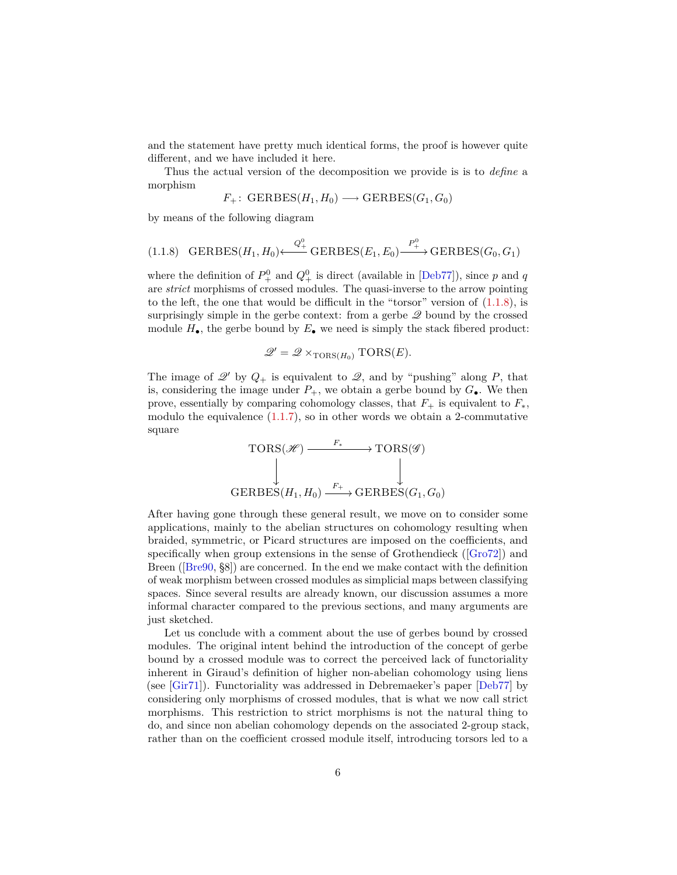<span id="page-5-1"></span>and the statement have pretty much identical forms, the proof is however quite different, and we have included it here.

Thus the actual version of the decomposition we provide is is to *define* a morphism

$$
F_+ \colon \text{GERBES}(H_1, H_0) \longrightarrow \text{GERBES}(G_1, G_0)
$$

by means of the following diagram

<span id="page-5-0"></span>
$$
(1.1.8) \quad \text{GERBES}(H_1, H_0) \longleftrightarrow \overset{Q_+^0}{\longrightarrow} \text{GERBES}(E_1, E_0) \overset{P_+^0}{\longrightarrow} \text{GERBES}(G_0, G_1)
$$

where the definition of  $P_+^0$  and  $Q_+^0$  is direct (available in [\[Deb77\]](#page-53-0)), since *p* and *q* are *strict* morphisms of crossed modules. The quasi-inverse to the arrow pointing to the left, the one that would be difficult in the "torsor" version of  $(1.1.8)$ , is surprisingly simple in the gerbe context: from a gerbe  $\mathscr Q$  bound by the crossed module  $H_{\bullet}$ , the gerbe bound by  $E_{\bullet}$  we need is simply the stack fibered product:

$$
\mathcal{Q}' = \mathcal{Q} \times_{\text{TORS}(H_0)} \text{TORS}(E).
$$

The image of  $\mathscr{Q}'$  by  $Q_+$  is equivalent to  $\mathscr{Q}$ , and by "pushing" along P, that is, considering the image under  $P_+$ , we obtain a gerbe bound by  $G_{\bullet}$ . We then prove, essentially by comparing cohomology classes, that  $F_+$  is equivalent to  $F_*$ , modulo the equivalence  $(1.1.7)$ , so in other words we obtain a 2-commutative square



After having gone through these general result, we move on to consider some applications, mainly to the abelian structures on cohomology resulting when braided, symmetric, or Picard structures are imposed on the coefficients, and specifically when group extensions in the sense of Grothendieck ([\[Gro72\]](#page-53-1)) and Breen ([\[Bre90,](#page-52-1)  $\S$ 8]) are concerned. In the end we make contact with the definition of weak morphism between crossed modules as simplicial maps between classifying spaces. Since several results are already known, our discussion assumes a more informal character compared to the previous sections, and many arguments are just sketched.

Let us conclude with a comment about the use of gerbes bound by crossed modules. The original intent behind the introduction of the concept of gerbe bound by a crossed module was to correct the perceived lack of functoriality inherent in Giraud's definition of higher non-abelian cohomology using liens (see [\[Gir71\]](#page-53-2)). Functoriality was addressed in Debremaeker's paper [\[Deb77\]](#page-53-0) by considering only morphisms of crossed modules, that is what we now call strict morphisms. This restriction to strict morphisms is not the natural thing to do, and since non abelian cohomology depends on the associated 2-group stack, rather than on the coefficient crossed module itself, introducing torsors led to a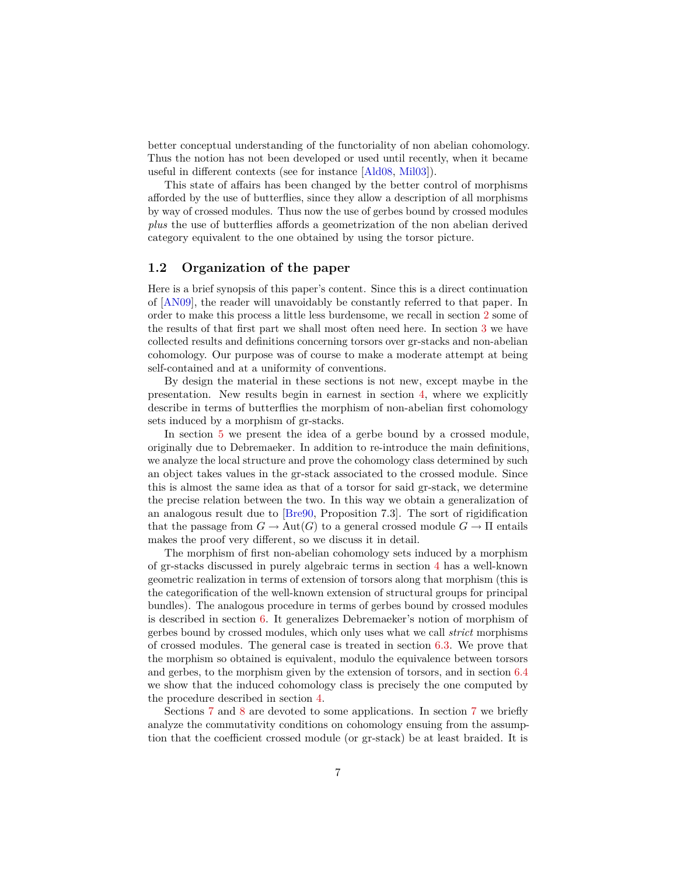<span id="page-6-1"></span>better conceptual understanding of the functoriality of non abelian cohomology. Thus the notion has not been developed or used until recently, when it became useful in different contexts (see for instance [\[Ald08,](#page-52-2) [Mil03\]](#page-54-1)).

This state of affairs has been changed by the better control of morphisms afforded by the use of butterflies, since they allow a description of all morphisms by way of crossed modules. Thus now the use of gerbes bound by crossed modules *plus* the use of butterflies affords a geometrization of the non abelian derived category equivalent to the one obtained by using the torsor picture.

### <span id="page-6-0"></span>**1.2 Organization of the paper**

Here is a brief synopsis of this paper's content. Since this is a direct continuation of [\[AN09\]](#page-52-0), the reader will unavoidably be constantly referred to that paper. In order to make this process a little less burdensome, we recall in section [2](#page-7-1) some of the results of that first part we shall most often need here. In section [3](#page-11-0) we have collected results and definitions concerning torsors over gr-stacks and non-abelian cohomology. Our purpose was of course to make a moderate attempt at being self-contained and at a uniformity of conventions.

By design the material in these sections is not new, except maybe in the presentation. New results begin in earnest in section [4,](#page-18-0) where we explicitly describe in terms of butterflies the morphism of non-abelian first cohomology sets induced by a morphism of gr-stacks.

In section [5](#page-22-0) we present the idea of a gerbe bound by a crossed module, originally due to Debremaeker. In addition to re-introduce the main definitions, we analyze the local structure and prove the cohomology class determined by such an object takes values in the gr-stack associated to the crossed module. Since this is almost the same idea as that of a torsor for said gr-stack, we determine the precise relation between the two. In this way we obtain a generalization of an analogous result due to [\[Bre90,](#page-52-1) Proposition 7.3]. The sort of rigidification that the passage from  $G \to Aut(G)$  to a general crossed module  $G \to \Pi$  entails makes the proof very different, so we discuss it in detail.

The morphism of first non-abelian cohomology sets induced by a morphism of gr-stacks discussed in purely algebraic terms in section [4](#page-18-0) has a well-known geometric realization in terms of extension of torsors along that morphism (this is the categorification of the well-known extension of structural groups for principal bundles). The analogous procedure in terms of gerbes bound by crossed modules is described in section [6.](#page-34-0) It generalizes Debremaeker's notion of morphism of gerbes bound by crossed modules, which only uses what we call *strict* morphisms of crossed modules. The general case is treated in section [6.3.](#page-37-0) We prove that the morphism so obtained is equivalent, modulo the equivalence between torsors and gerbes, to the morphism given by the extension of torsors, and in section [6.4](#page-40-0) we show that the induced cohomology class is precisely the one computed by the procedure described in section [4.](#page-18-0)

Sections [7](#page-42-0) and [8](#page-46-0) are devoted to some applications. In section [7](#page-42-0) we briefly analyze the commutativity conditions on cohomology ensuing from the assumption that the coefficient crossed module (or gr-stack) be at least braided. It is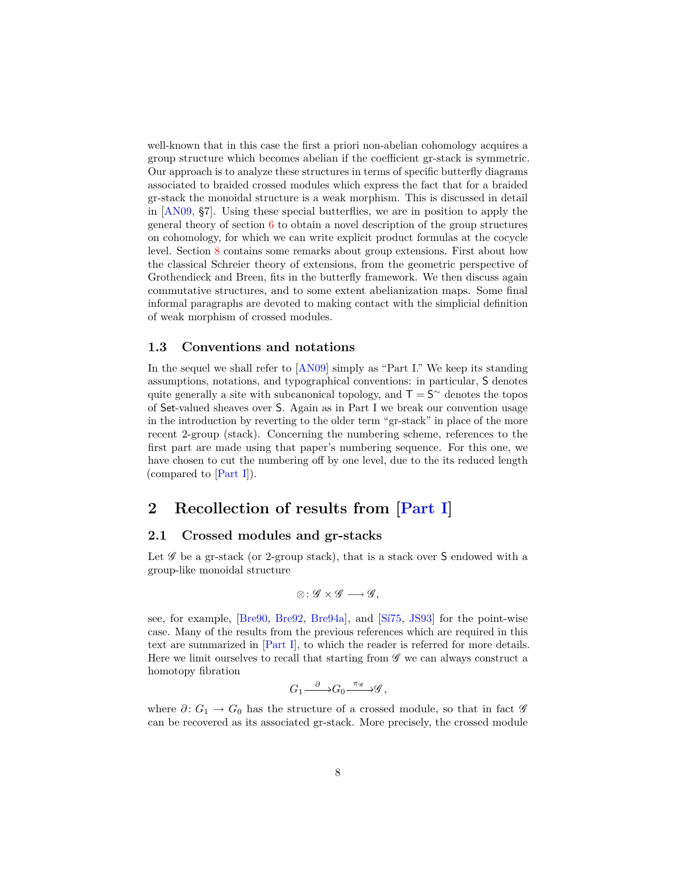<span id="page-7-3"></span>well-known that in this case the first a priori non-abelian cohomology acquires a group structure which becomes abelian if the coefficient gr-stack is symmetric. Our approach is to analyze these structures in terms of specific butterfly diagrams associated to braided crossed modules which express the fact that for a braided gr-stack the monoidal structure is a weak morphism. This is discussed in detail in [\[AN09,](#page-52-0) §7]. Using these special butterflies, we are in position to apply the general theory of section [6](#page-34-0) to obtain a novel description of the group structures on cohomology, for which we can write explicit product formulas at the cocycle level. Section [8](#page-46-0) contains some remarks about group extensions. First about how the classical Schreier theory of extensions, from the geometric perspective of Grothendieck and Breen, fits in the butterfly framework. We then discuss again commutative structures, and to some extent abelianization maps. Some final informal paragraphs are devoted to making contact with the simplicial definition of weak morphism of crossed modules.

#### <span id="page-7-0"></span>**1.3 Conventions and notations**

In the sequel we shall refer to [\[AN09\]](#page-52-0) simply as "Part I." We keep its standing assumptions, notations, and typographical conventions: in particular, S denotes quite generally a site with subcanonical topology, and  $T = S^{\sim}$  denotes the topos of Set-valued sheaves over S. Again as in Part I we break our convention usage in the introduction by reverting to the older term "gr-stack" in place of the more recent 2-group (stack). Concerning the numbering scheme, references to the first part are made using that paper's numbering sequence. For this one, we have chosen to cut the numbering off by one level, due to the its reduced length (compared to [\[Part I\]](#page-52-0)).

# <span id="page-7-1"></span>**2 Recollection of results from [\[Part I\]](#page-52-0)**

### <span id="page-7-2"></span>**2.1 Crossed modules and gr-stacks**

Let  $\mathscr G$  be a gr-stack (or 2-group stack), that is a stack over S endowed with a group-like monoidal structure

$$
\otimes\colon {\mathscr G}\times{\mathscr G}\longrightarrow{\mathscr G},
$$

see, for example, [\[Bre90,](#page-52-1) [Bre92,](#page-53-3) [Bre94a\]](#page-53-4), and [\[Sí75,](#page-54-2) [JS93\]](#page-54-3) for the point-wise case. Many of the results from the previous references which are required in this text are summarized in [\[Part I\]](#page-52-0), to which the reader is referred for more details. Here we limit ourselves to recall that starting from  $\mathscr G$  we can always construct a homotopy fibration

$$
G_1 {\overset{\partial}{\xrightarrow{\hspace*{1.5cm}}} } G_0 {\overset{\pi _{\mathscr G}}{\xrightarrow{\hspace*{1.5cm}}} } \mathscr G\, ,
$$

where  $\partial: G_1 \to G_0$  has the structure of a crossed module, so that in fact  $\mathscr G$ can be recovered as its associated gr-stack. More precisely, the crossed module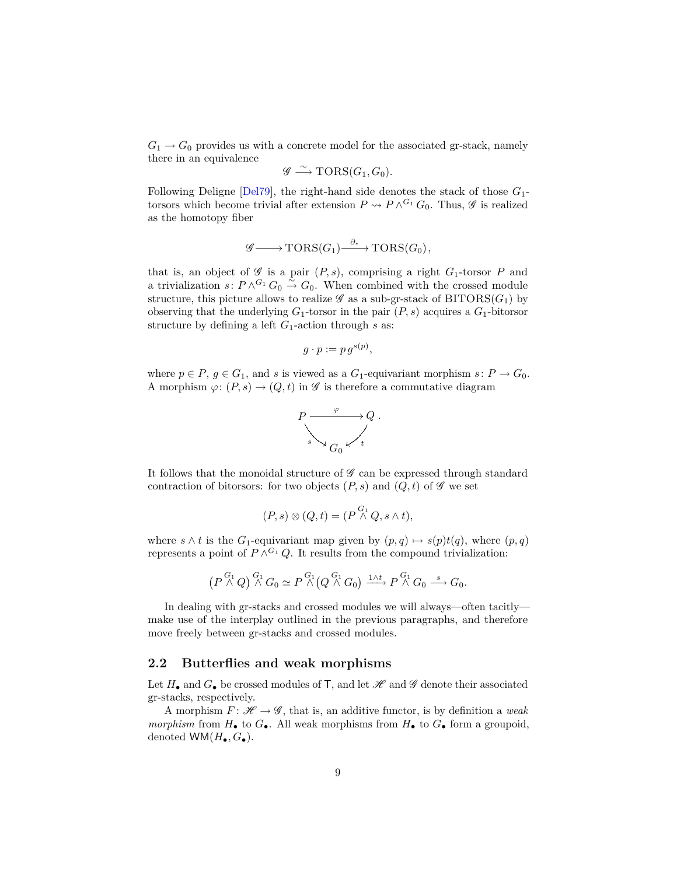<span id="page-8-1"></span> $G_1 \rightarrow G_0$  provides us with a concrete model for the associated gr-stack, namely there in an equivalence

$$
\mathscr{G} \xrightarrow{\sim} \text{TORS}(G_1, G_0).
$$

Following Deligne [\[Del79\]](#page-53-5), the right-hand side denotes the stack of those *G*1 torsors which become trivial after extension  $P \rightsquigarrow P \wedge^{G_1} G_0$ . Thus,  $\mathscr G$  is realized as the homotopy fiber

$$
\mathscr{G}\longrightarrow \text{TORS}(G_1)\stackrel{\partial_*}{\longrightarrow} \text{TORS}(G_0),
$$

that is, an object of  $\mathscr G$  is a pair  $(P, s)$ , comprising a right  $G_1$ -torsor  $P$  and a trivialization  $s: P \wedge^{G_1} G_0 \overset{\sim}{\rightarrow} G_0$ . When combined with the crossed module structure, this picture allows to realize  $\mathscr G$  as a sub-gr-stack of  $\operatorname{BITORS}(G_1)$  by observing that the underlying  $G_1$ -torsor in the pair  $(P, s)$  acquires a  $G_1$ -bitorsor structure by defining a left *G*1-action through *s* as:

$$
g \cdot p := p \, g^{s(p)},
$$

where  $p \in P$ ,  $g \in G_1$ , and *s* is viewed as a  $G_1$ -equivariant morphism  $s: P \to G_0$ . A morphism  $\varphi: (P, s) \to (Q, t)$  in  $\mathscr G$  is therefore a commutative diagram



It follows that the monoidal structure of  $\mathscr G$  can be expressed through standard contraction of bitorsors: for two objects  $(P, s)$  and  $(Q, t)$  of  $\mathscr G$  we set

$$
(P,s)\otimes(Q,t)=(P\overset{G_1}{\wedge}Q,s\wedge t),
$$

where  $s \wedge t$  is the *G*<sub>1</sub>-equivariant map given by  $(p, q) \mapsto s(p)t(q)$ , where  $(p, q)$ represents a point of  $P \wedge^{G_1} Q$ . It results from the compound trivialization:

$$
\left(P \stackrel{G_1}{\wedge} Q\right) \stackrel{G_1}{\wedge} G_0 \simeq P \stackrel{G_1}{\wedge} \left(Q \stackrel{G_1}{\wedge} G_0\right) \xrightarrow{1 \wedge t} P \stackrel{G_1}{\wedge} G_0 \stackrel{s}{\longrightarrow} G_0.
$$

In dealing with gr-stacks and crossed modules we will always—often tacitly make use of the interplay outlined in the previous paragraphs, and therefore move freely between gr-stacks and crossed modules.

#### <span id="page-8-0"></span>**2.2 Butterflies and weak morphisms**

Let  $H_{\bullet}$  and  $G_{\bullet}$  be crossed modules of **T**, and let  $\mathscr H$  and  $\mathscr G$  denote their associated gr-stacks, respectively.

A morphism  $F: \mathcal{H} \to \mathcal{G}$ , that is, an additive functor, is by definition a *weak morphism* from  $H_{\bullet}$  to  $G_{\bullet}$ . All weak morphisms from  $H_{\bullet}$  to  $G_{\bullet}$  form a groupoid, denoted  $WM(H_{\bullet}, G_{\bullet}).$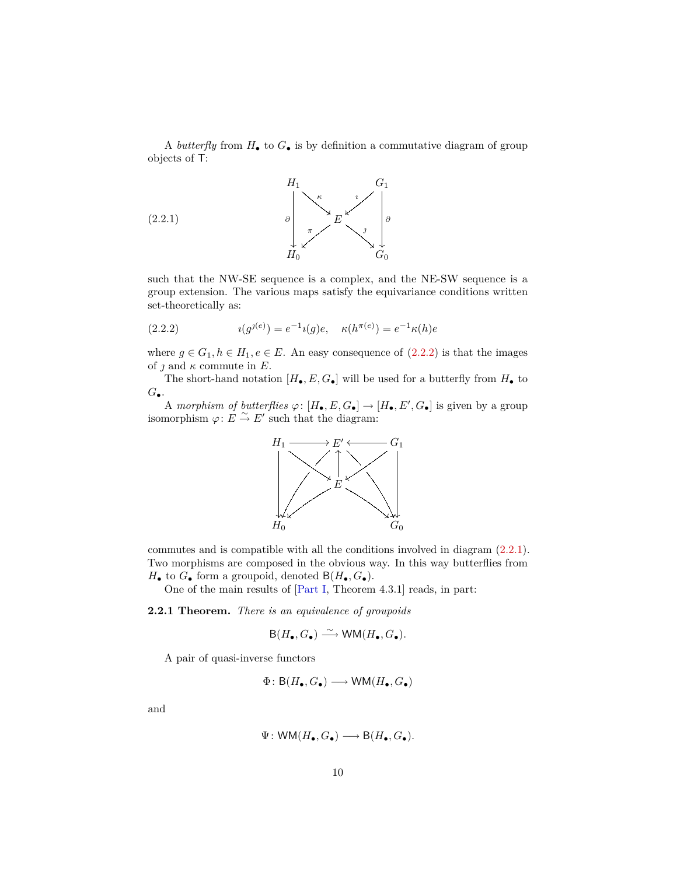<span id="page-9-3"></span>A *butterfly* from  $H_{\bullet}$  to  $G_{\bullet}$  is by definition a commutative diagram of group objects of T:

$$
(2.2.1)
$$

<span id="page-9-1"></span>

such that the NW-SE sequence is a complex, and the NE-SW sequence is a group extension. The various maps satisfy the equivariance conditions written set-theoretically as:

<span id="page-9-0"></span>(2.2.2) 
$$
i(g^{j(e)}) = e^{-1}i(g)e, \quad \kappa(h^{\pi(e)}) = e^{-1}\kappa(h)e
$$

where  $g \in G_1, h \in H_1, e \in E$ . An easy consequence of  $(2.2.2)$  is that the images of  $\jmath$  and  $\kappa$  commute in  $E$ .

The short-hand notation  $[H_\bullet, E, G_\bullet]$  will be used for a butterfly from  $H_\bullet$  to *G*•.

A morphism of butterflies  $\varphi: [H_{\bullet}, E, G_{\bullet}] \to [H_{\bullet}, E', G_{\bullet}]$  is given by a group isomorphism  $\varphi: E \overset{\sim}{\to} E'$  such that the diagram:



commutes and is compatible with all the conditions involved in diagram [\(2.2.1\)](#page-9-1). Two morphisms are composed in the obvious way. In this way butterflies from  $H_{\bullet}$  to  $G_{\bullet}$  form a groupoid, denoted  $B(H_{\bullet}, G_{\bullet})$ .

One of the main results of [\[Part I,](#page-52-0) Theorem 4.3.1] reads, in part:

<span id="page-9-2"></span>**2.2.1 Theorem.** *There is an equivalence of groupoids*

$$
\mathsf{B}(H_{\bullet}, G_{\bullet}) \xrightarrow{\sim} \mathsf{WM}(H_{\bullet}, G_{\bullet}).
$$

A pair of quasi-inverse functors

$$
\Phi\colon \mathsf{B}(H_\bullet,G_\bullet)\longrightarrow \mathsf{WM}(H_\bullet,G_\bullet)
$$

and

$$
\Psi \colon \mathsf{WM}(H_\bullet,G_\bullet) \longrightarrow \mathsf{B}(H_\bullet,G_\bullet).
$$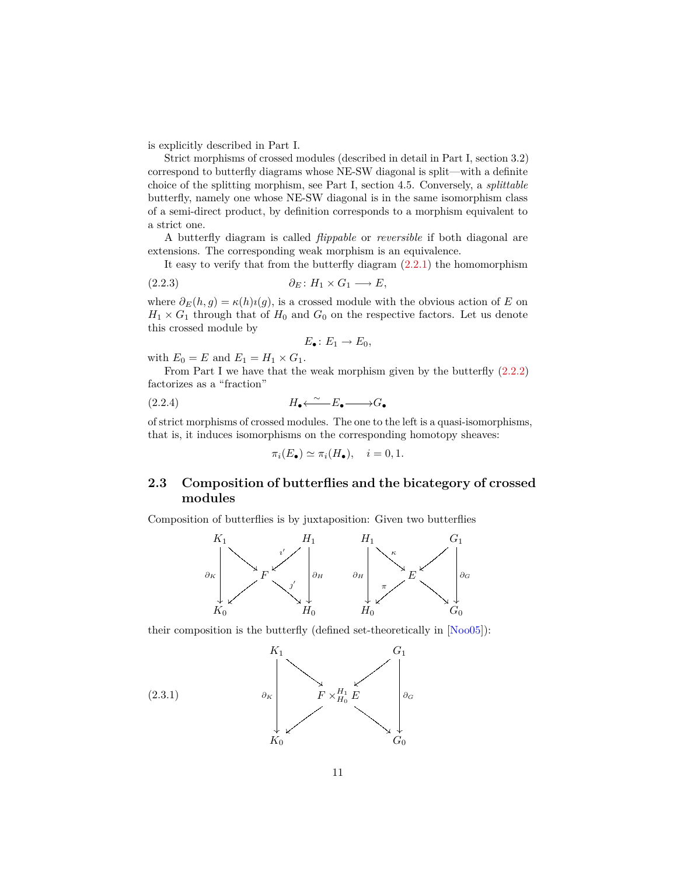<span id="page-10-3"></span>is explicitly described in Part I.

Strict morphisms of crossed modules (described in detail in Part I, section 3.2) correspond to butterfly diagrams whose NE-SW diagonal is split—with a definite choice of the splitting morphism, see Part I, section 4.5. Conversely, a *splittable* butterfly, namely one whose NE-SW diagonal is in the same isomorphism class of a semi-direct product, by definition corresponds to a morphism equivalent to a strict one.

A butterfly diagram is called *flippable* or *reversible* if both diagonal are extensions. The corresponding weak morphism is an equivalence.

It easy to verify that from the butterfly diagram  $(2.2.1)$  the homomorphism

$$
(2.2.3) \t\t \t\t \partial_E: H_1 \times G_1 \longrightarrow E,
$$

where  $\partial_E(h, g) = \kappa(h)\iota(g)$ , is a crossed module with the obvious action of *E* on  $H_1 \times G_1$  through that of  $H_0$  and  $G_0$  on the respective factors. Let us denote this crossed module by

<span id="page-10-1"></span>
$$
E_{\bullet} \colon E_1 \to E_0,
$$

with  $E_0 = E$  and  $E_1 = H_1 \times G_1$ .

From Part I we have that the weak morphism given by the butterfly  $(2.2.2)$ factorizes as a "fraction"

$$
(2.2.4) \t\t H_{\bullet} \xleftarrow{\sim} E_{\bullet} \longrightarrow G_{\bullet}
$$

of strict morphisms of crossed modules. The one to the left is a quasi-isomorphisms, that is, it induces isomorphisms on the corresponding homotopy sheaves:

<span id="page-10-2"></span>
$$
\pi_i(E_{\bullet}) \simeq \pi_i(H_{\bullet}), \quad i = 0, 1.
$$

# <span id="page-10-0"></span>**2.3 Composition of butterflies and the bicategory of crossed modules**

Composition of butterflies is by juxtaposition: Given two butterflies



their composition is the butterfly (defined set-theoretically in [\[Noo05\]](#page-54-0)):

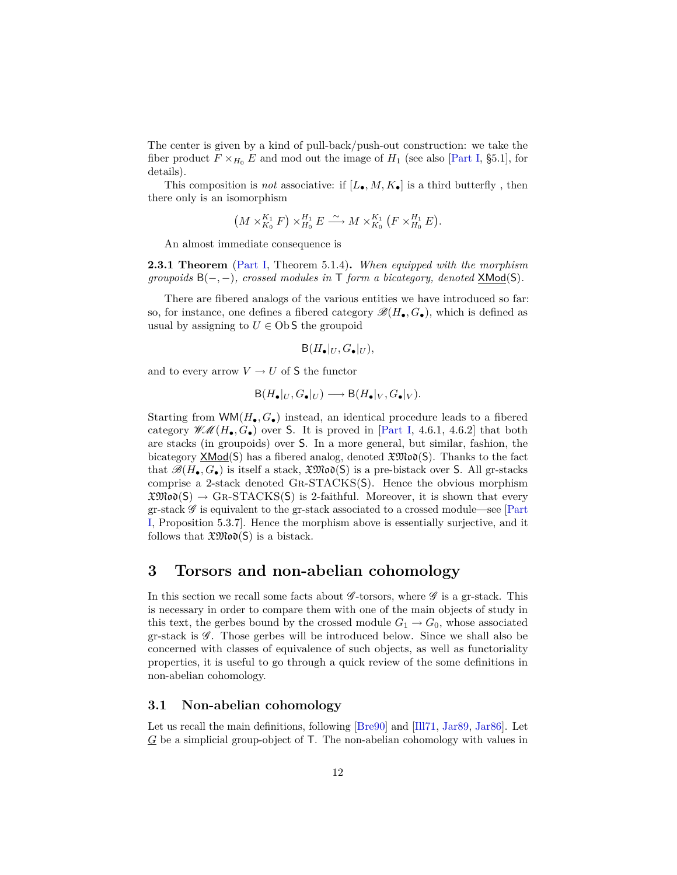<span id="page-11-2"></span>The center is given by a kind of pull-back/push-out construction: we take the fiber product  $F \times_{H_0} E$  and mod out the image of  $H_1$  (see also [\[Part I,](#page-52-0) §5.1], for details).

This composition is *not* associative: if  $[L_{\bullet}, M, K_{\bullet}]$  is a third butterfly, then there only is an isomorphism

$$
(M\times_{K_0}^{K_1}F)\times_{H_0}^{H_1}E \xrightarrow{\sim} M\times_{K_0}^{K_1}(F\times_{H_0}^{H_1}E).
$$

An almost immediate consequence is

**2.3.1 Theorem** [\(Part I,](#page-52-0) Theorem 5.1.4)**.** *When equipped with the morphism groupoids* B(−*,* −)*, crossed modules in* T *form a bicategory, denoted* XMod(S)*.*

There are fibered analogs of the various entities we have introduced so far: so, for instance, one defines a fibered category  $\mathscr{B}(H_{\bullet}, G_{\bullet})$ , which is defined as usual by assigning to  $U \in \text{Ob } S$  the groupoid

$$
\mathsf{B}(H_{\bullet}|_U, G_{\bullet}|_U),
$$

and to every arrow  $V \rightarrow U$  of S the functor

$$
\mathsf{B}(H_{\bullet}|_U, G_{\bullet}|_U) \longrightarrow \mathsf{B}(H_{\bullet}|_V, G_{\bullet}|_V).
$$

Starting from  $WM(H_{\bullet}, G_{\bullet})$  instead, an identical procedure leads to a fibered category  $\mathscr{W}\mathscr{M}(H_\bullet, G_\bullet)$  over S. It is proved in [\[Part I,](#page-52-0) 4.6.1, 4.6.2] that both are stacks (in groupoids) over S. In a more general, but similar, fashion, the bicategory  $\mathsf{XMod}(\mathsf{S})$  has a fibered analog, denoted  $\mathfrak{XMod}(\mathsf{S})$ . Thanks to the fact that  $\mathscr{B}(H_{\bullet}, G_{\bullet})$  is itself a stack,  $\mathfrak{XMO}(S)$  is a pre-bistack over S. All gr-stacks comprise a 2-stack denoted Gr-STACKS(S). Hence the obvious morphism  $\mathfrak{XMO}(S) \to \text{GR-STACKS}(S)$  is 2-faithful. Moreover, it is shown that every gr-stack  $\mathscr G$  is equivalent to the gr-stack associated to a crossed module—see [\[Part](#page-52-0) [I,](#page-52-0) Proposition 5.3.7]. Hence the morphism above is essentially surjective, and it follows that  $\mathfrak{XMod}(S)$  is a bistack.

# <span id="page-11-0"></span>**3 Torsors and non-abelian cohomology**

In this section we recall some facts about  $\mathscr{G}\text{-torsors}$ , where  $\mathscr{G}$  is a gr-stack. This is necessary in order to compare them with one of the main objects of study in this text, the gerbes bound by the crossed module  $G_1 \rightarrow G_0$ , whose associated gr-stack is  $\mathscr G$ . Those gerbes will be introduced below. Since we shall also be concerned with classes of equivalence of such objects, as well as functoriality properties, it is useful to go through a quick review of the some definitions in non-abelian cohomology.

### <span id="page-11-1"></span>**3.1 Non-abelian cohomology**

Let us recall the main definitions, following [\[Bre90\]](#page-52-1) and [\[Ill71,](#page-53-6) [Jar89,](#page-53-7) [Jar86\]](#page-53-8). Let *G* be a simplicial group-object of T. The non-abelian cohomology with values in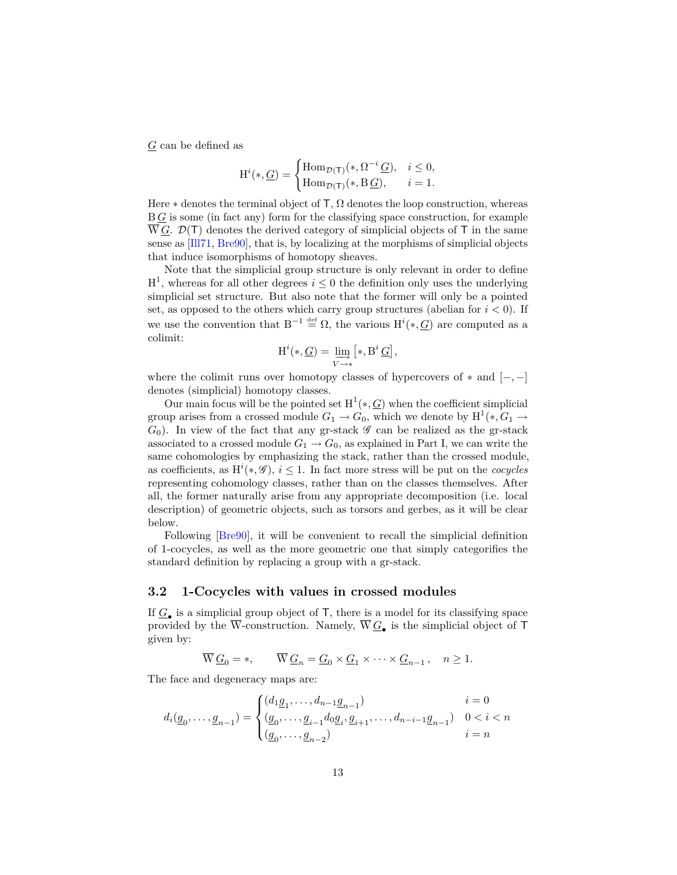<span id="page-12-1"></span>*G* can be defined as

$$
\mathrm{H}^i(*,\underline{G}) = \begin{cases} \mathrm{Hom}_{\mathcal{D}(\mathsf{T})}(*,\Omega^{-i}\underline{G}), & i \leq 0, \\ \mathrm{Hom}_{\mathcal{D}(\mathsf{T})}(*,\mathrm{B}\underline{G}), & i = 1. \end{cases}
$$

Here  $*$  denotes the terminal object of T,  $\Omega$  denotes the loop construction, whereas B *G* is some (in fact any) form for the classifying space construction, for example  $\overline{W}G$ .  $\mathcal{D}(\mathsf{T})$  denotes the derived category of simplicial objects of  $\mathsf{T}$  in the same sense as [\[Ill71,](#page-53-6) [Bre90\]](#page-52-1), that is, by localizing at the morphisms of simplicial objects that induce isomorphisms of homotopy sheaves.

Note that the simplicial group structure is only relevant in order to define  $H^1$ , whereas for all other degrees  $i \leq 0$  the definition only uses the underlying simplicial set structure. But also note that the former will only be a pointed set, as opposed to the others which carry group structures (abelian for  $i < 0$ ). If we use the convention that  $B^{-1} \stackrel{\text{def}}{=} \Omega$ , the various  $H^{i}(*, \underline{G})$  are computed as a colimit:

$$
\textnormal{H}^i(*,\underline{G})=\varinjlim_{V\to *} \bigl[*,\textnormal{B}^i\,\underline{G}\bigr],
$$

where the colimit runs over homotopy classes of hypercovers of ∗ and [−*,* −] denotes (simplicial) homotopy classes.

Our main focus will be the pointed set  $H^1(*, G)$  when the coefficient simplicial group arises from a crossed module  $G_1 \rightarrow G_0$ , which we denote by  $\text{H}^1(*, G_1 \rightarrow$  $G_0$ ). In view of the fact that any gr-stack  $\mathscr G$  can be realized as the gr-stack associated to a crossed module  $G_1 \rightarrow G_0$ , as explained in Part I, we can write the same cohomologies by emphasizing the stack, rather than the crossed module, as coefficients, as  $H^i(*, \mathscr{G})$ ,  $i \leq 1$ . In fact more stress will be put on the *cocycles* representing cohomology classes, rather than on the classes themselves. After all, the former naturally arise from any appropriate decomposition (i.e. local description) of geometric objects, such as torsors and gerbes, as it will be clear below.

Following [\[Bre90\]](#page-52-1), it will be convenient to recall the simplicial definition of 1-cocycles, as well as the more geometric one that simply categorifies the standard definition by replacing a group with a gr-stack.

#### <span id="page-12-0"></span>**3.2 1-Cocycles with values in crossed modules**

If  $\underline{G}_{\bullet}$  is a simplicial group object of  $\mathsf{T}$ , there is a model for its classifying space provided by the W-construction. Namely,  $W \mathcal{Q}_\bullet$  is the simplicial object of  $\mathsf T$ given by:

$$
\overline{W}\underline{G}_0 = *, \qquad \overline{W}\underline{G}_n = \underline{G}_0 \times \underline{G}_1 \times \cdots \times \underline{G}_{n-1}, \quad n \ge 1.
$$

The face and degeneracy maps are:

$$
d_i(\underline{g}_0, \ldots, \underline{g}_{n-1}) = \begin{cases} (d_1 \underline{g}_1, \ldots, d_{n-1} \underline{g}_{n-1}) & i = 0 \\ (\underline{g}_0, \ldots, \underline{g}_{i-1} d_0 \underline{g}_i, \underline{g}_{i+1}, \ldots, d_{n-i-1} \underline{g}_{n-1}) & 0 < i < n \\ (\underline{g}_0, \ldots, \underline{g}_{n-2}) & i = n \end{cases}
$$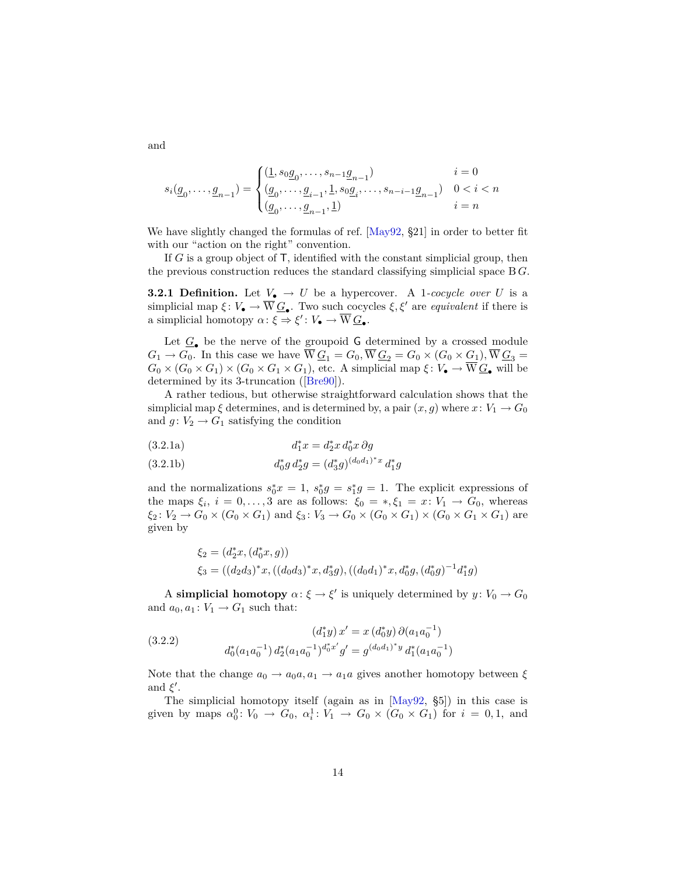$$
s_i(\underline{g}_0,\dots,\underline{g}_{n-1})=\begin{cases}(\underline{1},s_0\underline{g}_0,\dots,s_{n-1}\underline{g}_{n-1}) & i=0\\(\underline{g}_0,\dots,\underline{g}_{i-1},\underline{1},s_0\underline{g}_i,\dots,s_{n-i-1}\underline{g}_{n-1}) & 0
$$

We have slightly changed the formulas of ref. [\[May92,](#page-54-4) §21] in order to better fit with our "action on the right" convention.

If *G* is a group object of T, identified with the constant simplicial group, then the previous construction reduces the standard classifying simplicial space B *G*.

**3.2.1 Definition.** Let  $V_{\bullet} \rightarrow U$  be a hypercover. A 1*-cocycle over U* is a simplicial map  $\xi: V_{\bullet} \to \overline{W} \underline{G}_{\bullet}$ . Two such cocycles  $\xi, \xi'$  are *equivalent* if there is a simplicial homotopy  $\alpha: \xi \Rightarrow \xi': V_{\bullet} \to \overline{W} \underline{G}_{\bullet}.$ 

Let  $\underline{G}_{\bullet}$  be the nerve of the groupoid G determined by a crossed module  $G_1 \rightarrow G_0$ . In this case we have  $W\underline{G}_1 = G_0$ ,  $W\underline{G}_2 = G_0 \times (G_0 \times \underline{G}_1)$ ,  $W\underline{G}_3 =$  $G_0 \times (G_0 \times G_1) \times (G_0 \times G_1 \times G_1)$ , etc. A simplicial map  $\xi: V_{\bullet} \to W \underline{G_{\bullet}}$  will be determined by its 3-truncation ([\[Bre90\]](#page-52-1)).

<span id="page-13-0"></span>A rather tedious, but otherwise straightforward calculation shows that the simplicial map  $\xi$  determines, and is determined by, a pair  $(x, g)$  where  $x: V_1 \to G_0$ and  $g: V_2 \to G_1$  satisfying the condition

<span id="page-13-1"></span>(3.2.1a) 
$$
d_1^*x = d_2^*x d_0^*x \partial g
$$

<span id="page-13-2"></span>(3.2.1b) 
$$
d_0^* g d_2^* g = (d_3^* g)^{(d_0 d_1)^* x} d_1^* g
$$

and the normalizations  $s_0^* x = 1$ ,  $s_0^* g = s_1^* g = 1$ . The explicit expressions of the maps  $\xi_i$ ,  $i = 0, \ldots, 3$  are as follows:  $\xi_0 = *, \xi_1 = x : V_1 \to G_0$ , whereas  $\xi_2$ :  $V_2 \to G_0 \times (G_0 \times G_1)$  and  $\xi_3$ :  $V_3 \to G_0 \times (G_0 \times G_1) \times (G_0 \times G_1 \times G_1)$  are given by

$$
\xi_2 = (d_2^*x, (d_0^*x, g))
$$
  

$$
\xi_3 = ((d_2d_3)^*x, ((d_0d_3)^*x, d_3^*g), ((d_0d_1)^*x, d_0^*g, (d_0^*g)^{-1}d_1^*g)
$$

A **simplicial homotopy**  $\alpha$ :  $\xi \to \xi'$  is uniquely determined by  $y: V_0 \to G_0$ and  $a_0, a_1: V_1 \rightarrow G_1$  such that:

<span id="page-13-3"></span>(3.2.2) 
$$
(d_1^*y) x' = x (d_0^*y) \partial(a_1 a_0^{-1})
$$

$$
d_0^*(a_1 a_0^{-1}) d_2^*(a_1 a_0^{-1})^{d_0^* x'} g' = g^{(d_0 d_1)^* y} d_1^*(a_1 a_0^{-1})
$$

Note that the change  $a_0 \rightarrow a_0 a, a_1 \rightarrow a_1 a$  gives another homotopy between  $\xi$ and  $\xi'$ .

The simplicial homotopy itself (again as in [\[May92,](#page-54-4) §5]) in this case is given by maps  $\alpha_0^0: V_0 \to G_0$ ,  $\alpha_i^1: V_1 \to G_0 \times (G_0 \times G_1)$  for  $i = 0, 1$ , and

<span id="page-13-4"></span>and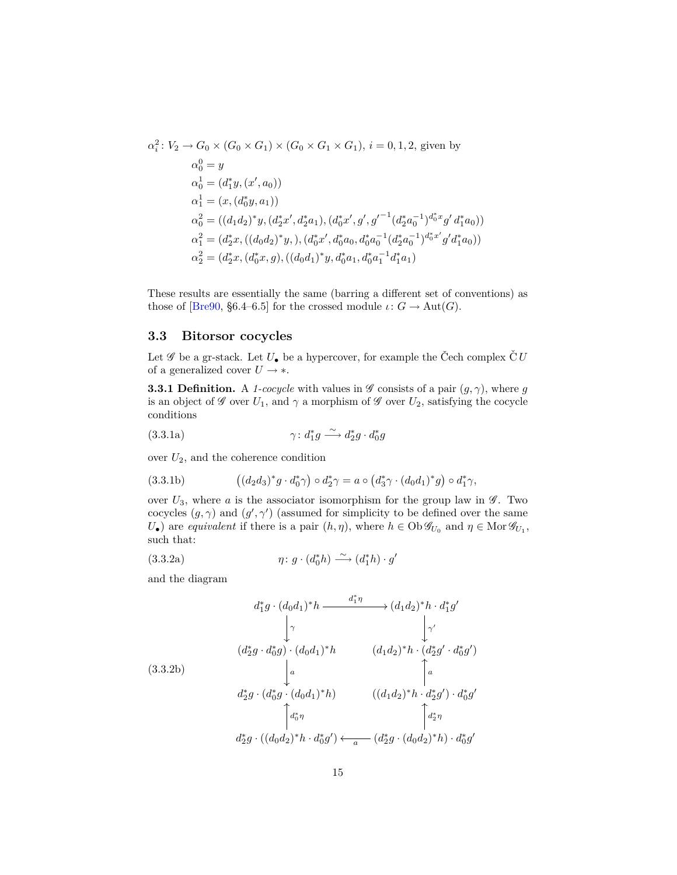<span id="page-14-5"></span>
$$
\alpha_i^2: V_2 \to G_0 \times (G_0 \times G_1) \times (G_0 \times G_1 \times G_1), i = 0, 1, 2, \text{ given by}
$$
  
\n
$$
\alpha_0^0 = y
$$
  
\n
$$
\alpha_0^1 = (d_1^* y, (x', a_0))
$$
  
\n
$$
\alpha_1^1 = (x, (d_0^* y, a_1))
$$
  
\n
$$
\alpha_0^2 = ((d_1 d_2)^* y, (d_2^* x', d_2^* a_1), (d_0^* x', g', g'^{-1} (d_2^* a_0^{-1})^{d_0^* x} g' d_1^* a_0))
$$
  
\n
$$
\alpha_1^2 = (d_2^* x, ((d_0 d_2)^* y, ), (d_0^* x', d_0^* a_0, d_0^* a_0^{-1} (d_2^* a_0^{-1})^{d_0^* x'} g' d_1^* a_0))
$$
  
\n
$$
\alpha_2^2 = (d_2^* x, (d_0^* x, g), ((d_0 d_1)^* y, d_0^* a_1, d_0^* a_1^{-1} d_1^* a_1)
$$

These results are essentially the same (barring a different set of conventions) as those of [\[Bre90,](#page-52-1) §6.4–6.5] for the crossed module  $\iota: G \to \text{Aut}(G)$ .

### <span id="page-14-0"></span>**3.3 Bitorsor cocycles**

Let  $\mathscr G$  be a gr-stack. Let  $U_{\bullet}$  be a hypercover, for example the Čech complex  $\check{\mathcal{C}}U$ of a generalized cover  $U \rightarrow *$ .

<span id="page-14-1"></span>**3.3.1 Definition.** A *1-cocycle* with values in  $\mathscr G$  consists of a pair  $(g, \gamma)$ , where *g* is an object of  $\mathscr G$  over  $U_1$ , and  $\gamma$  a morphism of  $\mathscr G$  over  $U_2$ , satisfying the cocycle conditions

<span id="page-14-2"></span>(3.3.1a) 
$$
\gamma : d_1^* g \xrightarrow{\sim} d_2^* g \cdot d_0^* g
$$

over  $U_2$ , and the coherence condition

<span id="page-14-3"></span>(3.3.1b) 
$$
\left( (d_2d_3)^*g \cdot d_0^*\gamma \right) \circ d_2^*\gamma = a \circ \left( d_3^*\gamma \cdot (d_0d_1)^*g \right) \circ d_1^*\gamma,
$$

over  $U_3$ , where *a* is the associator isomorphism for the group law in  $\mathscr{G}$ . Two cocycles  $(g, \gamma)$  and  $(g', \gamma')$  (assumed for simplicity to be defined over the same  $U_{\bullet}$ ) are *equivalent* if there is a pair  $(h, \eta)$ , where  $h \in Ob \mathscr{G}_{U_0}$  and  $\eta \in Mor \mathscr{G}_{U_1}$ , such that:

<span id="page-14-4"></span>(3.3.2a) 
$$
\eta \colon g \cdot (d_0^* h) \xrightarrow{\sim} (d_1^* h) \cdot g'
$$

and the diagram

$$
d_1^*g \cdot (d_0d_1)^*h \xrightarrow{d_1^* \eta} (d_1d_2)^*h \cdot d_1^*g'
$$
  
\n
$$
\downarrow \gamma
$$
  
\n
$$
(d_2^*g \cdot d_0^*g) \cdot (d_0d_1)^*h \qquad (d_1d_2)^*h \cdot (d_2^*g' \cdot d_0^*g')
$$
  
\n
$$
(3.3.2b)
$$
  
\n
$$
\downarrow a
$$
  
\n
$$
d_2^*g \cdot (d_0^*g \cdot (d_0d_1)^*h) \qquad ((d_1d_2)^*h \cdot d_2^*g') \cdot d_0^*g'
$$
  
\n
$$
\uparrow \downarrow a
$$
  
\n
$$
d_2^*g \cdot ((d_0d_2)^*h \cdot d_0^*g') \leftarrow a \qquad (d_2^*g \cdot (d_0d_2)^*h) \cdot d_0^*g'
$$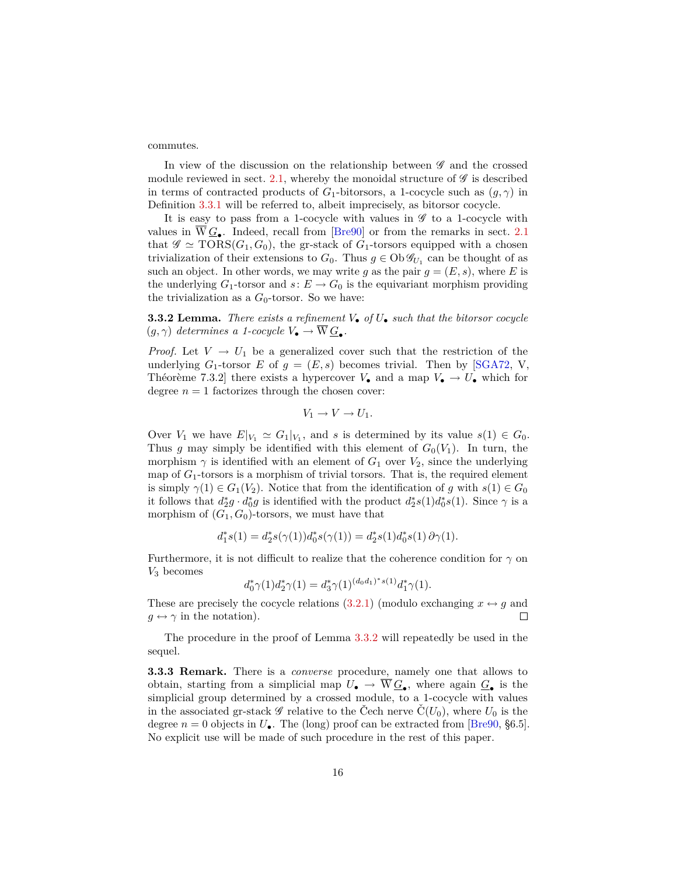<span id="page-15-2"></span>commutes.

In view of the discussion on the relationship between  $\mathscr G$  and the crossed module reviewed in sect. [2.1,](#page-7-2) whereby the monoidal structure of  $\mathscr G$  is described in terms of contracted products of  $G_1$ -bitorsors, a 1-cocycle such as  $(g, \gamma)$  in Definition [3.3.1](#page-14-1) will be referred to, albeit imprecisely, as bitorsor cocycle.

It is easy to pass from a 1-cocycle with values in  $\mathscr G$  to a 1-cocycle with values in  $\overline{W}\underline{G}_{\bullet}$ . Indeed, recall from [\[Bre90\]](#page-52-1) or from the remarks in sect. [2.1](#page-7-2) that  $\mathscr{G} \simeq \text{TORS}(G_1, G_0)$ , the gr-stack of  $G_1$ -torsors equipped with a chosen trivialization of their extensions to  $G_0$ . Thus  $g \in Ob \mathcal{G}_{U_1}$  can be thought of as such an object. In other words, we may write g as the pair  $g = (E, s)$ , where E is the underlying  $G_1$ -torsor and  $s: E \to G_0$  is the equivariant morphism providing the trivialization as a  $G_0$ -torsor. So we have:

<span id="page-15-0"></span>**3.3.2 Lemma.** *There exists a refinement V*• *of U*• *such that the bitorsor cocycle*  $(g, \gamma)$  *determines a 1-cocycle*  $V_{\bullet} \to \overline{W} \underline{G}_{\bullet}$ .

*Proof.* Let  $V \rightarrow U_1$  be a generalized cover such that the restriction of the underlying  $G_1$ -torsor  $E$  of  $g = (E, s)$  becomes trivial. Then by [\[SGA72,](#page-54-5) V, Théorème 7.3.2] there exists a hypercover  $V_{\bullet}$  and a map  $V_{\bullet} \to U_{\bullet}$  which for degree  $n = 1$  factorizes through the chosen cover:

$$
V_1 \to V \to U_1.
$$

Over  $V_1$  we have  $E|_{V_1} \simeq G_1|_{V_1}$ , and *s* is determined by its value  $s(1) \in G_0$ . Thus *g* may simply be identified with this element of  $G_0(V_1)$ . In turn, the morphism  $\gamma$  is identified with an element of  $G_1$  over  $V_2$ , since the underlying map of  $G_1$ -torsors is a morphism of trivial torsors. That is, the required element is simply  $\gamma(1) \in G_1(V_2)$ . Notice that from the identification of *g* with  $s(1) \in G_0$ it follows that  $d_2^*g \cdot d_0^*g$  is identified with the product  $d_2^*s(1)d_0^*s(1)$ . Since  $\gamma$  is a morphism of  $(G_1, G_0)$ -torsors, we must have that

$$
d_1^*s(1)=d_2^*s(\gamma(1))d_0^*s(\gamma(1))=d_2^*s(1)d_0^*s(1)\,\partial\gamma(1).
$$

Furthermore, it is not difficult to realize that the coherence condition for  $\gamma$  on *V*<sup>3</sup> becomes

$$
d_0^*\gamma(1)d_2^*\gamma(1) = d_3^*\gamma(1)^{(d_0d_1)^*s(1)}d_1^*\gamma(1).
$$

These are precisely the cocycle relations [\(3.2.1\)](#page-13-0) (modulo exchanging  $x \leftrightarrow q$  and  $q \leftrightarrow \gamma$  in the notation).  $\Box$ 

The procedure in the proof of Lemma [3.3.2](#page-15-0) will repeatedly be used in the sequel.

<span id="page-15-1"></span>**3.3.3 Remark.** There is a *converse* procedure, namely one that allows to obtain, starting from a simplicial map  $U_{\bullet} \to W \underline{G}_{\bullet}$ , where again  $\underline{G}_{\bullet}$  is the simplicial group determined by a crossed module, to a 1-cocycle with values in the associated gr-stack  $\mathscr G$  relative to the Čech nerve  $C(U_0)$ , where  $U_0$  is the degree  $n = 0$  objects in  $U_{\bullet}$ . The (long) proof can be extracted from [\[Bre90,](#page-52-1) §6.5]. No explicit use will be made of such procedure in the rest of this paper.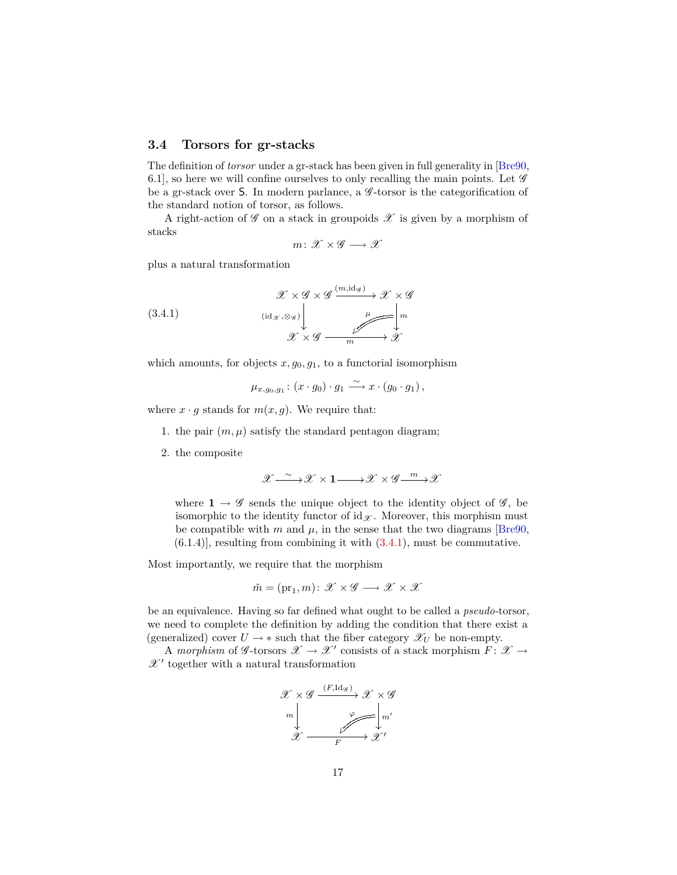#### <span id="page-16-2"></span><span id="page-16-0"></span>**3.4 Torsors for gr-stacks**

The definition of *torsor* under a gr-stack has been given in full generality in [\[Bre90,](#page-52-1) 6.1], so here we will confine ourselves to only recalling the main points. Let  $\mathscr G$ be a gr-stack over S. In modern parlance, a  $\mathscr G$ -torsor is the categorification of the standard notion of torsor, as follows.

A right-action of  $\mathscr G$  on a stack in groupoids  $\mathscr X$  is given by a morphism of stacks

<span id="page-16-1"></span>
$$
m\colon \mathscr{X} \times \mathscr{G} \longrightarrow \mathscr{X}
$$

plus a natural transformation

(3.4.1) 
$$
\mathscr{X} \times \mathscr{G} \times \mathscr{G} \xrightarrow{(m, \text{id}_{\mathscr{G}})} \mathscr{X} \times \mathscr{G}
$$

$$
\downarrow \qquad \qquad \downarrow \qquad \qquad \downarrow \qquad \downarrow \qquad \downarrow \qquad \downarrow \qquad \downarrow \qquad \downarrow \qquad \downarrow \qquad \downarrow \qquad \downarrow \qquad \downarrow \qquad \downarrow \qquad \downarrow \qquad \downarrow \qquad \downarrow \qquad \downarrow \qquad \downarrow \qquad \downarrow \qquad \downarrow \qquad \downarrow \qquad \downarrow \qquad \downarrow \qquad \downarrow \qquad \downarrow \qquad \downarrow \qquad \downarrow \qquad \downarrow \qquad \downarrow \qquad \downarrow \qquad \downarrow \qquad \downarrow \qquad \downarrow \qquad \downarrow \qquad \downarrow \qquad \downarrow \qquad \downarrow \qquad \downarrow \qquad \downarrow \qquad \downarrow \qquad \downarrow \qquad \downarrow \qquad \downarrow \qquad \downarrow \qquad \downarrow \qquad \downarrow \qquad \downarrow \qquad \downarrow \qquad \downarrow \qquad \downarrow \qquad \downarrow \qquad \downarrow \qquad \downarrow \qquad \downarrow \qquad \downarrow \qquad \downarrow \qquad \downarrow \qquad \downarrow \qquad \downarrow \qquad \downarrow \qquad \downarrow \qquad \downarrow \qquad \downarrow \qquad \downarrow \qquad \downarrow \qquad \downarrow \qquad \downarrow \qquad \downarrow \qquad \downarrow \qquad \downarrow \qquad \downarrow \qquad \downarrow \qquad \downarrow \qquad \downarrow \qquad \downarrow \qquad \downarrow \qquad \downarrow \qquad \downarrow \qquad \downarrow \qquad \downarrow \qquad \downarrow \qquad \downarrow \qquad \downarrow \qquad \downarrow \qquad \downarrow \qquad \downarrow \qquad \downarrow \qquad \downarrow \qquad \downarrow \qquad \downarrow \qquad \downarrow \qquad \downarrow \qquad \downarrow \qquad \downarrow \qquad \downarrow \qquad \downarrow \qquad \downarrow \qquad \downarrow \qquad \downarrow \qquad \downarrow \qquad \downarrow \qquad \downarrow \qquad \downarrow \qquad \downarrow \qquad \downarrow \qquad \downarrow \qquad \downarrow \qquad \downarrow \qquad \downarrow \qquad \downarrow \qquad \downarrow \qquad \downarrow \qquad \downarrow \qquad \downarrow \qquad \downarrow
$$

which amounts, for objects  $x, g_0, g_1$ , to a functorial isomorphism

$$
\mu_{x,g_0,g_1} : (x \cdot g_0) \cdot g_1 \xrightarrow{\sim} x \cdot (g_0 \cdot g_1),
$$

where  $x \cdot g$  stands for  $m(x, g)$ . We require that:

- 1. the pair  $(m, \mu)$  satisfy the standard pentagon diagram;
- 2. the composite

$$
\mathscr{X} \mathop{\longrightarrow}^{\sim} \mathscr{X} \times \mathbf{1} \mathop{\longrightarrow}^{\sim} \mathscr{X} \times \mathscr{G} \mathop{\longrightarrow}^m \mathscr{X}
$$

where  $\mathbf{1} \rightarrow \mathscr{G}$  sends the unique object to the identity object of  $\mathscr{G}$ , be isomorphic to the identity functor of  $id_{\mathscr{X}}$ . Moreover, this morphism must be compatible with  $m$  and  $\mu$ , in the sense that the two diagrams [\[Bre90,](#page-52-1)  $(6.1.4)$ , resulting from combining it with  $(3.4.1)$ , must be commutative.

Most importantly, we require that the morphism

$$
\tilde{m} = (\mathrm{pr}_1, m) \colon \mathscr{X} \times \mathscr{G} \longrightarrow \mathscr{X} \times \mathscr{X}
$$

be an equivalence. Having so far defined what ought to be called a *pseudo-*torsor, we need to complete the definition by adding the condition that there exist a (generalized) cover  $U \rightarrow *$  such that the fiber category  $\mathscr{X}_U$  be non-empty.

A morphism of  $\mathscr{G}\text{-torsors }\mathscr{X}\to\mathscr{X}'$  consists of a stack morphism  $F\colon\mathscr{X}\to$  $\mathscr{X}'$  together with a natural transformation

$$
\begin{array}{ccc}\n\mathcal{X}\times\mathcal{G} & \xrightarrow{(F,\mathrm{Id}_{\mathcal{G}})} & \mathcal{X}\times\mathcal{G} \\
m & & \downarrow & \\
\mathcal{X} & \xrightarrow{F} & \mathcal{X}'\n\end{array}
$$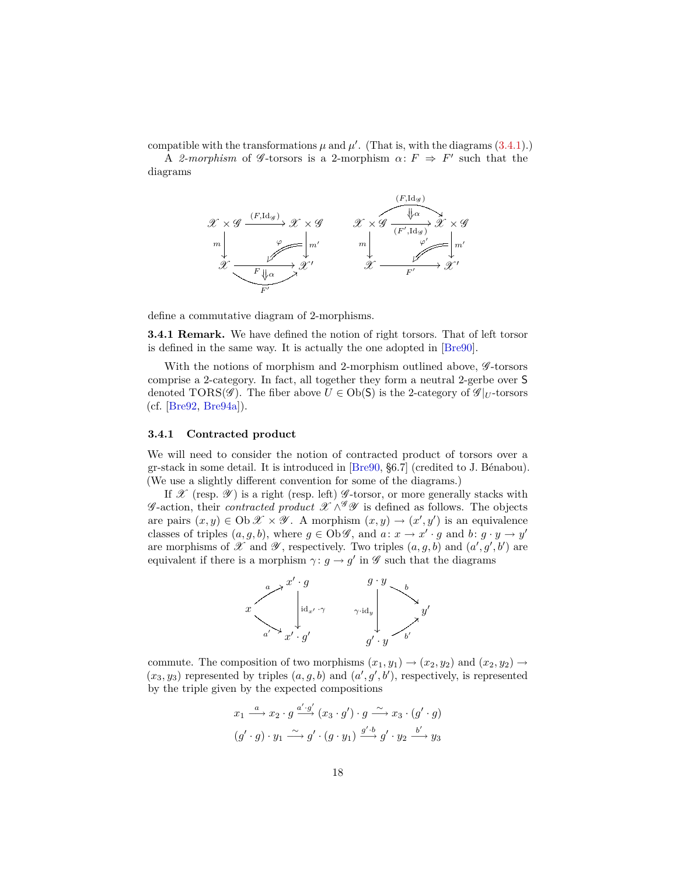<span id="page-17-1"></span>compatible with the transformations  $\mu$  and  $\mu'$ . (That is, with the diagrams  $(3.4.1)$ .)

A 2-morphism of  $\mathscr G$ -torsors is a 2-morphism  $\alpha: F \Rightarrow F'$  such that the diagrams



define a commutative diagram of 2-morphisms.

**3.4.1 Remark.** We have defined the notion of right torsors. That of left torsor is defined in the same way. It is actually the one adopted in [\[Bre90\]](#page-52-1).

With the notions of morphism and 2-morphism outlined above,  $\mathscr{G}\text{-torsors}$ comprise a 2-category. In fact, all together they form a neutral 2-gerbe over S denoted TORS( $\mathscr{G}$ ). The fiber above  $U \in Ob(\mathsf{S})$  is the 2-category of  $\mathscr{G}|_U$ -torsors (cf. [\[Bre92,](#page-53-3) [Bre94a\]](#page-53-4)).

#### <span id="page-17-0"></span>**3.4.1 Contracted product**

We will need to consider the notion of contracted product of torsors over a gr-stack in some detail. It is introduced in [\[Bre90,](#page-52-1) §6.7] (credited to J. Bénabou). (We use a slightly different convention for some of the diagrams.)

If  $\mathscr X$  (resp.  $\mathscr Y$ ) is a right (resp. left)  $\mathscr G$ -torsor, or more generally stacks with  $\mathscr{G}\text{-action, their contracted product } \mathscr{X} \wedge^{\mathscr{G}} \mathscr{Y}$  is defined as follows. The objects are pairs  $(x, y) \in \text{Ob } \mathcal{X} \times \mathcal{Y}$ . A morphism  $(x, y) \rightarrow (x', y')$  is an equivalence classes of triples  $(a, g, b)$ , where  $g \in Ob \mathscr{G}$ , and  $a: x \to x' \cdot g$  and  $b: g \cdot y \to y'$ are morphisms of  $\mathscr X$  and  $\mathscr Y$ , respectively. Two triples  $(a, g, b)$  and  $(a', g', b')$  are equivalent if there is a morphism  $\gamma: g \to g'$  in  $\mathscr G$  such that the diagrams



commute. The composition of two morphisms  $(x_1, y_1) \rightarrow (x_2, y_2)$  and  $(x_2, y_2) \rightarrow$  $(x_3, y_3)$  represented by triples  $(a, g, b)$  and  $(a', g', b')$ , respectively, is represented by the triple given by the expected compositions

$$
x_1 \xrightarrow{a} x_2 \cdot g \xrightarrow{a' \cdot g'} (x_3 \cdot g') \cdot g \xrightarrow{\sim} x_3 \cdot (g' \cdot g)
$$
  

$$
(g' \cdot g) \cdot y_1 \xrightarrow{\sim} g' \cdot (g \cdot y_1) \xrightarrow{g' \cdot b} g' \cdot y_2 \xrightarrow{b'} y_3
$$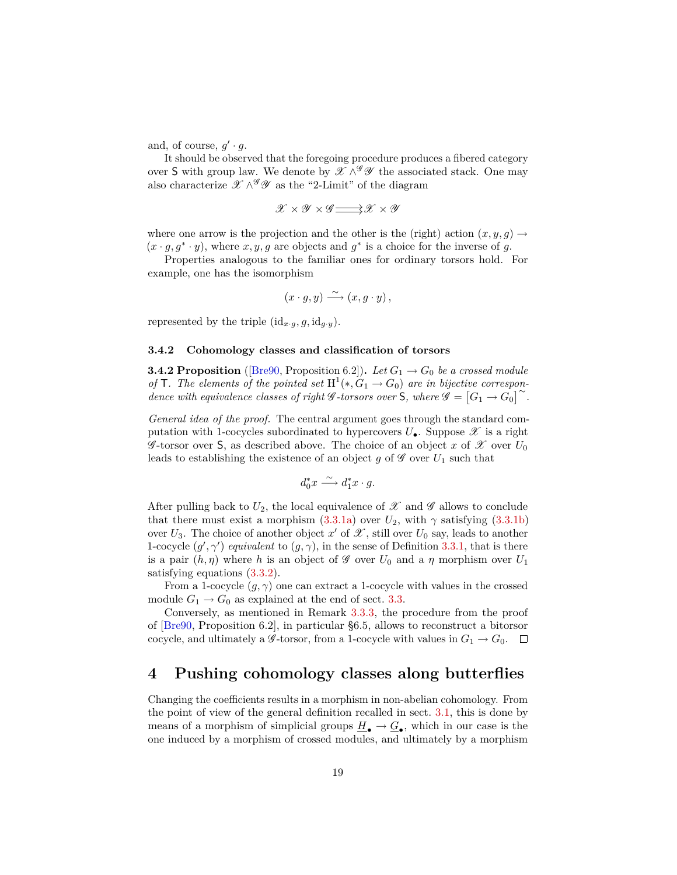<span id="page-18-2"></span>and, of course,  $g' \cdot g$ .

It should be observed that the foregoing procedure produces a fibered category over S with group law. We denote by  $\mathscr{X} \wedge^{\mathscr{G}} \mathscr{Y}$  the associated stack. One may also characterize  $\mathscr{X} \wedge^{\mathscr{G}} \mathscr{Y}$  as the "2-Limit" of the diagram

$$
\mathscr{X} \times \mathscr{Y} \times \mathscr{G} \mathbf{ \longrightarrow } \mathscr{X} \times \mathscr{Y}
$$

where one arrow is the projection and the other is the (right) action  $(x, y, g) \rightarrow$  $(x \cdot g, g^* \cdot y)$ , where  $x, y, g$  are objects and  $g^*$  is a choice for the inverse of *g*.

Properties analogous to the familiar ones for ordinary torsors hold. For example, one has the isomorphism

$$
(x \cdot g, y) \xrightarrow{\sim} (x, g \cdot y),
$$

represented by the triple  $(id_{x\cdot g}, g, id_{g\cdot y})$ .

#### **3.4.2 Cohomology classes and classification of torsors**

<span id="page-18-1"></span>**3.4.2 Proposition** ([\[Bre90,](#page-52-1) Proposition 6.2]). Let  $G_1 \rightarrow G_0$  be a crossed module *of* **T***. The elements of the pointed set*  $H^1(*, G_1 \to G_0)$  *are in bijective correspon-* $\det^{\mathcal{A}} \mathcal{A} = \left[ G_1 \rightarrow G_0 \right]^\sim.$ 

*General idea of the proof.* The central argument goes through the standard computation with 1-cocycles subordinated to hypercovers  $U_{\bullet}$ . Suppose  $\mathscr X$  is a right G -torsor over S, as described above. The choice of an object x of X over  $U_0$ leads to establishing the existence of an object  $g$  of  $\mathscr G$  over  $U_1$  such that

$$
d_0^*x\stackrel{\sim}{\longrightarrow} d_1^*x\cdot g.
$$

After pulling back to  $U_2$ , the local equivalence of  $\mathscr X$  and  $\mathscr G$  allows to conclude that there must exist a morphism  $(3.3.1a)$  over  $U_2$ , with  $\gamma$  satisfying  $(3.3.1b)$ over  $U_3$ . The choice of another object  $x'$  of  $\mathscr X$ , still over  $U_0$  say, leads to another 1-cocycle  $(g', \gamma')$  *equivalent* to  $(g, \gamma)$ , in the sense of Definition [3.3.1,](#page-14-1) that is there is a pair  $(h, \eta)$  where h is an object of  $\mathscr G$  over  $U_0$  and a  $\eta$  morphism over  $U_1$ satisfying equations [\(3.3.2\)](#page-14-4).

From a 1-cocycle  $(g, \gamma)$  one can extract a 1-cocycle with values in the crossed module  $G_1 \rightarrow G_0$  as explained at the end of sect. [3.3.](#page-14-0)

Conversely, as mentioned in Remark [3.3.3,](#page-15-1) the procedure from the proof of [\[Bre90,](#page-52-1) Proposition 6.2], in particular §6.5, allows to reconstruct a bitorsor cocycle, and ultimately a  $\mathscr{G}\text{-torsor}$ , from a 1-cocycle with values in  $G_1 \to G_0$ .  $\Box$ 

# <span id="page-18-0"></span>**4 Pushing cohomology classes along butterflies**

Changing the coefficients results in a morphism in non-abelian cohomology. From the point of view of the general definition recalled in sect. [3.1,](#page-11-1) this is done by means of a morphism of simplicial groups  $\underline{H}_{\bullet} \to \underline{G}_{\bullet}$ , which in our case is the one induced by a morphism of crossed modules, and ultimately by a morphism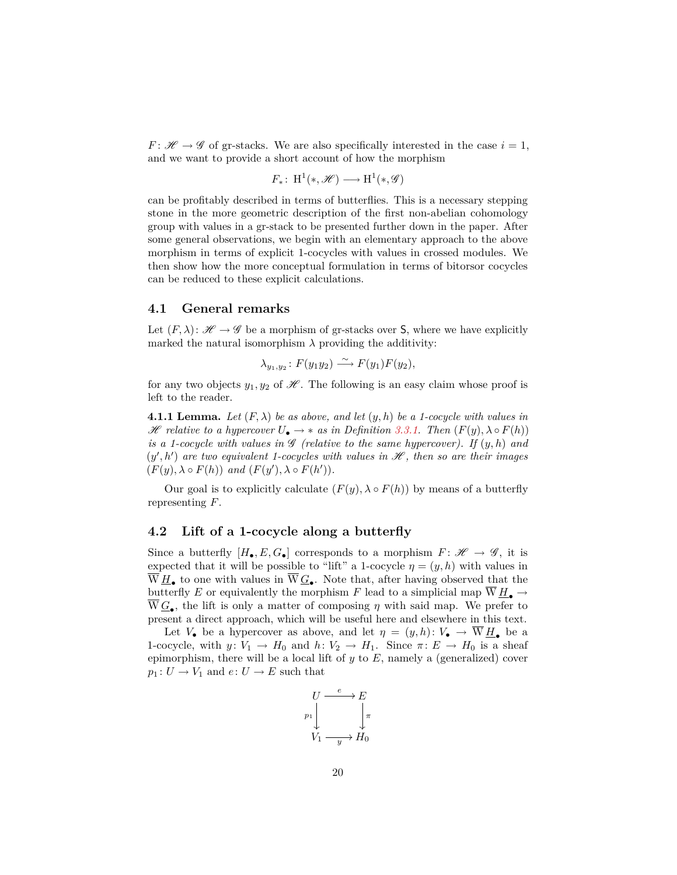*F* :  $\mathcal{H} \rightarrow \mathcal{G}$  of gr-stacks. We are also specifically interested in the case  $i = 1$ , and we want to provide a short account of how the morphism

$$
F_*\colon\operatorname{H}^1(*,\mathscr{H})\longrightarrow\operatorname{H}^1(*,\mathscr{G})
$$

can be profitably described in terms of butterflies. This is a necessary stepping stone in the more geometric description of the first non-abelian cohomology group with values in a gr-stack to be presented further down in the paper. After some general observations, we begin with an elementary approach to the above morphism in terms of explicit 1-cocycles with values in crossed modules. We then show how the more conceptual formulation in terms of bitorsor cocycles can be reduced to these explicit calculations.

#### <span id="page-19-0"></span>**4.1 General remarks**

Let  $(F, \lambda): \mathscr{H} \to \mathscr{G}$  be a morphism of gr-stacks over S, where we have explicitly marked the natural isomorphism  $\lambda$  providing the additivity:

$$
\lambda_{y_1,y_2} \colon F(y_1y_2) \xrightarrow{\sim} F(y_1)F(y_2),
$$

for any two objects  $y_1, y_2$  of  $\mathcal{H}$ . The following is an easy claim whose proof is left to the reader.

**4.1.1 Lemma.** Let  $(F, \lambda)$  be as above, and let  $(y, h)$  be a 1-cocycle with values in  $\mathscr H$  *relative to a hypercover*  $U_{\bullet} \to *$  *as in Definition [3.3.1.](#page-14-1)* Then  $(F(y), \lambda \circ F(h))$ *is a 1-cocycle with values in*  $\mathscr G$  *(relative to the same hypercover). If*  $(y, h)$  *and*  $(y', h')$  are two equivalent 1-cocycles with values in  $\mathscr{H}$ , then so are their images  $(F(y), \lambda \circ F(h))$  *and*  $(F(y'), \lambda \circ F(h'))$ *.* 

Our goal is to explicitly calculate  $(F(y), \lambda \circ F(h))$  by means of a butterfly representing *F*.

### <span id="page-19-1"></span>**4.2 Lift of a 1-cocycle along a butterfly**

Since a butterfly  $[H_{\bullet}, E, G_{\bullet}]$  corresponds to a morphism  $F: \mathscr{H} \to \mathscr{G}$ , it is expected that it will be possible to "lift" a 1-cocycle  $\eta = (y, h)$  with values in  $\overline{W}\underline{H}_{\bullet}$  to one with values in  $\overline{W}\underline{G}_{\bullet}$ . Note that, after having observed that the butterfly *E* or equivalently the morphism *F* lead to a simplicial map  $\overline{W} H_{\bullet} \rightarrow$  $W \underline{G}_{\bullet}$ , the lift is only a matter of composing  $\eta$  with said map. We prefer to present a direct approach, which will be useful here and elsewhere in this text.

Let  $V_{\bullet}$  be a hypercover as above, and let  $\eta = (y, h): V_{\bullet} \to \overline{W} \underline{H}_{\bullet}$  be a 1-cocycle, with  $y: V_1 \to H_0$  and  $h: V_2 \to H_1$ . Since  $\pi: E \to H_0$  is a sheaf epimorphism, there will be a local lift of *y* to *E*, namely a (generalized) cover  $p_1: U \to V_1$  and  $e: U \to E$  such that

$$
\begin{array}{ccc}\nU & \xrightarrow{e} & E \\
p_1 & & \downarrow \\
V_1 & \xrightarrow{y} & H_0\n\end{array}
$$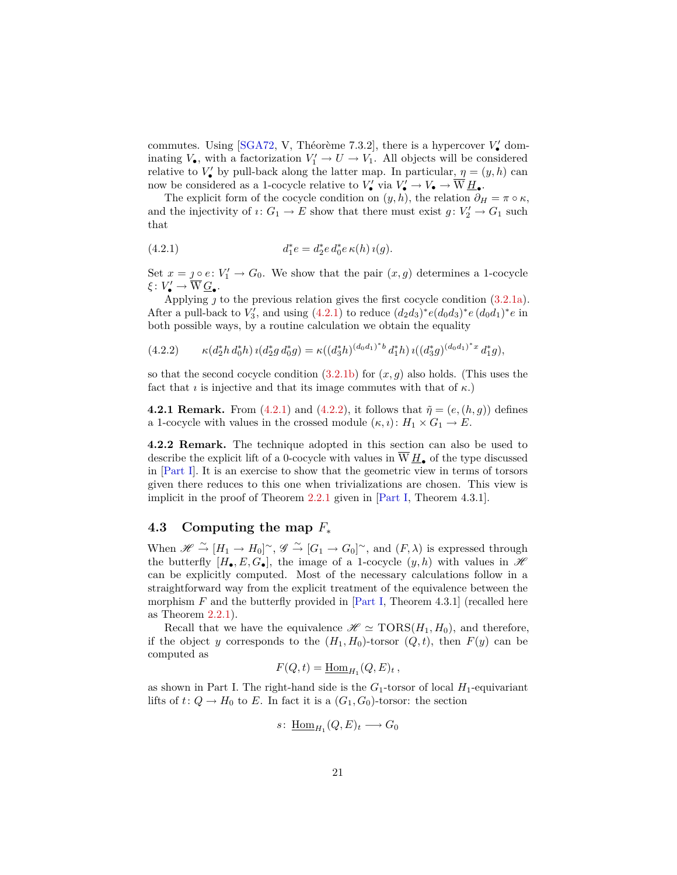<span id="page-20-4"></span>commutes. Using [\[SGA72,](#page-54-5) V, Théorème 7.3.2], there is a hypercover  $V'_{\bullet}$  dominating  $V_{\bullet}$ , with a factorization  $V'_{1} \to U \to V_{1}$ . All objects will be considered relative to  $V'_{\bullet}$  by pull-back along the latter map. In particular,  $\eta = (y, h)$  can now be considered as a 1-cocycle relative to  $V'_\bullet$  via  $V'_\bullet \to V_\bullet \to \overline{W} \underline{H}_\bullet$ .

The explicit form of the cocycle condition on  $(y, h)$ , the relation  $\partial_H = \pi \circ \kappa$ , and the injectivity of  $i: G_1 \to E$  show that there must exist  $g: V'_2 \to G_1$  such that

<span id="page-20-1"></span>(4.2.1) 
$$
d_1^*e = d_2^*e d_0^*e \kappa(h) \iota(g).
$$

Set  $x = \underline{\jmath \circ} e \colon V_1' \to G_0$ . We show that the pair  $(x, g)$  determines a 1-cocycle  $\xi\colon V'_\bullet\to \overline{\mathcal{W}}\,\underline{G}_\bullet.$ 

Applying  $\jmath$  to the previous relation gives the first cocycle condition  $(3.2.1a)$ . After a pull-back to  $V'_3$ , and using  $(4.2.1)$  to reduce  $(d_2d_3)^*e(d_0d_3)^*e(d_0d_1)^*e$  in both possible ways, by a routine calculation we obtain the equality

<span id="page-20-2"></span>
$$
(4.2.2) \qquad \kappa(d_2^*h\,d_0^*h)\,\imath(d_2^*g\,d_0^*g) = \kappa((d_3^*h)^{(d_0d_1)^*b}\,d_1^*h)\,\imath((d_3^*g)^{(d_0d_1)^*x}\,d_1^*g),
$$

so that the second cocycle condition  $(3.2.1b)$  for  $(x, g)$  also holds. (This uses the fact that *i* is injective and that its image commutes with that of  $\kappa$ .)

**4.2.1 Remark.** From [\(4.2.1\)](#page-20-1) and [\(4.2.2\)](#page-20-2), it follows that  $\tilde{\eta} = (e,(h,g))$  defines a 1-cocycle with values in the crossed module  $(\kappa, \iota): H_1 \times G_1 \to E$ .

<span id="page-20-3"></span>**4.2.2 Remark.** The technique adopted in this section can also be used to describe the explicit lift of a 0-cocycle with values in  $\overline{W} H_{\bullet}$  of the type discussed in [\[Part I\]](#page-52-0). It is an exercise to show that the geometric view in terms of torsors given there reduces to this one when trivializations are chosen. This view is implicit in the proof of Theorem [2.2.1](#page-9-2) given in [\[Part I,](#page-52-0) Theorem 4.3.1].

### <span id="page-20-0"></span>**4.3 Computing the map** *F*<sup>∗</sup>

When  $\mathscr{H} \stackrel{\sim}{\to} [H_1 \to H_0]^\sim$ ,  $\mathscr{G} \stackrel{\sim}{\to} [G_1 \to G_0]^\sim$ , and  $(F, \lambda)$  is expressed through the butterfly  $[H_{\bullet}, E, G_{\bullet}]$ , the image of a 1-cocycle  $(y, h)$  with values in  $\mathscr H$ can be explicitly computed. Most of the necessary calculations follow in a straightforward way from the explicit treatment of the equivalence between the morphism  $F$  and the butterfly provided in  $[Part I, Theorem 4.3.1]$  $[Part I, Theorem 4.3.1]$  (recalled here as Theorem [2.2.1\)](#page-9-2).

Recall that we have the equivalence  $\mathscr{H} \simeq \text{TORS}(H_1, H_0)$ , and therefore, if the object *y* corresponds to the  $(H_1, H_0)$ -torsor  $(Q, t)$ , then  $F(y)$  can be computed as

$$
F(Q, t) = \underline{\mathrm{Hom}}_{H_1}(Q, E)_t,
$$

as shown in Part I. The right-hand side is the  $G_1$ -torsor of local  $H_1$ -equivariant lifts of  $t: Q \to H_0$  to *E*. In fact it is a  $(G_1, G_0)$ -torsor: the section

$$
s\colon \underline{\mathrm{Hom}}_{H_1}(Q,E)_t\longrightarrow G_0
$$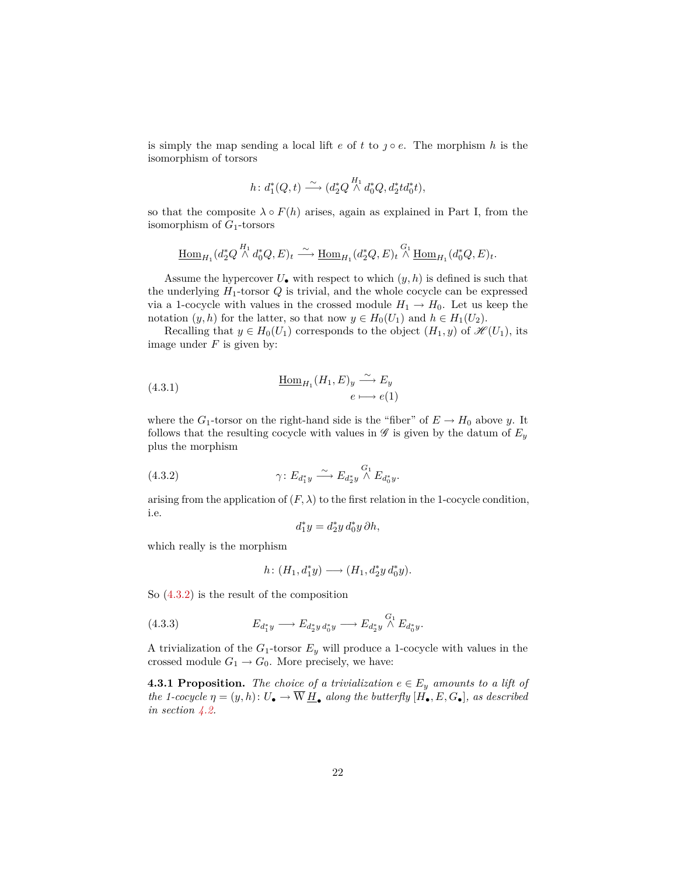is simply the map sending a local lift  $e$  of  $t$  to  $\jmath \circ e$ . The morphism  $h$  is the isomorphism of torsors

$$
h\colon d_1^*(Q,t) \xrightarrow{\sim} (d_2^*Q \overset{H_1}{\wedge} d_0^*Q, d_2^*td_0^*t),
$$

so that the composite  $\lambda \circ F(h)$  arises, again as explained in Part I, from the isomorphism of *G*1-torsors

$$
\underline{\mathrm{Hom}}_{H_1}(d_2^*Q \overset{H_1}{\wedge} d_0^*Q, E)_t \overset{\sim}{\longrightarrow} \underline{\mathrm{Hom}}_{H_1}(d_2^*Q, E)_t \overset{G_1}{\wedge} \underline{\mathrm{Hom}}_{H_1}(d_0^*Q, E)_t.
$$

Assume the hypercover  $U_{\bullet}$  with respect to which  $(y, h)$  is defined is such that the underlying  $H_1$ -torsor  $Q$  is trivial, and the whole cocycle can be expressed via a 1-cocycle with values in the crossed module  $H_1 \rightarrow H_0$ . Let us keep the notation  $(y, h)$  for the latter, so that now  $y \in H_0(U_1)$  and  $h \in H_1(U_2)$ .

Recalling that  $y \in H_0(U_1)$  corresponds to the object  $(H_1, y)$  of  $\mathscr{H}(U_1)$ , its image under *F* is given by:

<span id="page-21-2"></span>(4.3.1) 
$$
\underline{\text{Hom}}_{H_1}(H_1, E)_y \xrightarrow{\sim} E_y
$$

$$
e \longmapsto e(1)
$$

where the  $G_1$ -torsor on the right-hand side is the "fiber" of  $E \to H_0$  above *y*. It follows that the resulting cocycle with values in  $\mathscr G$  is given by the datum of  $E_y$ plus the morphism

(4.3.2) 
$$
\gamma \colon E_{d_1^*y} \xrightarrow{\sim} E_{d_2^*y} \overset{G_1}{\wedge} E_{d_0^*y}.
$$

arising from the application of  $(F, \lambda)$  to the first relation in the 1-cocycle condition, i.e.

<span id="page-21-0"></span>
$$
d_1^*y=d_2^*y\,d_0^*y\,\partial h,
$$

which really is the morphism

<span id="page-21-1"></span>
$$
h\colon (H_1,d_1^*y)\longrightarrow (H_1,d_2^*y\,d_0^*y).
$$

So [\(4.3.2\)](#page-21-0) is the result of the composition

(4.3.3) 
$$
E_{d_1^*y} \longrightarrow E_{d_2^*y d_0^*y} \longrightarrow E_{d_2^*y} \overset{G_1}{\wedge} E_{d_0^*y}.
$$

A trivialization of the  $G_1$ -torsor  $E_y$  will produce a 1-cocycle with values in the crossed module  $G_1 \rightarrow G_0$ . More precisely, we have:

**4.3.1 Proposition.** *The choice of a trivialization*  $e \in E_y$  *amounts to a lift of the 1-cocycle*  $\eta = (y, h): U_{\bullet} \to \overline{W} \underline{H}_{\bullet}$  *along the butterfly*  $[\overrightarrow{H}_{\bullet}, E, G_{\bullet}]$ *, as described in section [4.2.](#page-19-1)*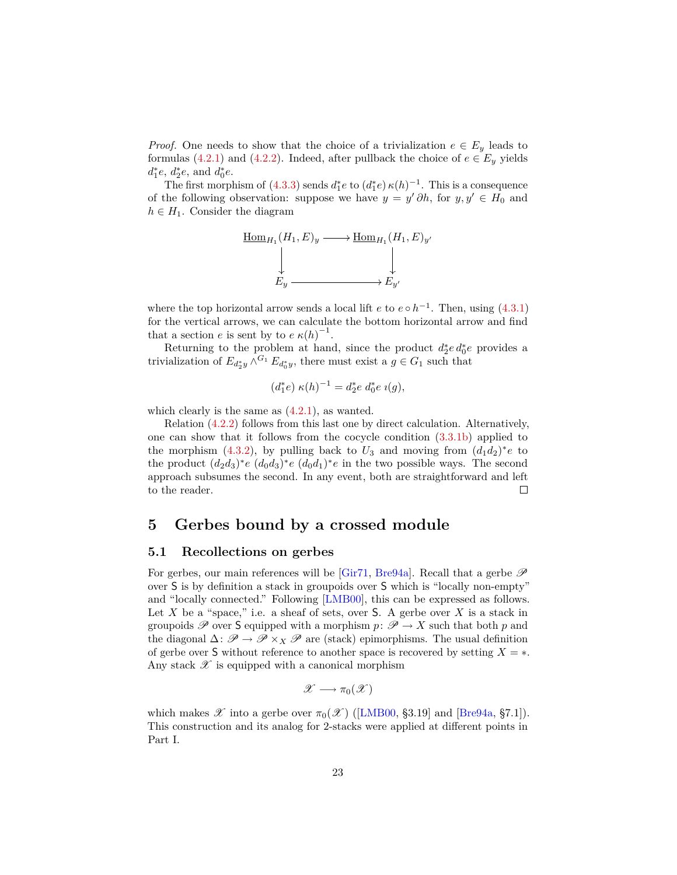<span id="page-22-2"></span>*Proof.* One needs to show that the choice of a trivialization  $e \in E_y$  leads to formulas [\(4.2.1\)](#page-20-1) and [\(4.2.2\)](#page-20-2). Indeed, after pullback the choice of  $e \in E_y$  yields  $d_1^*e, d_2^*e, \text{ and } d_0^*e.$ 

The first morphism of [\(4.3.3\)](#page-21-1) sends  $d_1^*e$  to  $(d_1^*e) \kappa(h)^{-1}$ . This is a consequence of the following observation: suppose we have  $y = y' \partial h$ , for  $y, y' \in H_0$  and  $h \in H_1$ . Consider the diagram

$$
\begin{array}{ccc}\n\underline{\operatorname{Hom}}_{H_1}(H_1, E)_y & \longrightarrow \operatorname{\underline{Hom}}_{H_1}(H_1, E)_y' \\
\downarrow & & \downarrow \\
E_y & \longrightarrow E_{y'}\n\end{array}
$$

where the top horizontal arrow sends a local lift  $e$  to  $e \circ h^{-1}$ . Then, using [\(4.3.1\)](#page-21-2) for the vertical arrows, we can calculate the bottom horizontal arrow and find that a section *e* is sent by to  $e \kappa(h)^{-1}$ .

Returning to the problem at hand, since the product  $d_2^* e d_0^* e$  provides a trivialization of  $E_{d_2^*y} \wedge^{G_1} E_{d_0^*y}$ , there must exist a  $g \in G_1$  such that

$$
(d_1^*e) \ \kappa(h)^{-1} = d_2^*e \ d_0^*e \ \iota(g),
$$

which clearly is the same as  $(4.2.1)$ , as wanted.

Relation [\(4.2.2\)](#page-20-2) follows from this last one by direct calculation. Alternatively, one can show that it follows from the cocycle condition [\(3.3.1b\)](#page-14-3) applied to the morphism [\(4.3.2\)](#page-21-0), by pulling back to  $U_3$  and moving from  $(d_1d_2)^*e$  to the product  $(d_2d_3)^*e$   $(d_0d_3)^*e$   $(d_0d_1)^*e$  in the two possible ways. The second approach subsumes the second. In any event, both are straightforward and left to the reader.  $\Box$ 

# <span id="page-22-0"></span>**5 Gerbes bound by a crossed module**

#### <span id="page-22-1"></span>**5.1 Recollections on gerbes**

For gerbes, our main references will be [\[Gir71,](#page-53-2) [Bre94a\]](#page-53-4). Recall that a gerbe  $\mathscr P$ over S is by definition a stack in groupoids over S which is "locally non-empty" and "locally connected." Following [\[LMB00\]](#page-54-6), this can be expressed as follows. Let  $X$  be a "space," i.e. a sheaf of sets, over  $S$ . A gerbe over  $X$  is a stack in groupoids  $\mathscr P$  over **S** equipped with a morphism  $p: \mathscr P \to X$  such that both  $p$  and the diagonal  $\Delta: \mathscr{P} \to \mathscr{P} \times_X \mathscr{P}$  are (stack) epimorphisms. The usual definition of gerbe over **S** without reference to another space is recovered by setting  $X = *$ . Any stack  $\mathscr X$  is equipped with a canonical morphism

$$
\mathscr{X}\longrightarrow\pi_0(\mathscr{X})
$$

which makes  $\mathscr X$  into a gerbe over  $\pi_0(\mathscr X)$  ([\[LMB00,](#page-54-6) §3.19] and [\[Bre94a,](#page-53-4) §7.1]). This construction and its analog for 2-stacks were applied at different points in Part I.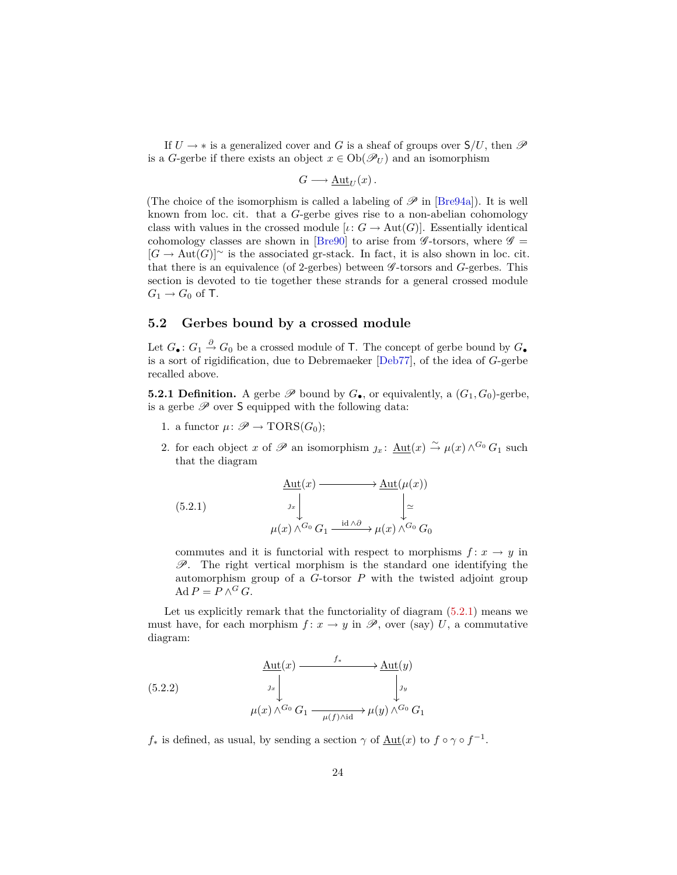<span id="page-23-4"></span>If  $U \to *$  is a generalized cover and G is a sheaf of groups over  $S/U$ , then  $\mathscr P$ is a *G*-gerbe if there exists an object  $x \in Ob(\mathcal{P}_U)$  and an isomorphism

$$
G \longrightarrow \underline{\mathrm{Aut}}_U(x) \, .
$$

(The choice of the isomorphism is called a labeling of  $\mathscr P$  in [\[Bre94a\]](#page-53-4)). It is well known from loc. cit. that a *G*-gerbe gives rise to a non-abelian cohomology class with values in the crossed module  $[\iota: G \to \text{Aut}(G)]$ . Essentially identical cohomology classes are shown in [\[Bre90\]](#page-52-1) to arise from  $\mathscr{G}$ -torsors, where  $\mathscr{G}$  =  $[G \to Aut(G)]^{\sim}$  is the associated gr-stack. In fact, it is also shown in loc. cit. that there is an equivalence (of 2-gerbes) between  $\mathscr G$ -torsors and *G*-gerbes. This section is devoted to tie together these strands for a general crossed module  $G_1 \rightarrow G_0$  of **T**.

## <span id="page-23-0"></span>**5.2 Gerbes bound by a crossed module**

Let  $G_{\bullet}$ :  $G_1 \stackrel{\partial}{\rightarrow} G_0$  be a crossed module of T. The concept of gerbe bound by  $G_{\bullet}$ is a sort of rigidification, due to Debremaeker [\[Deb77\]](#page-53-0), of the idea of *G*-gerbe recalled above.

<span id="page-23-3"></span>**5.2.1 Definition.** A gerbe  $\mathscr P$  bound by  $G_{\bullet}$ , or equivalently, a  $(G_1, G_0)$ -gerbe, is a gerbe  $\mathscr P$  over  $S$  equipped with the following data:

- 1. a functor  $\mu \colon \mathscr{P} \to \text{TORS}(G_0);$
- 2. for each object *x* of  $\mathscr P$  an isomorphism  $j_x$ :  $\underline{\mathrm{Aut}}(x) \xrightarrow{\sim} \mu(x) \wedge^{G_0} G_1$  such that the diagram

<span id="page-23-1"></span>(5.2.1) 
$$
\begin{array}{c}\n\Delta \text{ut}(x) \longrightarrow \Delta \text{ut}(\mu(x)) \\
\downarrow_{x} \downarrow_{x} \\
\mu(x) \wedge^{G_0} G_1 \xrightarrow{\text{id} \wedge \partial} \mu(x) \wedge^{G_0} G_0\n\end{array}
$$

commutes and it is functorial with respect to morphisms  $f: x \to y$  in  $\mathscr{P}$ . The right vertical morphism is the standard one identifying the automorphism group of a *G*-torsor *P* with the twisted adjoint group  $\operatorname{Ad} P = P \wedge^G G$ .

Let us explicitly remark that the functoriality of diagram [\(5.2.1\)](#page-23-1) means we must have, for each morphism  $f: x \to y$  in  $\mathscr{P}$ , over (say) *U*, a commutative diagram:

<span id="page-23-2"></span>(5.2.2) 
$$
\begin{array}{c}\n\text{Aut}(x) \xrightarrow{f_*} \text{Aut}(y) \\
\downarrow_{x} \\
\downarrow_{y} \\
\mu(x) \wedge^{G_0} G_1 \xrightarrow{\mu(f) \wedge \text{id}} \mu(y) \wedge^{G_0} G_1\n\end{array}
$$

 $f_*$  is defined, as usual, by sending a section  $\gamma$  of  $\underline{\text{Aut}}(x)$  to  $f \circ \gamma \circ f^{-1}$ .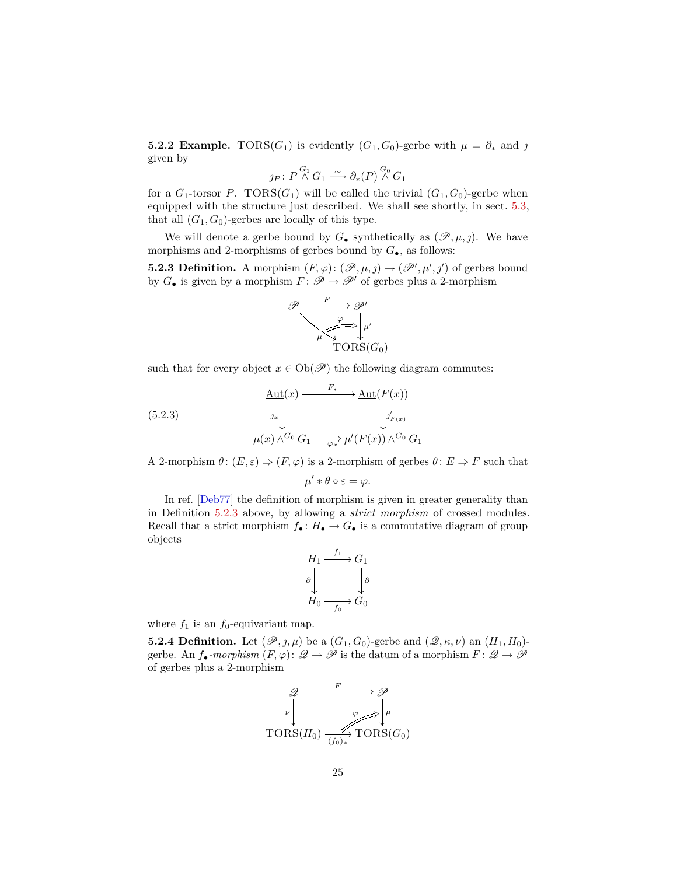<span id="page-24-3"></span><span id="page-24-1"></span>**5.2.2 Example.** TORS( $G_1$ ) is evidently ( $G_1, G_0$ )-gerbe with  $\mu = \partial_*$  and  $\jmath$ given by

$$
\jmath_P\colon P\overset{G_1}\wedge G_1\overset{\sim}{\longrightarrow} \partial_*(P)\overset{G_0}\wedge G_1
$$

for a  $G_1$ -torsor  $P$ . TORS( $G_1$ ) will be called the trivial  $(G_1, G_0)$ -gerbe when equipped with the structure just described. We shall see shortly, in sect. [5.3,](#page-25-0) that all  $(G_1, G_0)$ -gerbes are locally of this type.

We will denote a gerbe bound by  $G_{\bullet}$  synthetically as  $(\mathscr{P}, \mu, \jmath)$ . We have morphisms and 2-morphisms of gerbes bound by *G*•, as follows:

<span id="page-24-0"></span>**5.2.3 Definition.** A morphism  $(F, \varphi) : (\mathscr{P}, \mu, \jmath) \to (\mathscr{P}', \mu', \jmath')$  of gerbes bound by  $G_{\bullet}$  is given by a morphism  $F: \mathscr{P} \to \mathscr{P}'$  of gerbes plus a 2-morphism



such that for every object  $x \in Ob(\mathscr{P})$  the following diagram commutes:

(5.2.3)  
\n
$$
\begin{array}{c}\n\text{Aut}(x) \longrightarrow^{F_*} \longrightarrow \text{Aut}(F(x)) \\
\downarrow^{J_{F(x)}} \\
\downarrow^{J_{F(x)}} \\
\mu(x) \wedge^{G_0} G_1 \longrightarrow^{J*}_{\varphi_x} \mu'(F(x)) \wedge^{G_0} G_1\n\end{array}
$$

A 2-morphism  $\theta$ :  $(E, \varepsilon) \Rightarrow (F, \varphi)$  is a 2-morphism of gerbes  $\theta$ :  $E \Rightarrow F$  such that

$$
\mu' * \theta \circ \varepsilon = \varphi.
$$

In ref. [\[Deb77\]](#page-53-0) the definition of morphism is given in greater generality than in Definition [5.2.3](#page-24-0) above, by allowing a *strict morphism* of crossed modules. Recall that a strict morphism  $f_{\bullet}: H_{\bullet} \to G_{\bullet}$  is a commutative diagram of group objects

$$
H_1 \xrightarrow{f_1} G_1
$$
  
\n
$$
\begin{array}{c}\n\downarrow \\
\downarrow \\
H_0 \xrightarrow{f_0} G_0\n\end{array}
$$

where  $f_1$  is an  $f_0$ -equivariant map.

<span id="page-24-2"></span>**5.2.4 Definition.** Let  $(\mathscr{P}, j, \mu)$  be a  $(G_1, G_0)$ -gerbe and  $(\mathscr{Q}, \kappa, \nu)$  an  $(H_1, H_0)$ gerbe. An  $f_{\bullet}$ *-morphism*  $(F, \varphi)$ :  $\mathscr{Q} \to \mathscr{P}$  is the datum of a morphism  $F: \mathscr{Q} \to \mathscr{P}$ of gerbes plus a 2-morphism

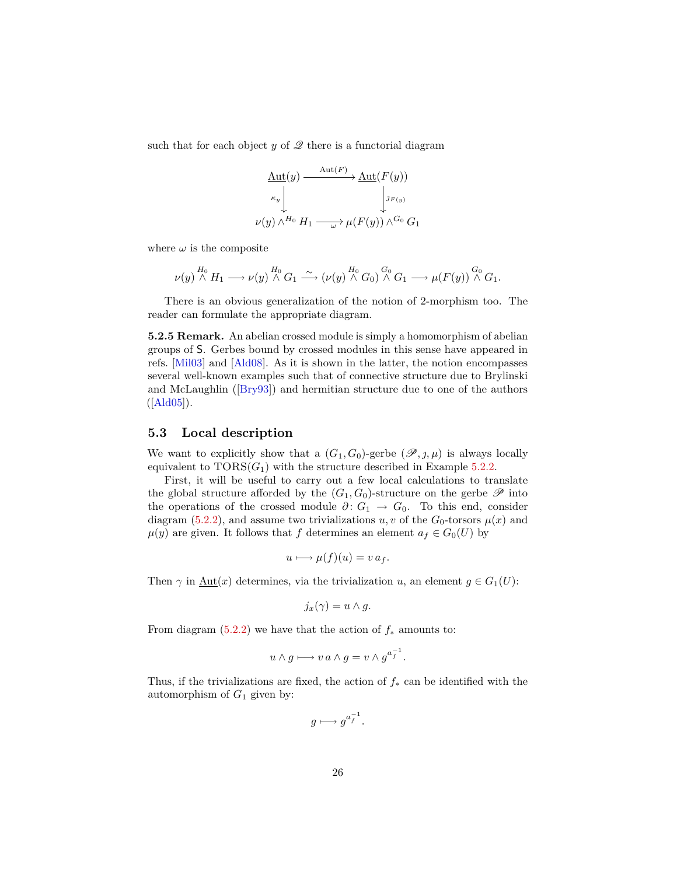<span id="page-25-1"></span>such that for each object  $y$  of  $\mathscr Q$  there is a functorial diagram

$$
\begin{array}{c}\n\text{\underline{Aut}}(y) \xrightarrow{\text{\underline{Aut}}(F)} \text{\underline{Aut}}(F(y)) \\
\downarrow^{\kappa_y} \downarrow^{\jmath_{F(y)}} \\
\nu(y) \wedge^{H_0} H_1 \xrightarrow{\hspace{2cm} \omega} \mu(F(y)) \wedge^{G_0} G_1\n\end{array}
$$

where  $\omega$  is the composite

$$
\nu(y) \stackrel{H_0}{\wedge} H_1 \longrightarrow \nu(y) \stackrel{H_0}{\wedge} G_1 \stackrel{\sim}{\longrightarrow} (\nu(y) \stackrel{H_0}{\wedge} G_0) \stackrel{G_0}{\wedge} G_1 \longrightarrow \mu(F(y)) \stackrel{G_0}{\wedge} G_1.
$$

There is an obvious generalization of the notion of 2-morphism too. The reader can formulate the appropriate diagram.

**5.2.5 Remark.** An abelian crossed module is simply a homomorphism of abelian groups of S. Gerbes bound by crossed modules in this sense have appeared in refs. [\[Mil03\]](#page-54-1) and [\[Ald08\]](#page-52-2). As it is shown in the latter, the notion encompasses several well-known examples such that of connective structure due to Brylinski and McLaughlin ([\[Bry93\]](#page-53-9)) and hermitian structure due to one of the authors  $([Ald05]).$  $([Ald05]).$  $([Ald05]).$ 

### <span id="page-25-0"></span>**5.3 Local description**

We want to explicitly show that a  $(G_1, G_0)$ -gerbe  $(\mathscr{P}, j, \mu)$  is always locally equivalent to  $TORS(G_1)$  with the structure described in Example [5.2.2.](#page-24-1)

First, it will be useful to carry out a few local calculations to translate the global structure afforded by the  $(G_1, G_0)$ -structure on the gerbe  $\mathscr P$  into the operations of the crossed module  $\partial: G_1 \to G_0$ . To this end, consider diagram [\(5.2.2\)](#page-23-2), and assume two trivializations  $u, v$  of the  $G_0$ -torsors  $\mu(x)$  and  $\mu(y)$  are given. It follows that *f* determines an element  $a_f \in G_0(U)$  by

$$
u \longmapsto \mu(f)(u) = v a_f.
$$

Then  $\gamma$  in  $\underline{\text{Aut}}(x)$  determines, via the trivialization *u*, an element  $g \in G_1(U)$ :

$$
j_x(\gamma) = u \wedge g.
$$

From diagram  $(5.2.2)$  we have that the action of  $f_*$  amounts to:

$$
u \wedge g \longmapsto v \, a \wedge g = v \wedge g^{a_f^{-1}}.
$$

Thus, if the trivializations are fixed, the action of *f*<sup>∗</sup> can be identified with the automorphism of  $G_1$  given by:

$$
g\longmapsto g^{a_f^{-1}}.
$$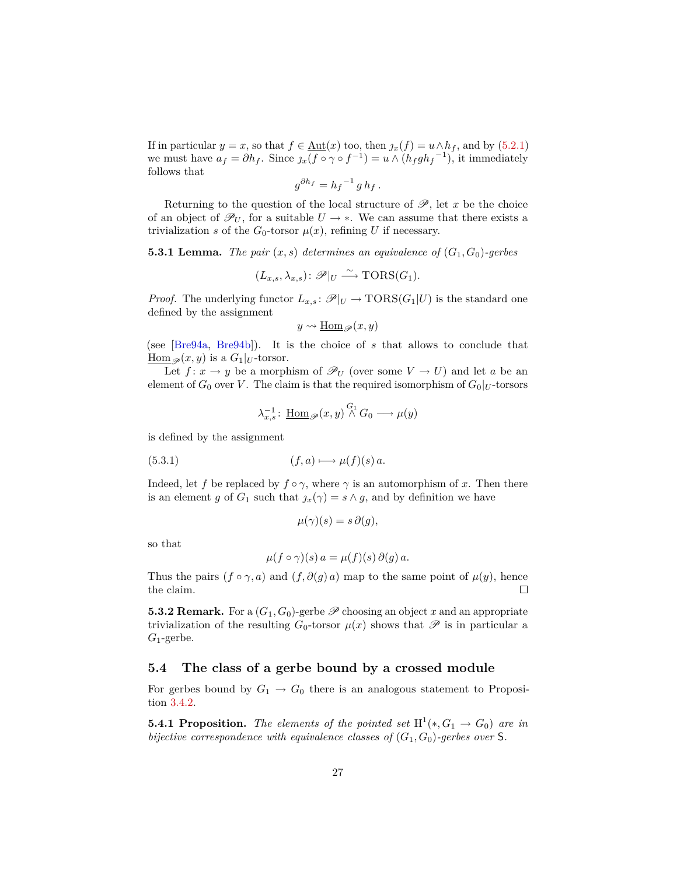<span id="page-26-3"></span>If in particular  $y = x$ , so that  $f \in \underline{\text{Aut}}(x)$  too, then  $j_x(f) = u \wedge h_f$ , and by [\(5.2.1\)](#page-23-1) we must have  $a_f = \partial h_f$ . Since  $\jmath_x(f \circ \gamma \circ f^{-1}) = u \wedge (h_f g h_f^{-1})$ , it immediately follows that

$$
g^{\partial h_f} = h_f{}^{-1} g h_f.
$$

Returning to the question of the local structure of  $\mathscr{P}$ , let  $x$  be the choice of an object of  $\mathscr{P}_U$ , for a suitable  $U \rightarrow *$ . We can assume that there exists a trivialization *s* of the  $G_0$ -torsor  $\mu(x)$ , refining *U* if necessary.

<span id="page-26-2"></span>**5.3.1 Lemma.** *The pair*  $(x, s)$  *determines an equivalence of*  $(G_1, G_0)$ -gerbes

$$
(L_{x,s}, \lambda_{x,s}) \colon \mathscr{P}|_U \xrightarrow{\sim} \text{TORS}(G_1).
$$

*Proof.* The underlying functor  $L_{x,s}: \mathcal{P}|_U \to \text{TORS}(G_1|U)$  is the standard one defined by the assignment

$$
y\leadsto \underline{\mathrm{Hom}}_{\mathscr{P}}(x,y)
$$

(see [\[Bre94a,](#page-53-4) [Bre94b\]](#page-53-10)). It is the choice of *s* that allows to conclude that  $\underline{\text{Hom}}_{\mathscr{P}}(x, y)$  is a  $G_1|_U$ -torsor.

Let  $f: x \to y$  be a morphism of  $\mathcal{P}_U$  (over some  $V \to U$ ) and let *a* be an element of  $G_0$  over *V*. The claim is that the required isomorphism of  $G_0|_U$ -torsors

$$
\lambda_{x,s}^{-1}\colon \operatorname{\underline{Hom}}_{\mathscr{P}}(x,y)\overset{G_1}{\wedge}G_0\longrightarrow \mu(y)
$$

is defined by the assignment

$$
(5.3.1) \t\t\t\t(f,a) \longmapsto \mu(f)(s)a.
$$

Indeed, let *f* be replaced by  $f \circ \gamma$ , where  $\gamma$  is an automorphism of *x*. Then there is an element *g* of  $G_1$  such that  $\chi(x) = s \wedge g$ , and by definition we have

$$
\mu(\gamma)(s) = s \partial(g),
$$

so that

$$
\mu(f \circ \gamma)(s) a = \mu(f)(s) \partial(g) a.
$$

Thus the pairs  $(f \circ \gamma, a)$  and  $(f, \partial(g) a)$  map to the same point of  $\mu(y)$ , hence the claim.  $\Box$ 

**5.3.2 Remark.** For a  $(G_1, G_0)$ -gerbe  $\mathscr P$  choosing an object x and an appropriate trivialization of the resulting  $G_0$ -torsor  $\mu(x)$  shows that  $\mathscr P$  is in particular a *G*1-gerbe.

### <span id="page-26-0"></span>**5.4 The class of a gerbe bound by a crossed module**

For gerbes bound by  $G_1 \rightarrow G_0$  there is an analogous statement to Proposition [3.4.2.](#page-18-1)

<span id="page-26-1"></span>**5.4.1 Proposition.** The elements of the pointed set  $H^1(*, G_1 \rightarrow G_0)$  are in *bijective correspondence with equivalence classes of*  $(G_1, G_0)$ -gerbes over S.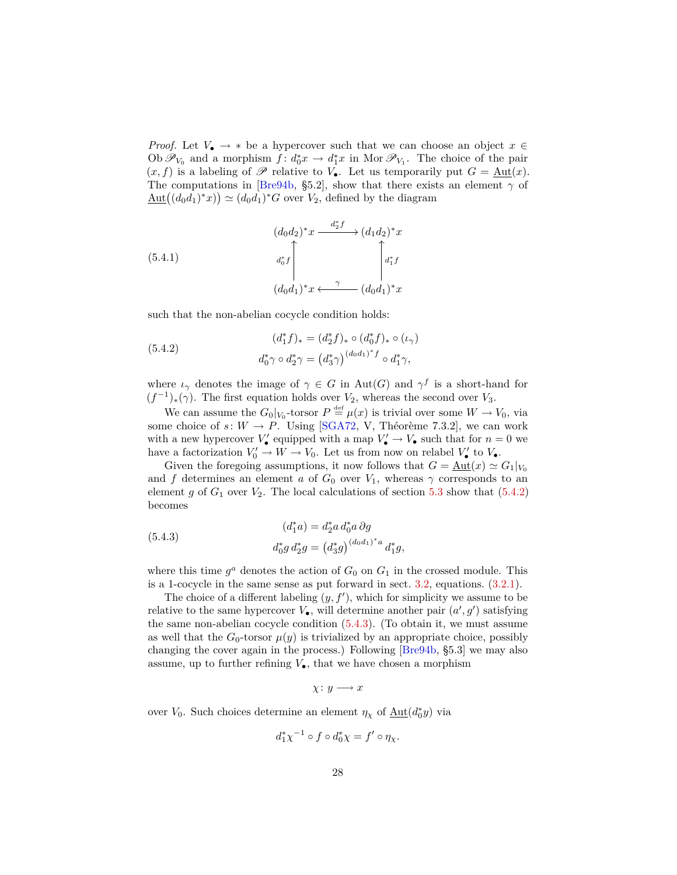<span id="page-27-3"></span>*Proof.* Let  $V_{\bullet} \rightarrow *$  be a hypercover such that we can choose an object  $x \in$ Ob  $\mathscr{P}_{V_0}$  and a morphism  $f: d_0^* x \to d_1^* x$  in Mor  $\mathscr{P}_{V_1}$ . The choice of the pair  $(x, f)$  is a labeling of  $\mathscr P$  relative to  $V_{\bullet}$ . Let us temporarily put  $G = \underline{\text{Aut}}(x)$ . The computations in [\[Bre94b,](#page-53-10) §5.2], show that there exists an element  $\gamma$  of  $\underline{\mathrm{Aut}}((d_0d_1)^*x)) \simeq (d_0d_1)^*G$  over  $V_2$ , defined by the diagram

<span id="page-27-2"></span>(5.4.1)  
\n
$$
(d_0d_2)^*x \xrightarrow{d_2^*f} (d_1d_2)^*x
$$
\n
$$
d_0^*f \qquad d_1^*f
$$
\n
$$
(d_0d_1)^*x \xleftarrow{\gamma} (d_0d_1)^*x
$$

such that the non-abelian cocycle condition holds:

<span id="page-27-0"></span>(5.4.2)  
\n
$$
(d_1^* f)_* = (d_2^* f)_* \circ (d_0^* f)_* \circ (\iota_{\gamma})
$$
\n
$$
d_0^* \gamma \circ d_2^* \gamma = (d_3^* \gamma)^{(d_0 d_1)^* f} \circ d_1^* \gamma,
$$

where  $\iota_{\gamma}$  denotes the image of  $\gamma \in G$  in Aut(*G*) and  $\gamma^f$  is a short-hand for  $(f^{-1})_*(\gamma)$ . The first equation holds over *V*<sub>2</sub>, whereas the second over *V*<sub>3</sub>.

We can assume the  $G_0|_{V_0}$ -torsor  $P \stackrel{\text{def}}{=} \mu(x)$  is trivial over some  $W \to V_0$ , via some choice of  $s: W \to P$ . Using [\[SGA72,](#page-54-5) V, Théorème 7.3.2], we can work with a new hypercover  $V'_{\bullet}$  equipped with a map  $V'_{\bullet} \to V_{\bullet}$  such that for  $n = 0$  we have a factorization  $V'_0 \to W \to V_0$ . Let us from now on relabel  $V'_\bullet$  to  $V_{\bullet}$ .

Given the foregoing assumptions, it now follows that  $G = \text{Aut}(x) \simeq G_1|_{V_0}$ and *f* determines an element *a* of  $G_0$  over  $V_1$ , whereas  $\gamma$  corresponds to an element  $g$  of  $G_1$  over  $V_2$ . The local calculations of section [5.3](#page-25-0) show that  $(5.4.2)$ becomes

<span id="page-27-1"></span>(5.4.3)  
\n
$$
(d_1^* a) = d_2^* a d_0^* a \partial g
$$
\n
$$
d_0^* g d_2^* g = (d_3^* g)^{(d_0 d_1)^* a} d_1^* g,
$$

where this time  $g^a$  denotes the action of  $G_0$  on  $G_1$  in the crossed module. This is a 1-cocycle in the same sense as put forward in sect. [3.2,](#page-12-0) equations. [\(3.2.1\)](#page-13-0).

The choice of a different labeling  $(y, f')$ , which for simplicity we assume to be relative to the same hypercover  $V_{\bullet}$ , will determine another pair  $(a', g')$  satisfying the same non-abelian cocycle condition [\(5.4.3\)](#page-27-1). (To obtain it, we must assume as well that the  $G_0$ -torsor  $\mu(y)$  is trivialized by an appropriate choice, possibly changing the cover again in the process.) Following [\[Bre94b,](#page-53-10) §5.3] we may also assume, up to further refining  $V_{\bullet}$ , that we have chosen a morphism

$$
\chi\colon y\longrightarrow x
$$

over *V*<sub>0</sub>. Such choices determine an element  $\eta_{\chi}$  of  $\underline{\mathrm{Aut}}(d_0^*y)$  via

$$
d_1^*\chi^{-1}\circ f\circ d_0^*\chi = f'\circ \eta_{\chi}.
$$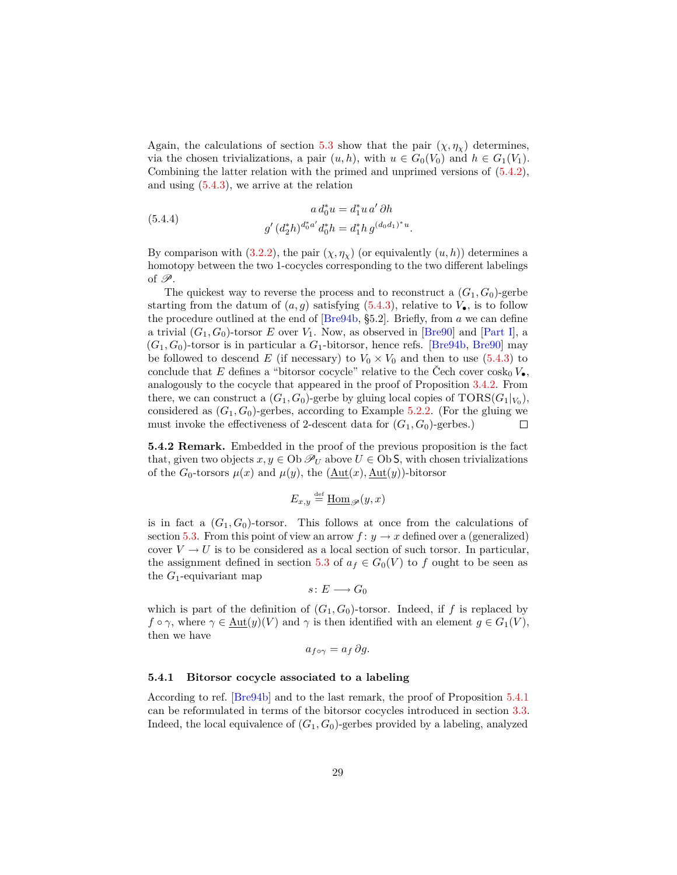<span id="page-28-1"></span>Again, the calculations of section [5.3](#page-25-0) show that the pair  $(\chi, \eta_\chi)$  determines, via the chosen trivializations, a pair  $(u, h)$ , with  $u \in G_0(V_0)$  and  $h \in G_1(V_1)$ . Combining the latter relation with the primed and unprimed versions of [\(5.4.2\)](#page-27-0), and using [\(5.4.3\)](#page-27-1), we arrive at the relation

(5.4.4) 
$$
a d_0^* u = d_1^* u a' \partial h
$$

$$
g' (d_2^* h)^{d_0^* a'} d_0^* h = d_1^* h g^{(d_0 d_1)^* u}.
$$

By comparison with  $(3.2.2)$ , the pair  $(\chi, \eta_\chi)$  (or equivalently  $(u, h)$ ) determines a homotopy between the two 1-cocycles corresponding to the two different labelings of  $\mathscr{P}$ .

The quickest way to reverse the process and to reconstruct a  $(G_1, G_0)$ -gerbe starting from the datum of  $(a, g)$  satisfying  $(5.4.3)$ , relative to  $V_{\bullet}$ , is to follow the procedure outlined at the end of [\[Bre94b,](#page-53-10) §5.2]. Briefly, from *a* we can define a trivial  $(G_1, G_0)$ -torsor *E* over  $V_1$ . Now, as observed in [\[Bre90\]](#page-52-1) and [\[Part I\]](#page-52-0), a  $(G_1, G_0)$ -torsor is in particular a  $G_1$ -bitorsor, hence refs. [\[Bre94b,](#page-53-10) [Bre90\]](#page-52-1) may be followed to descend *E* (if necessary) to  $V_0 \times V_0$  and then to use [\(5.4.3\)](#page-27-1) to conclude that *E* defines a "bitorsor cocycle" relative to the Čech cover  $\cosh_0 V_{\bullet}$ . analogously to the cocycle that appeared in the proof of Proposition [3.4.2.](#page-18-1) From there, we can construct a  $(G_1, G_0)$ -gerbe by gluing local copies of  $\text{TORS}(G_1|_{V_0})$ , considered as  $(G_1, G_0)$ -gerbes, according to Example [5.2.2.](#page-24-1) (For the gluing we must invoke the effectiveness of 2-descent data for  $(G_1, G_0)$ -gerbes.)  $\Box$ 

**5.4.2 Remark.** Embedded in the proof of the previous proposition is the fact that, given two objects  $x, y \in \text{Ob } \mathscr{P}_U$  above  $U \in \text{Ob } S$ , with chosen trivializations of the  $G_0$ -torsors  $\mu(x)$  and  $\mu(y)$ , the  $(\underline{\text{Aut}}(x), \underline{\text{Aut}}(y))$ -bitorsor

$$
E_{x,y} \stackrel{\text{def}}{=} \underline{\text{Hom}}_{\mathscr{P}}(y,x)
$$

is in fact a  $(G_1, G_0)$ -torsor. This follows at once from the calculations of section [5.3.](#page-25-0) From this point of view an arrow  $f: y \to x$  defined over a (generalized) cover  $V \to U$  is to be considered as a local section of such torsor. In particular, the assignment defined in section [5.3](#page-25-0) of  $a_f \in G_0(V)$  to f ought to be seen as the *G*1-equivariant map

$$
s\colon E\longrightarrow G_0
$$

which is part of the definition of  $(G_1, G_0)$ -torsor. Indeed, if f is replaced by  $f \circ \gamma$ , where  $\gamma \in \text{Aut}(y)(V)$  and  $\gamma$  is then identified with an element  $g \in G_1(V)$ , then we have

$$
a_{f\circ\gamma} = a_f \, \partial g.
$$

#### <span id="page-28-0"></span>**5.4.1 Bitorsor cocycle associated to a labeling**

According to ref. [\[Bre94b\]](#page-53-10) and to the last remark, the proof of Proposition [5.4.1](#page-26-1) can be reformulated in terms of the bitorsor cocycles introduced in section [3.3.](#page-14-0) Indeed, the local equivalence of  $(G_1, G_0)$ -gerbes provided by a labeling, analyzed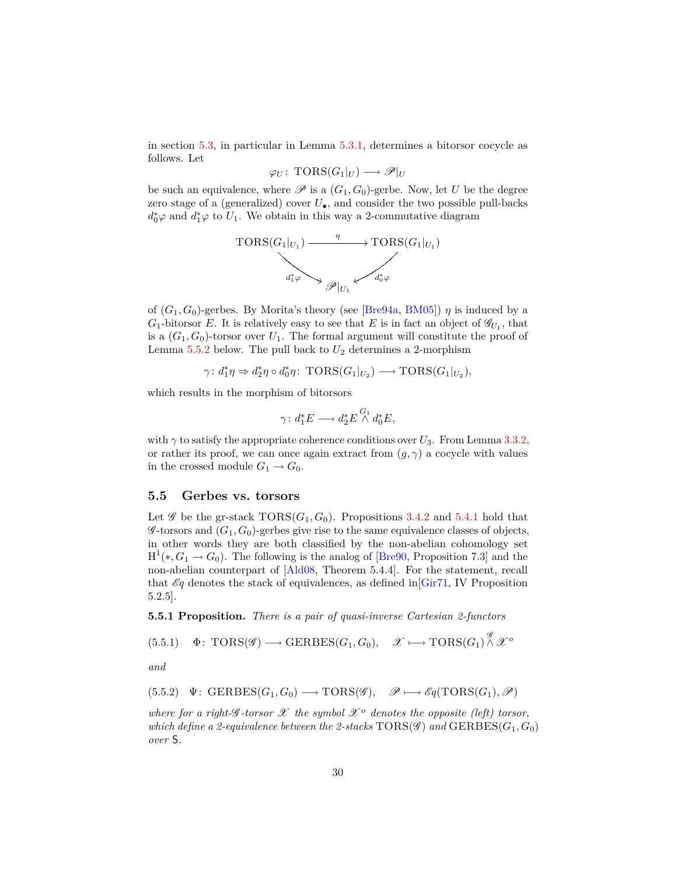<span id="page-29-2"></span>in section [5.3,](#page-25-0) in particular in Lemma [5.3.1,](#page-26-2) determines a bitorsor cocycle as follows. Let

$$
\varphi_U\colon \operatorname{TORS}(G_1|_U) \longrightarrow \mathscr{P}|_U
$$

be such an equivalence, where  $\mathscr P$  is a  $(G_1, G_0)$ -gerbe. Now, let *U* be the degree zero stage of a (generalized) cover  $U_{\bullet}$ , and consider the two possible pull-backs  $d_0^* \varphi$  and  $d_1^* \varphi$  to  $U_1$ . We obtain in this way a 2-commutative diagram



of  $(G_1, G_0)$ -gerbes. By Morita's theory (see [\[Bre94a,](#page-53-4) [BM05\]](#page-52-4))  $\eta$  is induced by a  $G_1$ -bitorsor *E*. It is relatively easy to see that *E* is in fact an object of  $\mathscr{G}_{U_1}$ , that is a  $(G_1, G_0)$ -torsor over  $U_1$ . The formal argument will constitute the proof of Lemma  $5.5.2$  below. The pull back to  $U_2$  determines a 2-morphism

$$
\gamma: d_1^*\eta \Rightarrow d_2^*\eta \circ d_0^*\eta \colon \operatorname{TORS}(G_1|_{U_2}) \longrightarrow \operatorname{TORS}(G_1|_{U_2}),
$$

which results in the morphism of bitorsors

$$
\gamma \colon d_1^* E \longrightarrow d_2^* E \stackrel{G_1}{\wedge} d_0^* E,
$$

with  $\gamma$  to satisfy the appropriate coherence conditions over  $U_3$ . From Lemma [3.3.2,](#page-15-0) or rather its proof, we can once again extract from  $(g, \gamma)$  a cocycle with values in the crossed module  $G_1 \rightarrow G_0$ .

#### <span id="page-29-0"></span>**5.5 Gerbes vs. torsors**

Let  $\mathscr G$  be the gr-stack  $TORS(G_1, G_0)$ . Propositions [3.4.2](#page-18-1) and [5.4.1](#page-26-1) hold that  $\mathscr{G}\text{-torsors}$  and  $(G_1, G_0)$ -gerbes give rise to the same equivalence classes of objects, in other words they are both classified by the non-abelian cohomology set  $H^1(*, G_1 \to G_0)$ . The following is the analog of [\[Bre90,](#page-52-1) Proposition 7.3] and the non-abelian counterpart of [\[Ald08,](#page-52-2) Theorem 5.4.4]. For the statement, recall that  $\mathcal{E}q$  denotes the stack of equivalences, as defined in Gir71, IV Proposition 5.2.5].

<span id="page-29-1"></span>**5.5.1 Proposition.** *There is a pair of quasi-inverse Cartesian 2-functors*

 $\Phi\colon \operatorname{TORS}(\mathscr{G})\longrightarrow \operatorname{GERBES}(G_1,G_0),\quad \mathscr{X}\longmapsto \operatorname{TORS}(G_1)\overset{\mathscr{G}}{\wedge} \mathscr{X}^o$  $(5.5.1)$ 

*and*

$$
(5.5.2) \quad \Psi: \text{ GERBES}(G_1, G_0) \longrightarrow \text{TORS}(\mathscr{G}), \quad \mathscr{P} \longmapsto \mathscr{E}q(\text{TORS}(G_1), \mathscr{P})
$$

*where for a right-G-torsor*  $\mathscr X$  *the symbol*  $\mathscr X$ <sup>*o*</sup> *denotes the opposite (left) torsor, which define a 2-equivalence between the 2-stacks*  $TORS(\mathscr{G})$  *and*  $GERSES(G_1, G_0)$ *over* S*.*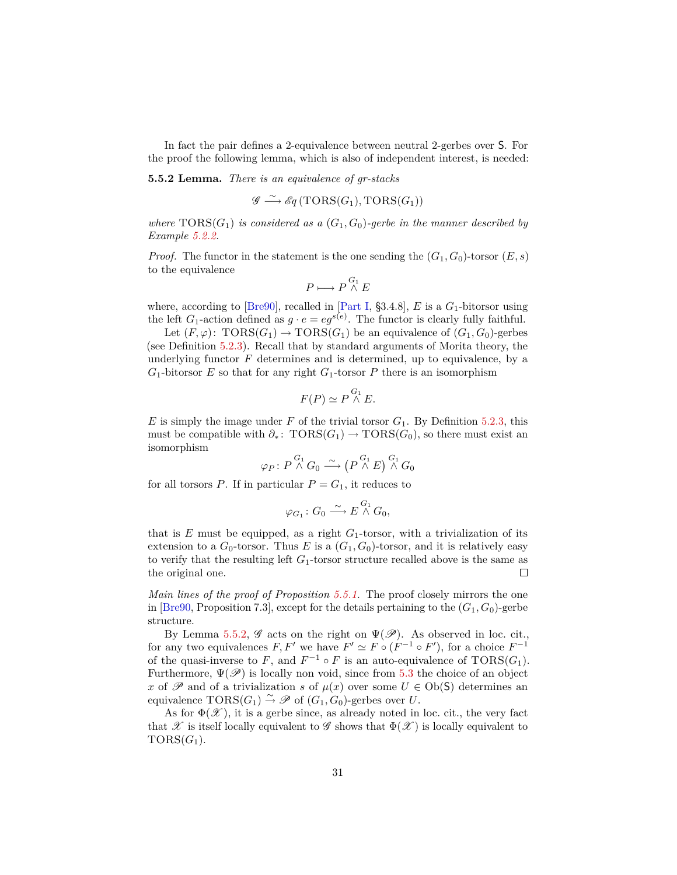<span id="page-30-1"></span>In fact the pair defines a 2-equivalence between neutral 2-gerbes over S. For the proof the following lemma, which is also of independent interest, is needed:

<span id="page-30-0"></span>**5.5.2 Lemma.** *There is an equivalence of gr-stacks*

$$
\mathscr{G} \stackrel{\sim}{\longrightarrow} \mathscr{E}q \left( \mathrm{TORS}(G_1), \mathrm{TORS}(G_1) \right)
$$

*where*  $TORS(G_1)$  *is considered as a*  $(G_1, G_0)$ *-gerbe in the manner described by Example [5.2.2.](#page-24-1)*

*Proof.* The functor in the statement is the one sending the  $(G_1, G_0)$ -torsor  $(E, s)$ to the equivalence

$$
P \longmapsto P \stackrel{G_1}{\wedge} E
$$

where, according to [\[Bre90\]](#page-52-1), recalled in [\[Part I,](#page-52-0)  $\S 3.4.8$ ], *E* is a  $G_1$ -bitorsor using the left  $G_1$ -action defined as  $g \cdot e = eg^{s(e)}$ . The functor is clearly fully faithful.

Let  $(F, \varphi)$ : TORS $(G_1) \to \text{TORS}(G_1)$  be an equivalence of  $(G_1, G_0)$ -gerbes (see Definition [5.2.3\)](#page-24-0). Recall that by standard arguments of Morita theory, the underlying functor  $F$  determines and is determined, up to equivalence, by a  $G_1$ -bitorsor *E* so that for any right  $G_1$ -torsor *P* there is an isomorphism

$$
F(P) \simeq P \stackrel{G_1}{\wedge} E.
$$

 $E$  is simply the image under  $F$  of the trivial torsor  $G_1$ . By Definition [5.2.3,](#page-24-0) this must be compatible with  $\partial_*$ : TORS $(G_1)$  → TORS $(G_0)$ , so there must exist an isomorphism

$$
\varphi_P\colon P\overset{G_1}{\wedge}G_0\overset{\sim}{\longrightarrow}\left(P\overset{G_1}{\wedge}E\right)\overset{G_1}{\wedge}G_0
$$

for all torsors  $P$ . If in particular  $P = G_1$ , it reduces to

$$
\varphi_{G_1} \colon G_0 \xrightarrow{\sim} E \overset{G_1}{\wedge} G_0,
$$

that is  $E$  must be equipped, as a right  $G_1$ -torsor, with a trivialization of its extension to a  $G_0$ -torsor. Thus *E* is a  $(G_1, G_0)$ -torsor, and it is relatively easy to verify that the resulting left  $G_1$ -torsor structure recalled above is the same as the original one.  $\Box$ 

*Main lines of the proof of Proposition [5.5.1.](#page-29-1)* The proof closely mirrors the one in [\[Bre90,](#page-52-1) Proposition 7.3], except for the details pertaining to the  $(G_1, G_0)$ -gerbe structure.

By Lemma [5.5.2,](#page-30-0)  $\mathscr G$  acts on the right on  $\Psi(\mathscr P)$ . As observed in loc. cit., for any two equivalences  $F, F'$  we have  $F' \simeq F \circ (F^{-1} \circ F')$ , for a choice  $F^{-1}$ of the quasi-inverse to *F*, and  $F^{-1} \circ F$  is an auto-equivalence of  $TORS(G_1)$ . Furthermore,  $\Psi(\mathscr{P})$  is locally non void, since from [5.3](#page-25-0) the choice of an object *x* of  $\mathscr P$  and of a trivialization *s* of  $\mu(x)$  over some  $U \in Ob(\mathsf{S})$  determines an equivalence  $TORS(G_1) \overset{\sim}{\rightarrow} \mathscr{P}$  of  $(G_1, G_0)$ -gerbes over *U*.

As for  $\Phi(\mathscr{X})$ , it is a gerbe since, as already noted in loc. cit., the very fact that X is itself locally equivalent to G shows that  $\Phi(\mathscr{X})$  is locally equivalent to  $TORS(G_1)$ .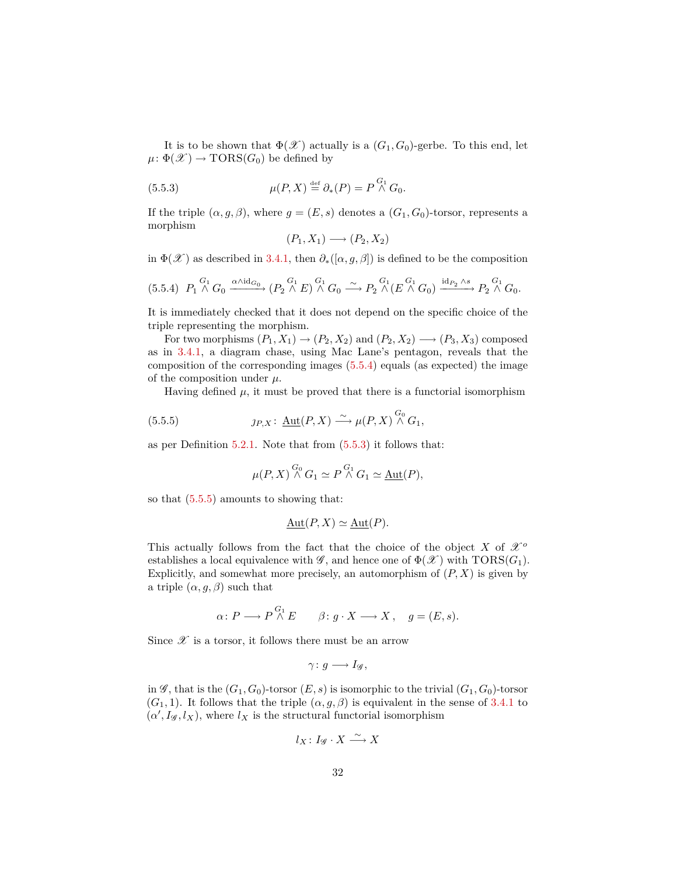It is to be shown that  $\Phi(\mathscr{X})$  actually is a  $(G_1, G_0)$ -gerbe. To this end, let  $\mu: \Phi(\mathscr{X}) \to \text{TORS}(G_0)$  be defined by

(5.5.3) 
$$
\mu(P, X) \stackrel{\text{def}}{=} \partial_*(P) = P \stackrel{G_1}{\wedge} G_0.
$$

If the triple  $(\alpha, g, \beta)$ , where  $g = (E, s)$  denotes a  $(G_1, G_0)$ -torsor, represents a morphism

<span id="page-31-1"></span>
$$
(P_1, X_1) \longrightarrow (P_2, X_2)
$$

in  $\Phi(\mathscr{X})$  as described in [3.4.1,](#page-17-0) then  $\partial_*(\alpha, g, \beta)$  is defined to be the composition

<span id="page-31-0"></span>
$$
(5.5.4) \quad P_1 \stackrel{G_1}{\wedge} G_0 \xrightarrow{\alpha \wedge \mathrm{id}_{G_0}} (P_2 \stackrel{G_1}{\wedge} E) \stackrel{G_1}{\wedge} G_0 \xrightarrow{\sim} P_2 \stackrel{G_1}{\wedge} (E \stackrel{G_1}{\wedge} G_0) \xrightarrow{\mathrm{id}_{P_2} \wedge s} P_2 \stackrel{G_1}{\wedge} G_0.
$$

It is immediately checked that it does not depend on the specific choice of the triple representing the morphism.

For two morphisms  $(P_1, X_1) \rightarrow (P_2, X_2)$  and  $(P_2, X_2) \rightarrow (P_3, X_3)$  composed as in [3.4.1,](#page-17-0) a diagram chase, using Mac Lane's pentagon, reveals that the composition of the corresponding images  $(5.5.4)$  equals (as expected) the image of the composition under *µ*.

Having defined  $\mu$ , it must be proved that there is a functorial isomorphism

(5.5.5) 
$$
\jmath_{P,X} \colon \underline{\text{Aut}}(P,X) \xrightarrow{\sim} \mu(P,X) \stackrel{G_0}{\wedge} G_1,
$$

as per Definition [5.2.1.](#page-23-3) Note that from [\(5.5.3\)](#page-31-1) it follows that:

<span id="page-31-2"></span>
$$
\mu(P, X) \stackrel{G_0}{\wedge} G_1 \simeq P \stackrel{G_1}{\wedge} G_1 \simeq \underline{\text{Aut}}(P),
$$

so that [\(5.5.5\)](#page-31-2) amounts to showing that:

$$
\underline{\mathrm{Aut}}(P, X) \simeq \underline{\mathrm{Aut}}(P).
$$

This actually follows from the fact that the choice of the object *X* of  $\mathscr{X}^o$ establishes a local equivalence with  $\mathscr{G}$ , and hence one of  $\Phi(\mathscr{X})$  with  $TORS(G_1)$ . Explicitly, and somewhat more precisely, an automorphism of  $(P, X)$  is given by a triple  $(\alpha, g, \beta)$  such that

$$
\alpha\colon P\longrightarrow P\stackrel{G_1}{\wedge}E\qquad \beta\colon g\cdot X\longrightarrow X\,,\quad g=(E,s).
$$

Since  $\mathscr X$  is a torsor, it follows there must be an arrow

$$
\gamma\colon g\longrightarrow I_{\mathscr G},
$$

in  $\mathscr{G}$ , that is the  $(G_1, G_0)$ -torsor  $(E, s)$  is isomorphic to the trivial  $(G_1, G_0)$ -torsor  $(G_1, 1)$ . It follows that the triple  $(\alpha, g, \beta)$  is equivalent in the sense of [3.4.1](#page-17-0) to  $(\alpha', I_{\mathscr{G}}, l_X)$ , where  $l_X$  is the structural functorial isomorphism

$$
l_X\colon I_{\mathscr G}\cdot X\stackrel{\sim}{\longrightarrow} X
$$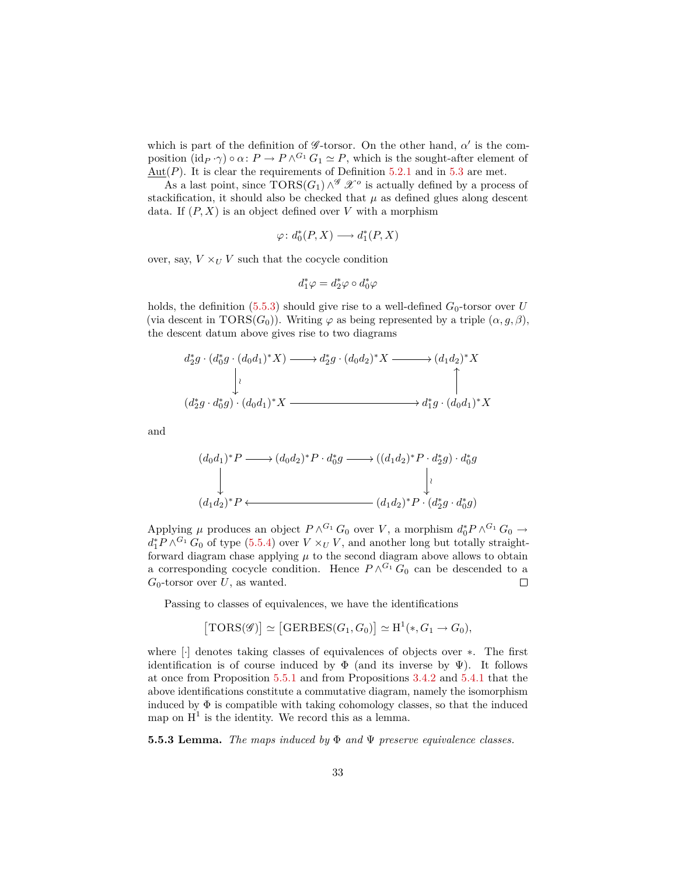which is part of the definition of  $\mathscr{G}\text{-torsor}$ . On the other hand,  $\alpha'$  is the composition  $(\mathrm{id}_P \cdot \gamma) \circ \alpha \colon P \to P \wedge^{G_1} G_1 \simeq P$ , which is the sought-after element of  $\text{Aut}(P)$ . It is clear the requirements of Definition [5.2.1](#page-23-3) and in [5.3](#page-25-0) are met.

As a last point, since  $TORS(G_1) \wedge^{\mathscr{G}} \mathscr{X}^o$  is actually defined by a process of stackification, it should also be checked that  $\mu$  as defined glues along descent data. If  $(P, X)$  is an object defined over *V* with a morphism

$$
\varphi\colon d_0^*(P,X)\longrightarrow d_1^*(P,X)
$$

over, say,  $V \times_U V$  such that the cocycle condition

$$
d_1^*\varphi=d_2^*\varphi\circ d_0^*\varphi
$$

holds, the definition [\(5.5.3\)](#page-31-1) should give rise to a well-defined  $G_0$ -torsor over *U* (via descent in  $TORS(G_0)$ ). Writing  $\varphi$  as being represented by a triple  $(\alpha, g, \beta)$ , the descent datum above gives rise to two diagrams

$$
d_2^*g \cdot (d_0^*g \cdot (d_0d_1)^*X) \longrightarrow d_2^*g \cdot (d_0d_2)^*X \longrightarrow (d_1d_2)^*X
$$
  
\n
$$
\downarrow \qquad \qquad \downarrow
$$
  
\n
$$
(d_2^*g \cdot d_0^*g) \cdot (d_0d_1)^*X \longrightarrow d_1^*g \cdot (d_0d_1)^*X
$$

and

$$
(d_0d_1)^*P \longrightarrow (d_0d_2)^*P \cdot d_0^*g \longrightarrow ((d_1d_2)^*P \cdot d_2^*g) \cdot d_0^*g
$$
  
\n
$$
\downarrow \qquad \qquad \downarrow
$$
  
\n
$$
(d_1d_2)^*P \longleftarrow (d_1d_2)^*P \cdot (d_2^*g \cdot d_0^*g)
$$

Applying  $\mu$  produces an object  $P \wedge^{G_1} G_0$  over *V*, a morphism  $d_0^* P \wedge^{G_1} G_0 \to$  $d_1^* P \wedge^{G_1} G_0$  of type [\(5.5.4\)](#page-31-0) over  $V \times_U V$ , and another long but totally straightforward diagram chase applying  $\mu$  to the second diagram above allows to obtain a corresponding cocycle condition. Hence  $P \wedge^{G_1} G_0$  can be descended to a *G*0-torsor over *U*, as wanted.  $\Box$ 

Passing to classes of equivalences, we have the identifications

$$
[\text{TORS}(\mathscr{G})] \simeq [\text{GERBES}(G_1, G_0)] \simeq \text{H}^1(*, G_1 \to G_0),
$$

where [·] denotes taking classes of equivalences of objects over ∗. The first identification is of course induced by  $\Phi$  (and its inverse by  $\Psi$ ). It follows at once from Proposition [5.5.1](#page-29-1) and from Propositions [3.4.2](#page-18-1) and [5.4.1](#page-26-1) that the above identifications constitute a commutative diagram, namely the isomorphism induced by  $\Phi$  is compatible with taking cohomology classes, so that the induced map on  $H^1$  is the identity. We record this as a lemma.

<span id="page-32-0"></span>**5.5.3 Lemma.** *The maps induced by* Φ *and* Ψ *preserve equivalence classes.*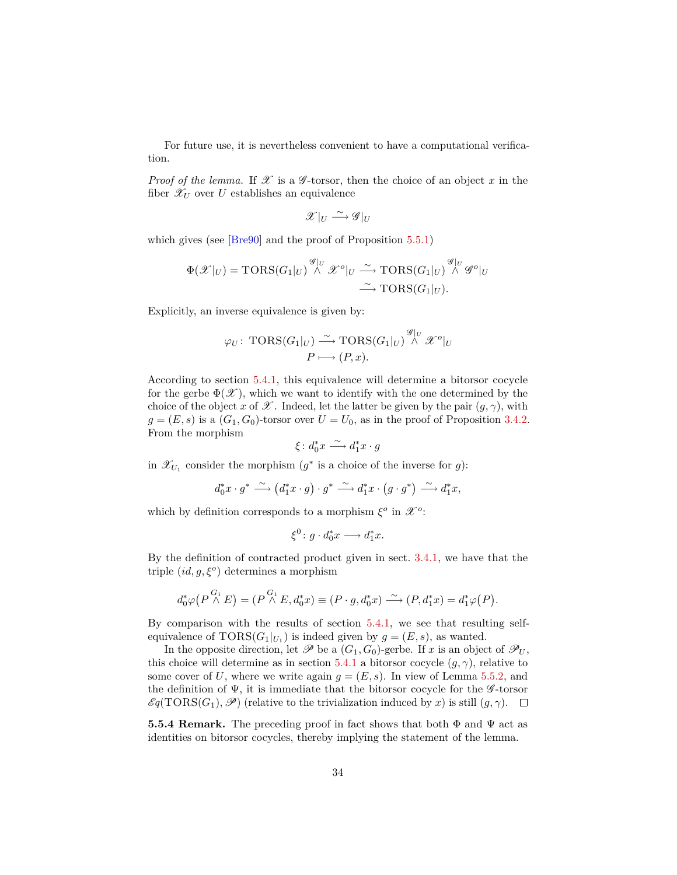<span id="page-33-0"></span>For future use, it is nevertheless convenient to have a computational verification.

*Proof of the lemma.* If  $\mathscr X$  is a  $\mathscr G$ -torsor, then the choice of an object  $x$  in the fiber  $\mathscr{X}_U$  over *U* establishes an equivalence

$$
\mathscr{X}|_U \xrightarrow{\sim} \mathscr{G}|_U
$$

which gives (see [\[Bre90\]](#page-52-1) and the proof of Proposition [5.5.1\)](#page-29-1)

$$
\Phi(\mathscr{X}|_U) = \text{TORS}(G_1|_U) \overset{\mathscr{G}|_U}{\wedge} \mathscr{X}^o|_U \overset{\sim}{\longrightarrow} \text{TORS}(G_1|_U) \overset{\mathscr{G}|_U}{\wedge} \mathscr{G}^o|_U
$$

$$
\overset{\sim}{\longrightarrow} \text{TORS}(G_1|_U).
$$

Explicitly, an inverse equivalence is given by:

$$
\varphi_U \colon \operatorname{TORS}(G_1|_U) \xrightarrow{\sim} \operatorname{TORS}(G_1|_U) \stackrel{\mathscr{G}|_U}{\wedge} \mathscr{X}^o|_U
$$

$$
P \longmapsto (P, x).
$$

According to section [5.4.1,](#page-28-0) this equivalence will determine a bitorsor cocycle for the gerbe  $\Phi(\mathscr{X})$ , which we want to identify with the one determined by the choice of the object *x* of  $\mathscr X$ . Indeed, let the latter be given by the pair  $(g, \gamma)$ , with  $g = (E, s)$  is a  $(G_1, G_0)$ -torsor over  $U = U_0$ , as in the proof of Proposition [3.4.2.](#page-18-1) From the morphism

$$
\xi \colon d_0^* x \xrightarrow{\sim} d_1^* x \cdot g
$$

in  $\mathscr{X}_{U_1}$  consider the morphism  $(g^*$  is a choice of the inverse for *g*):

$$
d_0^*x \cdot g^* \xrightarrow{\sim} (d_1^*x \cdot g) \cdot g^* \xrightarrow{\sim} d_1^*x \cdot (g \cdot g^*) \xrightarrow{\sim} d_1^*x,
$$

which by definition corresponds to a morphism  $\xi^o$  in  $\mathscr{X}^o$ :

$$
\xi^0 \colon g \cdot d_0^* x \longrightarrow d_1^* x.
$$

By the definition of contracted product given in sect. [3.4.1,](#page-17-0) we have that the triple (*id, g, ξ<sup>o</sup>* ) determines a morphism

$$
d_0^* \varphi\big(P \stackrel{G_1}{\wedge} E\big) = (P \stackrel{G_1}{\wedge} E, d_0^* x) \equiv (P \cdot g, d_0^* x) \stackrel{\sim}{\longrightarrow} (P, d_1^* x) = d_1^* \varphi(P).
$$

By comparison with the results of section [5.4.1,](#page-28-0) we see that resulting selfequivalence of  $TORS(G_1|_{U_1})$  is indeed given by  $g = (E, s)$ , as wanted.

In the opposite direction, let  $\mathscr P$  be a  $(G_1, G_0)$ -gerbe. If *x* is an object of  $\mathscr P_U$ , this choice will determine as in section [5.4.1](#page-28-0) a bitorsor cocycle  $(q, \gamma)$ , relative to some cover of U, where we write again  $q = (E, s)$ . In view of Lemma [5.5.2,](#page-30-0) and the definition of  $\Psi$ , it is immediate that the bitorsor cocycle for the  $\mathscr G$ -torsor  $\mathscr{E}q(TORS(G_1), \mathscr{P})$  (relative to the trivialization induced by *x*) is still  $(q, \gamma)$ .  $\Box$ 

**5.5.4 Remark.** The preceding proof in fact shows that both  $\Phi$  and  $\Psi$  act as identities on bitorsor cocycles, thereby implying the statement of the lemma.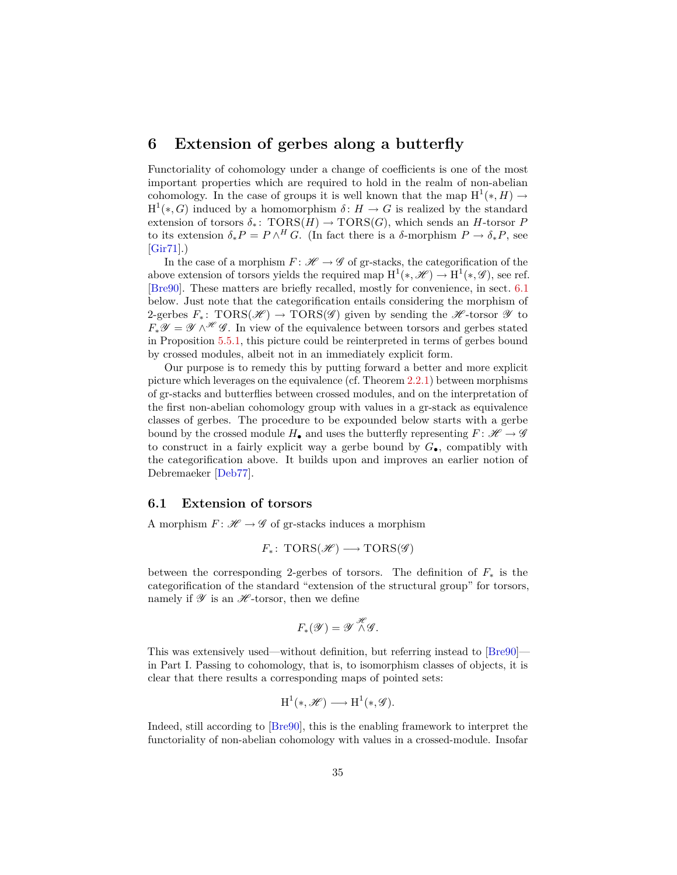# <span id="page-34-2"></span><span id="page-34-0"></span>**6 Extension of gerbes along a butterfly**

Functoriality of cohomology under a change of coefficients is one of the most important properties which are required to hold in the realm of non-abelian cohomology. In the case of groups it is well known that the map  $H^1(*, H) \to$  $H^1(*, G)$  induced by a homomorphism  $\delta: H \to G$  is realized by the standard extension of torsors  $\delta_*$ :  $TORS(H) \rightarrow TORS(G)$ , which sends an *H*-torsor *P* to its extension  $\delta_* P = P \wedge^H G$ . (In fact there is a  $\delta$ -morphism  $P \to \delta_* P$ , see [\[Gir71\]](#page-53-2).)

In the case of a morphism  $F: \mathcal{H} \to \mathcal{G}$  of gr-stacks, the categorification of the above extension of torsors yields the required map  $H^1(*, \mathscr{H}) \to H^1(*, \mathscr{G})$ , see ref. [\[Bre90\]](#page-52-1). These matters are briefly recalled, mostly for convenience, in sect. [6.1](#page-34-1) below. Just note that the categorification entails considering the morphism of 2-gerbes  $F_*$ : TORS( $\mathscr{H}$ ) → TORS( $\mathscr{G}$ ) given by sending the  $\mathscr{H}$ -torsor  $\mathscr{Y}$  to  $F_*\mathscr{Y} = \mathscr{Y} \wedge^{\mathscr{H}} \mathscr{G}$ . In view of the equivalence between torsors and gerbes stated in Proposition [5.5.1,](#page-29-1) this picture could be reinterpreted in terms of gerbes bound by crossed modules, albeit not in an immediately explicit form.

Our purpose is to remedy this by putting forward a better and more explicit picture which leverages on the equivalence (cf. Theorem [2.2.1\)](#page-9-2) between morphisms of gr-stacks and butterflies between crossed modules, and on the interpretation of the first non-abelian cohomology group with values in a gr-stack as equivalence classes of gerbes. The procedure to be expounded below starts with a gerbe bound by the crossed module  $H_{\bullet}$  and uses the butterfly representing  $F: \mathscr{H} \to \mathscr{G}$ to construct in a fairly explicit way a gerbe bound by  $G_{\bullet}$ , compatibly with the categorification above. It builds upon and improves an earlier notion of Debremaeker [\[Deb77\]](#page-53-0).

### <span id="page-34-1"></span>**6.1 Extension of torsors**

A morphism  $F: \mathcal{H} \to \mathcal{G}$  of gr-stacks induces a morphism

$$
F_*\colon \operatorname{TORS}(\mathscr{H}) \longrightarrow \operatorname{TORS}(\mathscr{G})
$$

between the corresponding 2-gerbes of torsors. The definition of *F*<sup>∗</sup> is the categorification of the standard "extension of the structural group" for torsors, namely if  $\mathscr Y$  is an  $\mathscr H$ -torsor, then we define

$$
F_*(\mathscr{Y}) = \mathscr{Y} \overset{\mathscr{H}}{\wedge} \mathscr{G}.
$$

This was extensively used—without definition, but referring instead to [\[Bre90\]](#page-52-1) in Part I. Passing to cohomology, that is, to isomorphism classes of objects, it is clear that there results a corresponding maps of pointed sets:

$$
H^1(*, \mathscr{H}) \longrightarrow H^1(*, \mathscr{G}).
$$

Indeed, still according to [\[Bre90\]](#page-52-1), this is the enabling framework to interpret the functoriality of non-abelian cohomology with values in a crossed-module. Insofar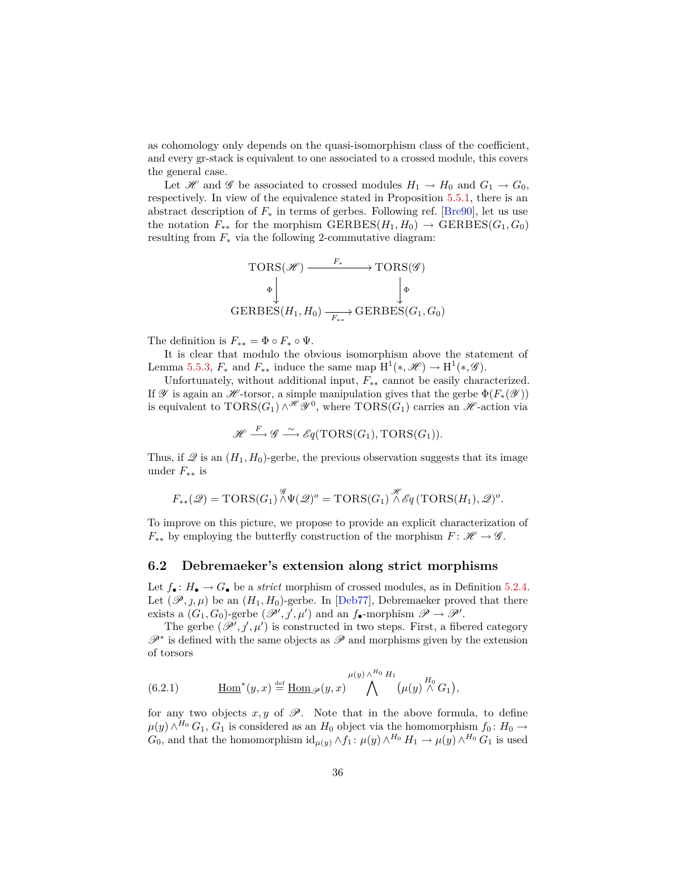<span id="page-35-2"></span>as cohomology only depends on the quasi-isomorphism class of the coefficient, and every gr-stack is equivalent to one associated to a crossed module, this covers the general case.

Let H and G be associated to crossed modules  $H_1 \rightarrow H_0$  and  $G_1 \rightarrow G_0$ , respectively. In view of the equivalence stated in Proposition [5.5.1,](#page-29-1) there is an abstract description of  $F_*$  in terms of gerbes. Following ref. [\[Bre90\]](#page-52-1), let us use the notation  $F_{**}$  for the morphism  $GERBES(H_1, H_0) \rightarrow GERBES(G_1, G_0)$ resulting from  $F_*$  via the following 2-commutative diagram:

$$
\text{TORS}(\mathscr{H}) \xrightarrow{F_*} \text{TORS}(\mathscr{G})
$$
\n
$$
\phi \downarrow \qquad \qquad \downarrow \Phi
$$
\n
$$
\text{GERBES}(H_1, H_0) \xrightarrow{F_{**}} \text{GERBES}(G_1, G_0)
$$

The definition is  $F_{**} = \Phi \circ F_* \circ \Psi$ .

It is clear that modulo the obvious isomorphism above the statement of Lemma [5.5.3,](#page-32-0)  $F_*$  and  $F_{**}$  induce the same map  $H^1(*, \mathcal{H}) \to H^1(*, \mathcal{G})$ .

Unfortunately, without additional input, *F*∗∗ cannot be easily characterized. If  $\mathscr Y$  is again an  $\mathscr H$ -torsor, a simple manipulation gives that the gerbe  $\Phi(F_*(\mathscr Y))$ is equivalent to  $TORS(G_1) \wedge \mathscr{H} \mathscr{Y}^0$ , where  $TORS(G_1)$  carries an  $\mathscr{H}$ -action via

$$
\mathscr{H} \stackrel{F}{\longrightarrow} \mathscr{G} \stackrel{\sim}{\longrightarrow} \mathscr{E}q(TORS(G_1),TORS(G_1)).
$$

Thus, if  $\mathscr Q$  is an  $(H_1, H_0)$ -gerbe, the previous observation suggests that its image under *F*∗∗ is

$$
F_{**}(\mathscr{Q}) = \text{TORS}(G_1) \overset{\mathscr{G}}{\wedge} \Psi(\mathscr{Q})^o = \text{TORS}(G_1) \overset{\mathscr{H}}{\wedge} \mathscr{E}q (\text{TORS}(H_1), \mathscr{Q})^o.
$$

To improve on this picture, we propose to provide an explicit characterization of  $F_{**}$  by employing the butterfly construction of the morphism  $F: \mathcal{H} \to \mathcal{G}$ .

#### <span id="page-35-0"></span>**6.2 Debremaeker's extension along strict morphisms**

Let  $f_{\bullet}$ :  $H_{\bullet} \to G_{\bullet}$  be a *strict* morphism of crossed modules, as in Definition [5.2.4.](#page-24-2) Let  $(\mathscr{P}, \jmath, \mu)$  be an  $(H_1, H_0)$ -gerbe. In [\[Deb77\]](#page-53-0), Debremaeker proved that there exists a  $(G_1, G_0)$ -gerbe  $(\mathscr{P}', \mathscr{J}, \mu')$  and an  $f_{\bullet}$ -morphism  $\mathscr{P} \to \mathscr{P}'$ .

The gerbe  $(\mathscr{P}', j', \mu')$  is constructed in two steps. First, a fibered category  $\mathscr{P}^*$  is defined with the same objects as  $\mathscr{P}$  and morphisms given by the extension of torsors

<span id="page-35-1"></span>(6.2.1) 
$$
\underline{\text{Hom}}^*(y,x) \stackrel{\text{def}}{=} \underline{\text{Hom}}_{\mathscr{P}}(y,x) \bigwedge^{\mu(y) \wedge^{H_0} H_1} (\mu(y) \stackrel{H_0}{\wedge} G_1),
$$

for any two objects  $x, y$  of  $\mathscr P$ . Note that in the above formula, to define  $\mu(y) \wedge^{H_0} G_1$ ,  $G_1$  is considered as an  $H_0$  object via the homomorphism  $f_0: H_0 \rightarrow$ *G*<sub>0</sub>, and that the homomorphism  $\mathrm{id}_{\mu(y)} \wedge f_1$ :  $\mu(y) \wedge^{H_0} H_1 \to \mu(y) \wedge^{H_0} G_1$  is used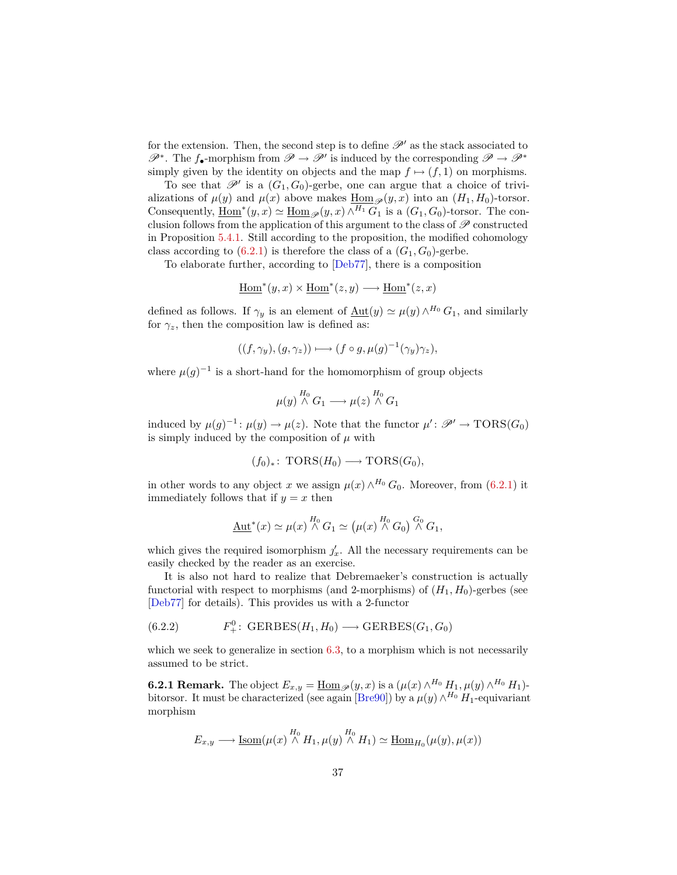<span id="page-36-1"></span>for the extension. Then, the second step is to define  $\mathscr{P}'$  as the stack associated to  $\mathscr{P}^*$ . The *f*•-morphism from  $\mathscr{P} \to \mathscr{P}'$  is induced by the corresponding  $\mathscr{P} \to \mathscr{P}^*$ simply given by the identity on objects and the map  $f \mapsto (f, 1)$  on morphisms.

To see that  $\mathscr{P}'$  is a  $(G_1, G_0)$ -gerbe, one can argue that a choice of trivializations of  $\mu(y)$  and  $\mu(x)$  above makes  $\underline{\text{Hom}}_{\mathscr{P}}(y, x)$  into an  $(H_1, H_0)$ -torsor. Consequently,  $\underline{\text{Hom}}^*(y, x) \simeq \underline{\text{Hom}}_{\mathscr{P}}(y, x) \wedge^{H_1} G_1$  is a  $(G_1, G_0)$ -torsor. The conclusion follows from the application of this argument to the class of  $\mathscr P$  constructed in Proposition [5.4.1.](#page-26-1) Still according to the proposition, the modified cohomology class according to  $(6.2.1)$  is therefore the class of a  $(G_1, G_0)$ -gerbe.

To elaborate further, according to [\[Deb77\]](#page-53-0), there is a composition

$$
\underline{\mathrm{Hom}}^*(y,x)\times \underline{\mathrm{Hom}}^*(z,y)\longrightarrow \underline{\mathrm{Hom}}^*(z,x)
$$

defined as follows. If  $\gamma_y$  is an element of  $\underline{\mathrm{Aut}}(y) \simeq \mu(y) \wedge^{H_0} G_1$ , and similarly for  $\gamma_z$ , then the composition law is defined as:

$$
((f,\gamma_y),(g,\gamma_z)) \longmapsto (f\circ g,\mu(g)^{-1}(\gamma_y)\gamma_z),
$$

where  $\mu(g)^{-1}$  is a short-hand for the homomorphism of group objects

$$
\mu(y) \stackrel{H_0}{\wedge} G_1 \longrightarrow \mu(z) \stackrel{H_0}{\wedge} G_1
$$

induced by  $\mu(g)^{-1}$ :  $\mu(y) \to \mu(z)$ . Note that the functor  $\mu' : \mathscr{P}' \to \text{TORS}(G_0)$ is simply induced by the composition of  $\mu$  with

$$
(f_0)_*: \text{TORS}(H_0) \longrightarrow \text{TORS}(G_0),
$$

in other words to any object *x* we assign  $\mu(x) \wedge^{H_0} G_0$ . Moreover, from [\(6.2.1\)](#page-35-1) it immediately follows that if  $y = x$  then

$$
\underline{\mathrm{Aut}}^*(x) \simeq \mu(x) \stackrel{H_0}{\wedge} G_1 \simeq (\mu(x) \stackrel{H_0}{\wedge} G_0) \stackrel{G_0}{\wedge} G_1,
$$

which gives the required isomorphism  $j'_x$ . All the necessary requirements can be easily checked by the reader as an exercise.

It is also not hard to realize that Debremaeker's construction is actually functorial with respect to morphisms (and 2-morphisms) of  $(H_1, H_0)$ -gerbes (see [\[Deb77\]](#page-53-0) for details). This provides us with a 2-functor

<span id="page-36-0"></span>(6.2.2) 
$$
F_+^0: \text{GERBES}(H_1, H_0) \longrightarrow \text{GERBES}(G_1, G_0)
$$

which we seek to generalize in section [6.3,](#page-37-0) to a morphism which is not necessarily assumed to be strict.

**6.2.1 Remark.** The object  $E_{x,y} = \underline{\text{Hom}}_{\mathscr{P}}(y,x)$  is a  $(\mu(x) \wedge^{H_0} H_1, \mu(y) \wedge^{H_0} H_1)$ -bitorsor. It must be characterized (see again [\[Bre90\]](#page-52-1)) by a  $\mu(y) \wedge^{H_0} H_1$ -equivariant morphism

$$
E_{x,y} \longrightarrow \underline{\operatorname{Isom}}(\mu(x) \stackrel{H_0}{\wedge} H_1, \mu(y) \stackrel{H_0}{\wedge} H_1) \simeq \underline{\operatorname{Hom}}_{H_0}(\mu(y), \mu(x))
$$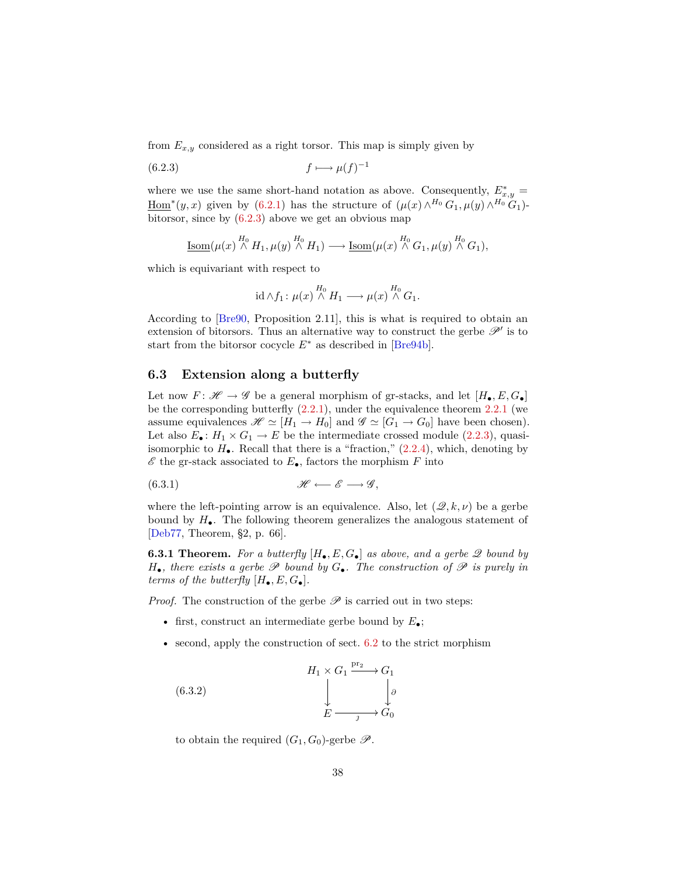<span id="page-37-5"></span>from  $E_{x,y}$  considered as a right torsor. This map is simply given by

$$
(6.2.3) \t\t f \longmapsto \mu(f)^{-1}
$$

where we use the same short-hand notation as above. Consequently,  $E^*_{x,y}$  =  $\underline{\text{Hom}}^{*}(y, x)$  given by [\(6.2.1\)](#page-35-1) has the structure of  $(\mu(x) \wedge^{H_0} G_1, \mu(y) \wedge^{H_0} G_1)$ bitorsor, since by  $(6.2.3)$  above we get an obvious map

$$
\underline{\mathrm{Isom}}(\mu(x) \stackrel{H_0}{\wedge} H_1, \mu(y) \stackrel{H_0}{\wedge} H_1) \longrightarrow \underline{\mathrm{Isom}}(\mu(x) \stackrel{H_0}{\wedge} G_1, \mu(y) \stackrel{H_0}{\wedge} G_1),
$$

which is equivariant with respect to

<span id="page-37-1"></span>
$$
\mathrm{id} \wedge f_1 \colon \mu(x) \stackrel{H_0}{\wedge} H_1 \longrightarrow \mu(x) \stackrel{H_0}{\wedge} G_1.
$$

According to [\[Bre90,](#page-52-1) Proposition 2.11], this is what is required to obtain an extension of bitorsors. Thus an alternative way to construct the gerbe  $\mathscr{P}'$  is to start from the bitorsor cocycle *E*<sup>∗</sup> as described in [\[Bre94b\]](#page-53-10).

### <span id="page-37-0"></span>**6.3 Extension along a butterfly**

Let now  $F: \mathscr{H} \to \mathscr{G}$  be a general morphism of gr-stacks, and let  $[H_{\bullet}, E, G_{\bullet}]$ be the corresponding butterfly  $(2.2.1)$ , under the equivalence theorem  $2.2.1$  (we assume equivalences  $\mathscr{H} \simeq [H_1 \to H_0]$  and  $\mathscr{G} \simeq [G_1 \to G_0]$  have been chosen). Let also  $E_{\bullet}$ :  $H_1 \times G_1 \to E$  be the intermediate crossed module [\(2.2.3\)](#page-10-1), quasiisomorphic to  $H_{\bullet}$ . Recall that there is a "fraction,"  $(2.2.4)$ , which, denoting by  $\mathscr E$  the gr-stack associated to  $E_{\bullet}$ , factors the morphism  $F$  into

<span id="page-37-4"></span>
$$
\mathscr{H} \longleftarrow \mathscr{E} \longrightarrow \mathscr{G},
$$

where the left-pointing arrow is an equivalence. Also, let  $(\mathscr{Q}, k, \nu)$  be a gerbe bound by  $H_{\bullet}$ . The following theorem generalizes the analogous statement of [\[Deb77,](#page-53-0) Theorem, §2, p. 66].

<span id="page-37-3"></span>**6.3.1 Theorem.** For a butterfly  $[H_{\bullet}, E, G_{\bullet}]$  as above, and a gerbe  $\mathscr Q$  bound by  $H_{\bullet}$ *, there exists a gerbe*  $\mathscr P$  *bound by*  $G_{\bullet}$ *. The construction of*  $\mathscr P$  *is purely in terms of the butterfly*  $[H_{\bullet}, E, G_{\bullet}]$ *.* 

*Proof.* The construction of the gerbe  $\mathscr P$  is carried out in two steps:

- first, construct an intermediate gerbe bound by *E*•;
- second, apply the construction of sect. [6.2](#page-35-0) to the strict morphism

<span id="page-37-2"></span>(6.3.2) 
$$
H_1 \times G_1 \xrightarrow{\text{pr}_2} G_1
$$

$$
\downarrow \qquad \qquad \downarrow \qquad \downarrow \theta
$$

$$
E \longrightarrow G_0
$$

to obtain the required  $(G_1, G_0)$ -gerbe  $\mathscr{P}$ .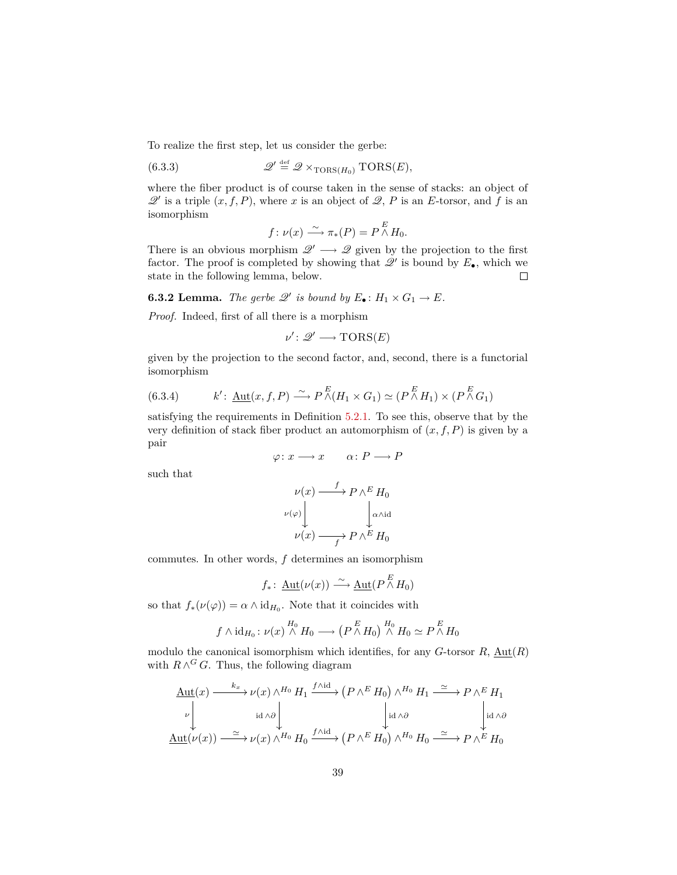To realize the first step, let us consider the gerbe:

(6.3.3) 
$$
\mathscr{Q}' \stackrel{\text{def}}{=} \mathscr{Q} \times_{\text{TORS}(H_0)} \text{TORS}(E),
$$

where the fiber product is of course taken in the sense of stacks: an object of  $\mathscr{Q}'$  is a triple  $(x, f, P)$ , where *x* is an object of  $\mathscr{Q}, P$  is an *E*-torsor, and *f* is an isomorphism

$$
f\colon \nu(x) \xrightarrow{\sim} \pi_*(P) = P \overset{E}{\wedge} H_0.
$$

There is an obvious morphism  $\mathscr{Q}' \longrightarrow \mathscr{Q}$  given by the projection to the first factor. The proof is completed by showing that  $\mathscr{Q}'$  is bound by  $E_{\bullet}$ , which we state in the following lemma, below.  $\Box$ 

**6.3.2 Lemma.** The gerbe  $\mathscr{Q}'$  is bound by  $E_{\bullet} : H_1 \times G_1 \to E$ .

*Proof.* Indeed, first of all there is a morphism

$$
\nu'\colon \mathscr{Q}'\longrightarrow {\rm TORS}(E)
$$

given by the projection to the second factor, and, second, there is a functorial isomorphism

<span id="page-38-0"></span>(6.3.4) 
$$
k' \colon \underline{\text{Aut}}(x, f, P) \xrightarrow{\sim} P \overset{E}{\wedge} (H_1 \times G_1) \simeq (P \overset{E}{\wedge} H_1) \times (P \overset{E}{\wedge} G_1)
$$

satisfying the requirements in Definition [5.2.1.](#page-23-3) To see this, observe that by the very definition of stack fiber product an automorphism of  $(x, f, P)$  is given by a pair

$$
\varphi \colon x \longrightarrow x \qquad \alpha \colon P \longrightarrow P
$$

such that

$$
\nu(x) \longrightarrow P \wedge^E H_0
$$
  
\n
$$
\nu(\varphi) \downarrow \qquad \qquad \downarrow \alpha \wedge id
$$
  
\n
$$
\nu(x) \longrightarrow P \wedge^E H_0
$$

commutes. In other words, *f* determines an isomorphism

$$
f_*\colon \underline{\text{Aut}}(\nu(x)) \xrightarrow{\sim} \underline{\text{Aut}}(P \overset{E}{\wedge} H_0)
$$

so that  $f_*(\nu(\varphi)) = \alpha \wedge id_{H_0}$ . Note that it coincides with

$$
f \wedge id_{H_0}: \nu(x) \stackrel{H_0}{\wedge} H_0 \longrightarrow (P \stackrel{E}{\wedge} H_0) \stackrel{H_0}{\wedge} H_0 \simeq P \stackrel{E}{\wedge} H_0
$$

modulo the canonical isomorphism which identifies, for any  $G$ -torsor  $R$ ,  $\text{Aut}(R)$ with  $R \wedge^G G$ . Thus, the following diagram

$$
\underline{\text{Aut}}(x) \xrightarrow{k_x} \nu(x) \wedge^{H_0} H_1 \xrightarrow{f \wedge id} (P \wedge^E H_0) \wedge^{H_0} H_1 \xrightarrow{\simeq} P \wedge^E H_1
$$
\n
$$
\downarrow id \wedge \partial \downarrow id \wedge \partial \downarrow id \wedge \partial \downarrow id \wedge \partial \downarrow id \wedge \partial \downarrow id \wedge \partial \downarrow id \wedge \partial \downarrow id \wedge \partial \downarrow id \wedge \partial \downarrow id \wedge \partial \downarrow id \wedge \partial \downarrow id \wedge \partial \downarrow id \wedge \partial \downarrow id \wedge \partial \downarrow id \wedge \partial \downarrow id \wedge \partial \downarrow id \wedge \partial \downarrow id \wedge \partial \downarrow id \wedge \partial \downarrow id \wedge \partial \downarrow id \wedge \partial \downarrow id \wedge \partial \downarrow id \wedge \partial \downarrow id \wedge \partial \downarrow id \wedge \partial \downarrow id \wedge \partial \downarrow id \wedge \partial \downarrow id \wedge \partial \downarrow id \wedge \partial \downarrow id \wedge \partial \downarrow id \wedge \partial \downarrow id \wedge \partial \downarrow id \wedge \partial \downarrow id \wedge \partial \downarrow id \wedge \partial \downarrow id \wedge \partial \downarrow id \wedge \partial \downarrow id \wedge \partial \downarrow id \wedge \partial \downarrow id \wedge \partial \downarrow id \wedge \partial \downarrow id \wedge \partial \downarrow id \wedge \partial \downarrow id \wedge \partial \downarrow id \wedge \partial \downarrow id \wedge \partial \downarrow id \wedge \partial \downarrow id \wedge \partial \downarrow id \wedge \partial \downarrow id \wedge \partial \downarrow id \wedge \partial \downarrow id \wedge \partial \downarrow id \wedge \partial \downarrow id \wedge \partial \downarrow id \wedge \partial \downarrow id \wedge \partial \downarrow id \wedge \partial \downarrow id \wedge \partial \downarrow id \wedge \partial \downarrow id \wedge \partial \downarrow id \wedge \partial \downarrow id \wedge \partial \downarrow id \wedge \partial \downarrow id \wedge \partial \downarrow id \wedge \partial \downarrow id \wedge \partial \downarrow id \wedge \partial \downarrow id \wedge \partial \downarrow id \wedge \partial \downarrow id \wedge \partial \downarrow id \wedge \partial \downarrow id \wedge \partial \downarrow id \wedge \partial \downarrow id \wedge \partial \downarrow id \
$$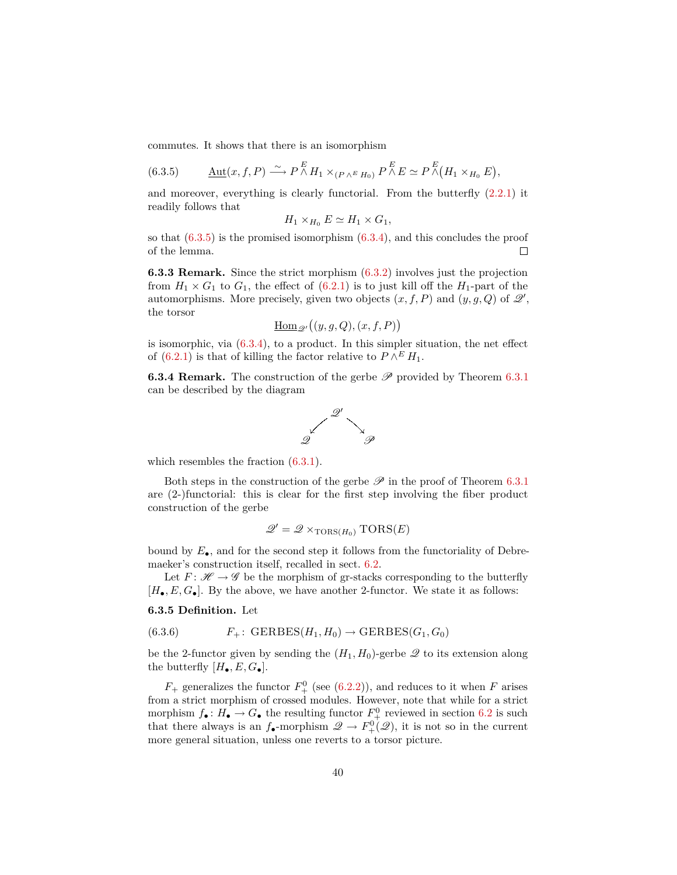commutes. It shows that there is an isomorphism

<span id="page-39-0"></span>(6.3.5) 
$$
\underline{\text{Aut}}(x, f, P) \xrightarrow{\sim} P \overset{E}{\wedge} H_1 \times_{(P \wedge^E H_0)} P \overset{E}{\wedge} E \simeq P \overset{E}{\wedge} (H_1 \times_{H_0} E),
$$

and moreover, everything is clearly functorial. From the butterfly [\(2.2.1\)](#page-9-1) it readily follows that

$$
H_1 \times_{H_0} E \simeq H_1 \times G_1,
$$

so that  $(6.3.5)$  is the promised isomorphism  $(6.3.4)$ , and this concludes the proof of the lemma.  $\Box$ 

**6.3.3 Remark.** Since the strict morphism [\(6.3.2\)](#page-37-2) involves just the projection from  $H_1 \times G_1$  to  $G_1$ , the effect of  $(6.2.1)$  is to just kill off the  $H_1$ -part of the automorphisms. More precisely, given two objects  $(x, f, P)$  and  $(y, g, Q)$  of  $\mathcal{Q}'$ , the torsor

$$
\underline{\mathrm{Hom}}_{\mathscr{Q}'}\big((y,g,Q),(x,f,P)\big)
$$

is isomorphic, via  $(6.3.4)$ , to a product. In this simpler situation, the net effect of [\(6.2.1\)](#page-35-1) is that of killing the factor relative to  $P \wedge^E H_1$ .

**6.3.4 Remark.** The construction of the gerbe  $\mathscr P$  provided by Theorem [6.3.1](#page-37-3) can be described by the diagram



which resembles the fraction  $(6.3.1)$ .

Both steps in the construction of the gerbe  $\mathscr P$  in the proof of Theorem [6.3.1](#page-37-3) are (2-)functorial: this is clear for the first step involving the fiber product construction of the gerbe

$$
\mathcal{Q}' = \mathcal{Q} \times_{\text{TORS}(H_0)} \text{TORS}(E)
$$

bound by *E*•, and for the second step it follows from the functoriality of Debremaeker's construction itself, recalled in sect. [6.2.](#page-35-0)

Let  $F: \mathcal{H} \to \mathcal{G}$  be the morphism of gr-stacks corresponding to the butterfly  $[H_{\bullet}, E, G_{\bullet}]$ . By the above, we have another 2-functor. We state it as follows:

<span id="page-39-1"></span>**6.3.5 Definition.** Let

(6.3.6) 
$$
F_+ \colon \text{GERBES}(H_1, H_0) \to \text{GERBES}(G_1, G_0)
$$

be the 2-functor given by sending the  $(H_1, H_0)$ -gerbe  $\mathscr Q$  to its extension along the butterfly  $[H_{\bullet}, E, G_{\bullet}].$ 

 $F_{+}$  generalizes the functor  $F_{+}^{0}$  (see [\(6.2.2\)](#page-36-0)), and reduces to it when *F* arises from a strict morphism of crossed modules. However, note that while for a strict morphism  $f_{\bullet} : H_{\bullet} \to G_{\bullet}$  the resulting functor  $F_{+}^{0}$  reviewed in section [6.2](#page-35-0) is such that there always is an  $f_{\bullet}$ -morphism  $\mathscr{Q} \to F_{+}^{0}(\mathscr{Q})$ , it is not so in the current more general situation, unless one reverts to a torsor picture.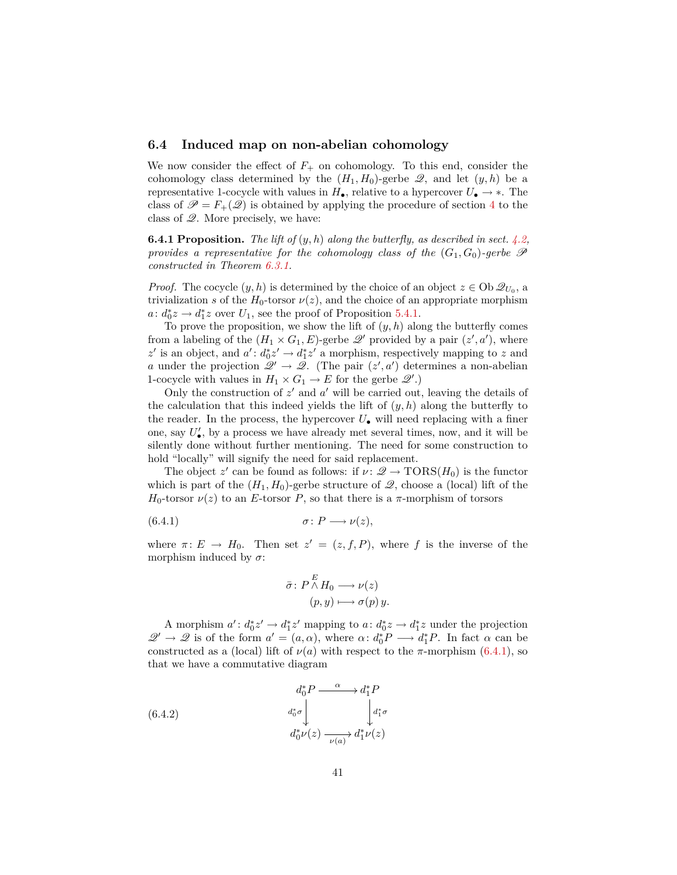### <span id="page-40-0"></span>**6.4 Induced map on non-abelian cohomology**

We now consider the effect of  $F_+$  on cohomology. To this end, consider the cohomology class determined by the  $(H_1, H_0)$ -gerbe  $\mathcal{Q}$ , and let  $(y, h)$  be a representative 1-cocycle with values in  $H_{\bullet}$ , relative to a hypercover  $U_{\bullet} \to *$ . The class of  $\mathscr{P} = F_+(\mathscr{Q})$  is obtained by applying the procedure of section [4](#page-18-0) to the class of  $\mathscr{Q}$ . More precisely, we have:

**6.4.1 Proposition.** *The lift of* (*y, h*) *along the butterfly, as described in sect. [4.2,](#page-19-1) provides a representative for the cohomology class of the*  $(G_1, G_0)$ -gerbe  $\mathscr P$ *constructed in Theorem [6.3.1.](#page-37-3)*

*Proof.* The cocycle  $(y, h)$  is determined by the choice of an object  $z \in Ob \mathcal{Q}_{U_0}$ , a trivialization *s* of the  $H_0$ -torsor  $\nu(z)$ , and the choice of an appropriate morphism  $a: d_0^*z \to d_1^*z$  over  $U_1$ , see the proof of Proposition [5.4.1.](#page-26-1)

To prove the proposition, we show the lift of  $(y, h)$  along the butterfly comes from a labeling of the  $(H_1 \times G_1, E)$ -gerbe  $\mathscr{Q}'$  provided by a pair  $(z', a')$ , where  $z'$  is an object, and  $a' : d_0^* z' \to d_1^* z'$  a morphism, respectively mapping to  $z$  and *a* under the projection  $\mathscr{Q}' \to \mathscr{Q}$ . (The pair  $(z', a')$  determines a non-abelian 1-cocycle with values in  $H_1 \times G_1 \to E$  for the gerbe  $\mathcal{Q}'$ .)

Only the construction of  $z'$  and  $a'$  will be carried out, leaving the details of the calculation that this indeed yields the lift of  $(y, h)$  along the butterfly to the reader. In the process, the hypercover  $U_{\bullet}$  will need replacing with a finer one, say  $U'_{\bullet}$ , by a process we have already met several times, now, and it will be silently done without further mentioning. The need for some construction to hold "locally" will signify the need for said replacement.

The object z' can be found as follows: if  $\nu: \mathcal{Q} \to \text{TORS}(H_0)$  is the functor which is part of the  $(H_1, H_0)$ -gerbe structure of  $\mathcal{Q}$ , choose a (local) lift of the  $H_0$ -torsor  $\nu(z)$  to an *E*-torsor *P*, so that there is a *π*-morphism of torsors

$$
(6.4.1) \qquad \qquad \sigma: P \longrightarrow \nu(z),
$$

where  $\pi: E \to H_0$ . Then set  $z' = (z, f, P)$ , where f is the inverse of the morphism induced by  $\sigma$ :

<span id="page-40-2"></span><span id="page-40-1"></span>
$$
\bar{\sigma} \colon P \stackrel{E}{\wedge} H_0 \longrightarrow \nu(z)
$$

$$
(p, y) \longmapsto \sigma(p) y.
$$

A morphism  $a' : d_0^* z' \to d_1^* z'$  mapping to  $a : d_0^* z \to d_1^* z$  under the projection  $\mathscr{Q}' \to \mathscr{Q}$  is of the form  $a' = (a, \alpha)$ , where  $\alpha: d_0^* P \longrightarrow d_1^* P$ . In fact  $\alpha$  can be constructed as a (local) lift of  $\nu(a)$  with respect to the *π*-morphism [\(6.4.1\)](#page-40-1), so that we have a commutative diagram

(6.4.2) 
$$
d_0^* P \xrightarrow{\alpha} d_1^* P
$$

$$
d_0^* \sigma \downarrow \qquad d_1^* \sigma
$$

$$
d_0^* \nu(z) \xrightarrow{\nu(a)} d_1^* \nu(z)
$$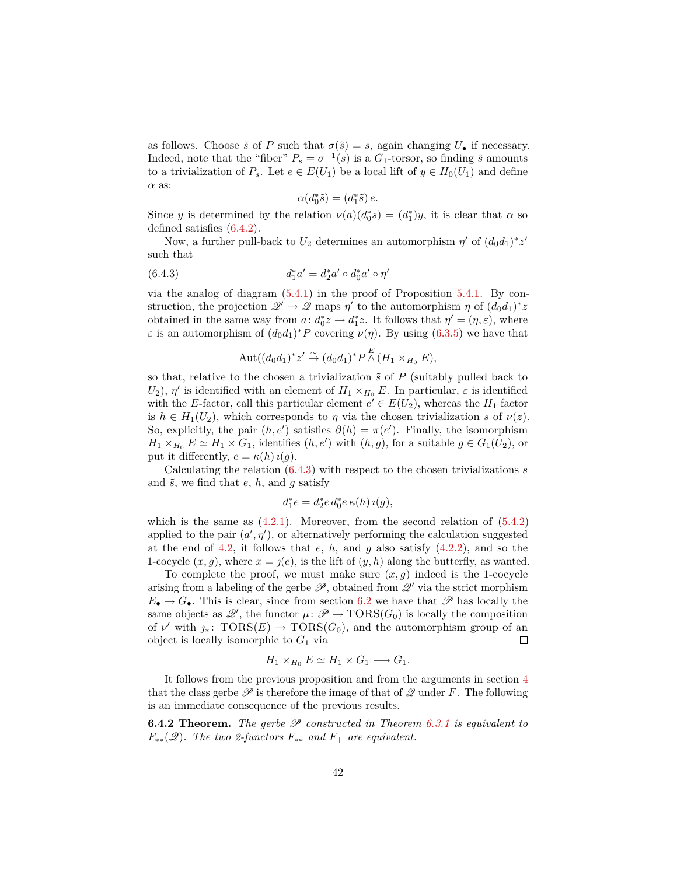as follows. Choose  $\tilde{s}$  of *P* such that  $\sigma(\tilde{s}) = s$ , again changing  $U_{\bullet}$  if necessary. Indeed, note that the "fiber"  $P_s = \sigma^{-1}(s)$  is a  $G_1$ -torsor, so finding  $\tilde{s}$  amounts to a trivialization of  $P_s$ . Let  $e \in E(U_1)$  be a local lift of  $y \in H_0(U_1)$  and define *α* as:

<span id="page-41-0"></span>
$$
\alpha(d_0^*\tilde{s}) = (d_1^*\tilde{s}) e.
$$

Since *y* is determined by the relation  $\nu(a)(d_0^*s) = (d_1^*)y$ , it is clear that  $\alpha$  so defined satisfies [\(6.4.2\)](#page-40-2).

Now, a further pull-back to  $U_2$  determines an automorphism  $\eta'$  of  $(d_0d_1)^*z'$ such that

(6.4.3) 
$$
d_1^* a' = d_2^* a' \circ d_0^* a' \circ \eta'
$$

via the analog of diagram  $(5.4.1)$  in the proof of Proposition  $5.4.1$ . By construction, the projection  $\mathscr{Q}' \to \mathscr{Q}$  maps  $\eta'$  to the automorphism  $\eta$  of  $(d_0d_1)^*z$ obtained in the same way from  $a: d_0^*z \to d_1^*z$ . It follows that  $\eta' = (\eta, \varepsilon)$ , where *ε* is an automorphism of  $(d_0d_1)^*P$  covering  $\nu(\eta)$ . By using [\(6.3.5\)](#page-39-0) we have that

$$
\underline{\mathrm{Aut}}((d_0d_1)^*z' \stackrel{\sim}{\rightarrow} (d_0d_1)^*P \stackrel{E}{\wedge} (H_1 \times_{H_0} E),
$$

so that, relative to the chosen a trivialization  $\tilde{s}$  of  $P$  (suitably pulled back to *U*<sub>2</sub>),  $\eta'$  is identified with an element of  $H_1 \times_{H_0} E$ . In particular,  $\varepsilon$  is identified with the *E*-factor, call this particular element  $e' \in E(U_2)$ , whereas the  $H_1$  factor is  $h \in H_1(U_2)$ , which corresponds to  $\eta$  via the chosen trivialization *s* of  $\nu(z)$ . So, explicitly, the pair  $(h, e')$  satisfies  $\partial(h) = \pi(e')$ . Finally, the isomorphism  $H_1 \times_{H_0} E \simeq H_1 \times G_1$ , identifies  $(h, e')$  with  $(h, g)$ , for a suitable  $g \in G_1(U_2)$ , or put it differently,  $e = \kappa(h) \iota(g)$ .

Calculating the relation [\(6.4.3\)](#page-41-0) with respect to the chosen trivializations *s* and  $\tilde{s}$ , we find that  $e$ ,  $h$ , and  $g$  satisfy

$$
d_1^*e = d_2^*e \, d_0^*e \, \kappa(h) \, \iota(g),
$$

which is the same as  $(4.2.1)$ . Moreover, from the second relation of  $(5.4.2)$ applied to the pair  $(a', \eta')$ , or alternatively performing the calculation suggested at the end of [4.2,](#page-19-1) it follows that *e*, *h*, and *g* also satisfy [\(4.2.2\)](#page-20-2), and so the 1-cocycle  $(x, g)$ , where  $x = j(e)$ , is the lift of  $(y, h)$  along the butterfly, as wanted.

To complete the proof, we must make sure  $(x, g)$  indeed is the 1-cocycle arising from a labeling of the gerbe  $\mathscr{P}$ , obtained from  $\mathscr{Q}'$  via the strict morphism  $E_{\bullet} \to G_{\bullet}$ . This is clear, since from section [6.2](#page-35-0) we have that  $\mathscr{P}$  has locally the same objects as  $\mathscr{Q}'$ , the functor  $\mu \colon \mathscr{P} \to \text{TORS}(G_0)$  is locally the composition of  $\nu'$  with  $\jmath_*\colon \operatorname{TORS}(E) \to \operatorname{TORS}(G_0)$ , and the automorphism group of an object is locally isomorphic to  $G_1$  via  $\Box$ 

$$
H_1 \times_{H_0} E \simeq H_1 \times G_1 \longrightarrow G_1.
$$

It follows from the previous proposition and from the arguments in section [4](#page-18-0) that the class gerbe  $\mathscr P$  is therefore the image of that of  $\mathscr Q$  under *F*. The following is an immediate consequence of the previous results.

**6.4.2 Theorem.** The gerbe  $P$  constructed in Theorem [6.3.1](#page-37-3) is equivalent to  $F_{**}(\mathscr{Q})$ . The two 2-functors  $F_{**}$  and  $F_{+}$  are equivalent.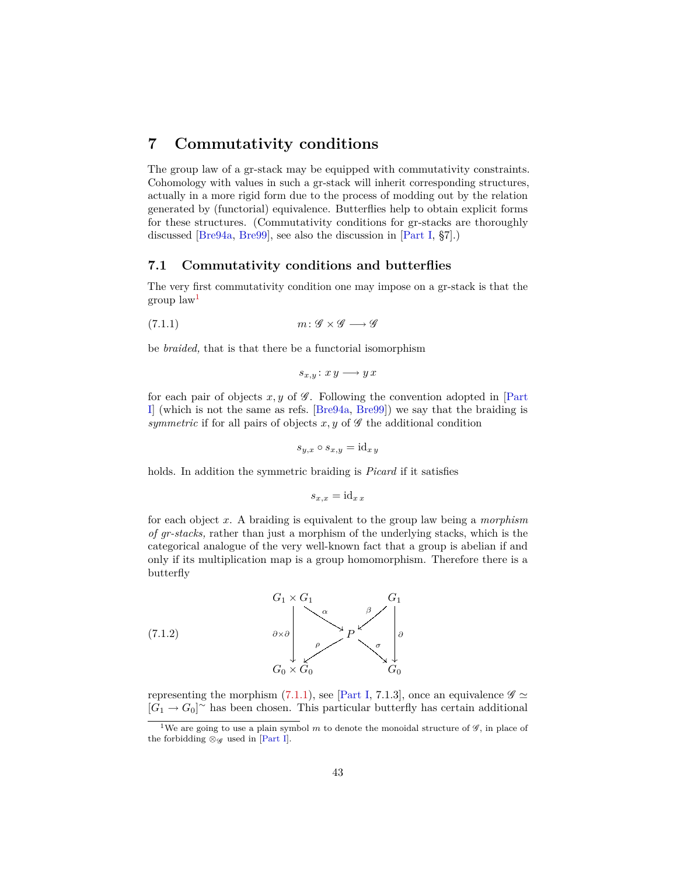# <span id="page-42-5"></span><span id="page-42-0"></span>**7 Commutativity conditions**

The group law of a gr-stack may be equipped with commutativity constraints. Cohomology with values in such a gr-stack will inherit corresponding structures, actually in a more rigid form due to the process of modding out by the relation generated by (functorial) equivalence. Butterflies help to obtain explicit forms for these structures. (Commutativity conditions for gr-stacks are thoroughly discussed [\[Bre94a,](#page-53-4) [Bre99\]](#page-53-11), see also the discussion in [\[Part I,](#page-52-0) §7].)

### <span id="page-42-1"></span>**7.1 Commutativity conditions and butterflies**

The very first commutativity condition one may impose on a gr-stack is that the group law[1](#page-42-2)

$$
(7.1.1) \t m: \mathscr{G} \times \mathscr{G} \longrightarrow \mathscr{G}
$$

be *braided,* that is that there be a functorial isomorphism

<span id="page-42-3"></span>
$$
s_{x,y}: x y \longrightarrow y x
$$

for each pair of objects  $x, y$  of  $\mathscr G$ . Following the convention adopted in [\[Part](#page-52-0)] [I\]](#page-52-0) (which is not the same as refs. [\[Bre94a,](#page-53-4) [Bre99\]](#page-53-11)) we say that the braiding is *symmetric* if for all pairs of objects  $x, y$  of  $\mathscr G$  the additional condition

$$
s_{y,x} \circ s_{x,y} = \mathrm{id}_{x\,y}
$$

holds. In addition the symmetric braiding is *Picard* if it satisfies

$$
s_{x,x} = \mathrm{id}_{x\,x}
$$

for each object *x*. A braiding is equivalent to the group law being a *morphism of gr-stacks,* rather than just a morphism of the underlying stacks, which is the categorical analogue of the very well-known fact that a group is abelian if and only if its multiplication map is a group homomorphism. Therefore there is a butterfly



<span id="page-42-4"></span>representing the morphism [\(7.1.1\)](#page-42-3), see [\[Part I,](#page-52-0) 7.1.3], once an equivalence  $\mathscr{G} \simeq$  $[G_1 \to G_0]$ <sup>~</sup> has been chosen. This particular butterfly has certain additional

<span id="page-42-2"></span><sup>&</sup>lt;sup>1</sup>We are going to use a plain symbol  $m$  to denote the monoidal structure of  $\mathscr{G}$ , in place of the forbidding  $\otimes_{\mathscr{G}}$  used in [\[Part I\]](#page-52-0).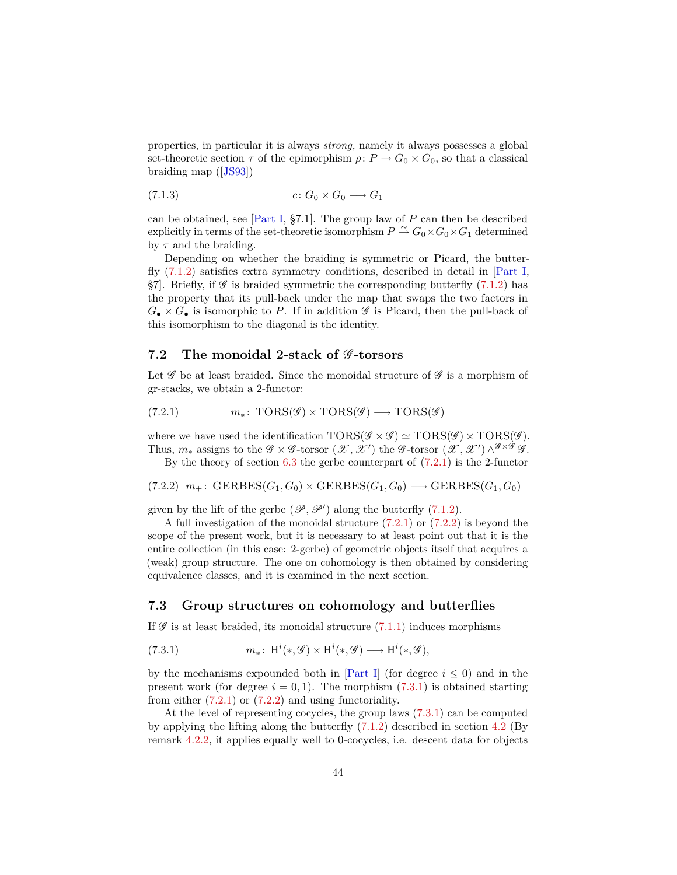<span id="page-43-6"></span>properties, in particular it is always *strong,* namely it always possesses a global set-theoretic section  $\tau$  of the epimorphism  $\rho: P \to G_0 \times G_0$ , so that a classical braiding map ([\[JS93\]](#page-54-3))

<span id="page-43-5"></span>
$$
(7.1.3) \t\t c: G_0 \times G_0 \longrightarrow G_1
$$

can be obtained, see [\[Part I,](#page-52-0) §7.1]. The group law of *P* can then be described explicitly in terms of the set-theoretic isomorphism  $P \stackrel{\sim}{\to} G_0 \times G_0 \times G_1$  determined by *τ* and the braiding.

Depending on whether the braiding is symmetric or Picard, the butterfly [\(7.1.2\)](#page-42-4) satisfies extra symmetry conditions, described in detail in [\[Part I,](#page-52-0) §7]. Briefly, if  $\mathscr G$  is braided symmetric the corresponding butterfly [\(7.1.2\)](#page-42-4) has the property that its pull-back under the map that swaps the two factors in  $G_{\bullet} \times G_{\bullet}$  is isomorphic to P. If in addition  $\mathscr G$  is Picard, then the pull-back of this isomorphism to the diagonal is the identity.

## <span id="page-43-0"></span>**7.2** The monoidal 2-stack of  $\mathscr G$ -torsors

Let  $\mathscr G$  be at least braided. Since the monoidal structure of  $\mathscr G$  is a morphism of gr-stacks, we obtain a 2-functor:

<span id="page-43-2"></span>(7.2.1) 
$$
m_*\colon \text{TORS}(\mathscr{G}) \times \text{TORS}(\mathscr{G}) \longrightarrow \text{TORS}(\mathscr{G})
$$

where we have used the identification  $TORS(\mathscr{G} \times \mathscr{G}) \simeq TORS(\mathscr{G}) \times TORS(\mathscr{G})$ . Thus,  $m_*$  assigns to the  $\mathscr{G} \times \mathscr{G}$ -torsor  $(\mathscr{X}, \mathscr{X}')$  the  $\mathscr{G}$ -torsor  $(\mathscr{X}, \mathscr{X}') \wedge^{\mathscr{G} \times \mathscr{G}} \mathscr{G}$ .

<span id="page-43-3"></span>By the theory of section  $6.3$  the gerbe counterpart of  $(7.2.1)$  is the 2-functor

$$
(7.2.2) \, m_+ \colon \text{GERBES}(G_1, G_0) \times \text{GERBES}(G_1, G_0) \longrightarrow \text{GERBES}(G_1, G_0)
$$

given by the lift of the gerbe  $(\mathscr{P}, \mathscr{P}')$  along the butterfly  $(7.1.2)$ .

A full investigation of the monoidal structure  $(7.2.1)$  or  $(7.2.2)$  is beyond the scope of the present work, but it is necessary to at least point out that it is the entire collection (in this case: 2-gerbe) of geometric objects itself that acquires a (weak) group structure. The one on cohomology is then obtained by considering equivalence classes, and it is examined in the next section.

#### <span id="page-43-1"></span>**7.3 Group structures on cohomology and butterflies**

If  $\mathscr G$  is at least braided, its monoidal structure  $(7.1.1)$  induces morphisms

<span id="page-43-4"></span>(7.3.1) 
$$
m_*\colon \operatorname{H}^i(*,\mathscr{G})\times \operatorname{H}^i(*,\mathscr{G})\longrightarrow \operatorname{H}^i(*,\mathscr{G}),
$$

by the mechanisms expounded both in [\[Part I\]](#page-52-0) (for degree  $i \leq 0$ ) and in the present work (for degree  $i = 0, 1$ ). The morphism  $(7.3.1)$  is obtained starting from either  $(7.2.1)$  or  $(7.2.2)$  and using functoriality.

At the level of representing cocycles, the group laws [\(7.3.1\)](#page-43-4) can be computed by applying the lifting along the butterfly  $(7.1.2)$  described in section [4.2](#page-19-1) (By remark [4.2.2,](#page-20-3) it applies equally well to 0-cocycles, i.e. descent data for objects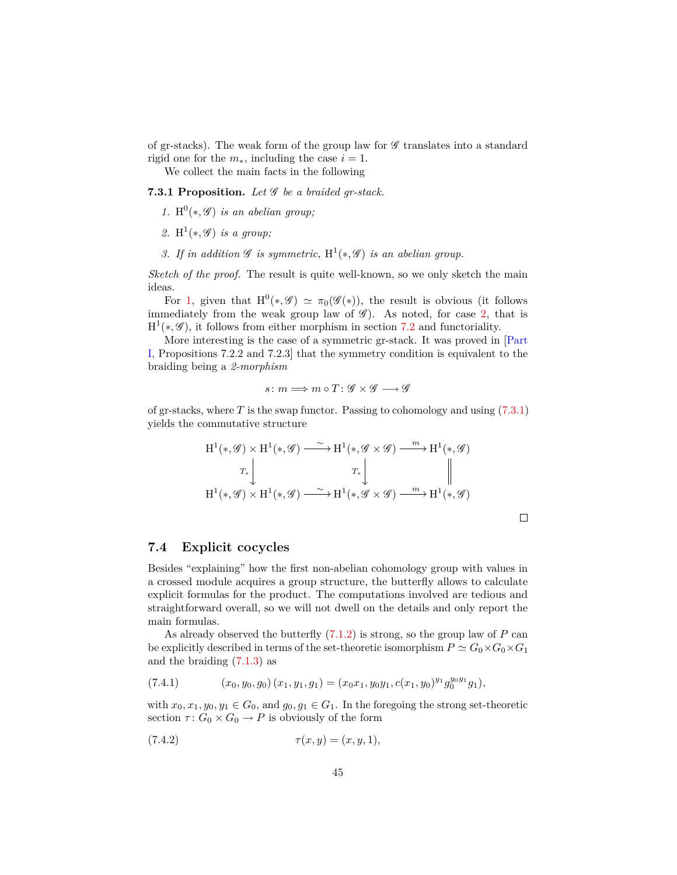<span id="page-44-3"></span>of gr-stacks). The weak form of the group law for  $\mathscr G$  translates into a standard rigid one for the  $m_*,$  including the case  $i = 1.$ 

We collect the main facts in the following

**7.3.1 Proposition.** *Let* G *be a braided gr-stack.*

- <span id="page-44-1"></span>1.  $H^0(*, \mathscr{G})$  *is an abelian group*;
- <span id="page-44-2"></span>2.  $H^1(*, \mathscr{G})$  *is a group*;
- 3. If in addition  $\mathscr G$  is symmetric,  $H^1(*, \mathscr G)$  is an abelian group.

*Sketch of the proof.* The result is quite well-known, so we only sketch the main ideas.

For [1,](#page-44-1) given that  $H^0(*, \mathscr{G}) \simeq \pi_0(\mathscr{G}(*))$ , the result is obvious (it follows immediately from the weak group law of  $\mathscr{G}$ ). As noted, for case [2,](#page-44-2) that is  $H^1(*, \mathscr{G})$ , it follows from either morphism in section [7.2](#page-43-0) and functoriality.

More interesting is the case of a symmetric gr-stack. It was proved in [\[Part](#page-52-0) [I,](#page-52-0) Propositions 7.2.2 and 7.2.3] that the symmetry condition is equivalent to the braiding being a *2-morphism*

$$
s\colon m\Longrightarrow m\circ T\colon {\mathscr G}\times{\mathscr G}\longrightarrow{\mathscr G}
$$

of gr-stacks, where *T* is the swap functor. Passing to cohomology and using [\(7.3.1\)](#page-43-4) yields the commutative structure

$$
H^{1}(*,\mathcal{G}) \times H^{1}(*,\mathcal{G}) \xrightarrow{\sim} H^{1}(*,\mathcal{G} \times \mathcal{G}) \xrightarrow{m} H^{1}(*,\mathcal{G})
$$
  

$$
T_{*} \downarrow \qquad T_{*} \downarrow \qquad \qquad T_{*} \downarrow \qquad \qquad \parallel
$$
  

$$
H^{1}(*,\mathcal{G}) \times H^{1}(*,\mathcal{G}) \xrightarrow{\sim} H^{1}(*,\mathcal{G} \times \mathcal{G}) \xrightarrow{m} H^{1}(*,\mathcal{G})
$$

#### <span id="page-44-0"></span>**7.4 Explicit cocycles**

Besides "explaining" how the first non-abelian cohomology group with values in a crossed module acquires a group structure, the butterfly allows to calculate explicit formulas for the product. The computations involved are tedious and straightforward overall, so we will not dwell on the details and only report the main formulas.

As already observed the butterfly [\(7.1.2\)](#page-42-4) is strong, so the group law of *P* can be explicitly described in terms of the set-theoretic isomorphism  $P \simeq G_0 \times G_0 \times G_1$ and the braiding  $(7.1.3)$  as

(7.4.1) 
$$
(x_0, y_0, g_0) (x_1, y_1, g_1) = (x_0 x_1, y_0 y_1, c(x_1, y_0)^{y_1} g_0^{y_0 y_1} g_1),
$$

with  $x_0, x_1, y_0, y_1 \in G_0$ , and  $g_0, g_1 \in G_1$ . In the foregoing the strong set-theoretic section  $\tau: G_0 \times G_0 \to P$  is obviously of the form

(7.4.2) 
$$
\tau(x, y) = (x, y, 1),
$$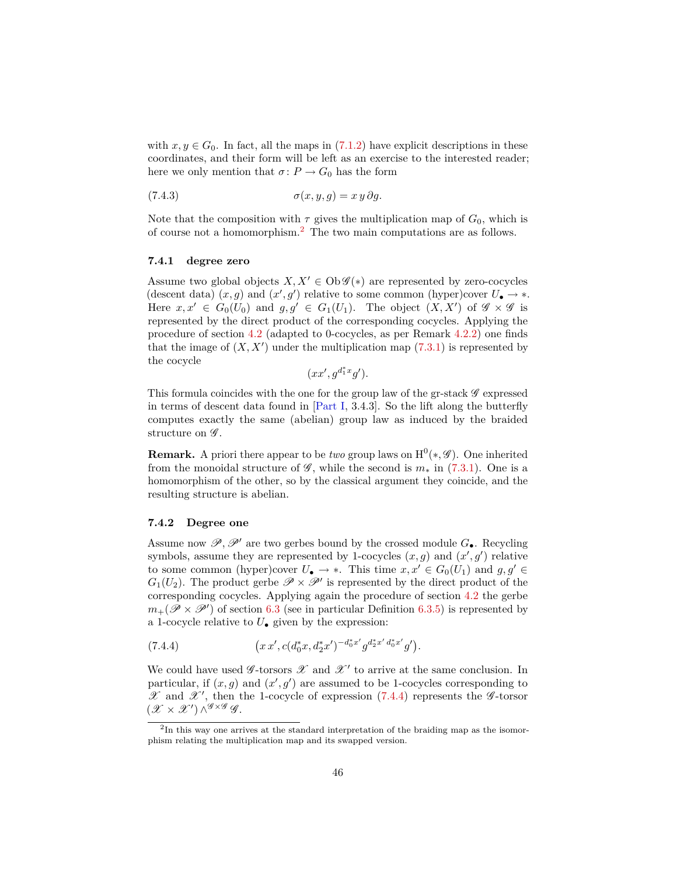<span id="page-45-3"></span>with  $x, y \in G_0$ . In fact, all the maps in [\(7.1.2\)](#page-42-4) have explicit descriptions in these coordinates, and their form will be left as an exercise to the interested reader; here we only mention that  $\sigma: P \to G_0$  has the form

$$
(7.4.3) \qquad \qquad \sigma(x,y,g) = x y \, \partial g.
$$

Note that the composition with  $\tau$  gives the multiplication map of  $G_0$ , which is of course not a homomorphism.[2](#page-45-0) The two main computations are as follows.

#### **7.4.1 degree zero**

Assume two global objects  $X, X' \in Ob \mathscr{G}(*)$  are represented by zero-cocycles (descent data)  $(x, g)$  and  $(x', g')$  relative to some common (hyper)cover  $U_{\bullet} \to *$ . Here  $x, x' \in G_0(U_0)$  and  $g, g' \in G_1(U_1)$ . The object  $(X, X')$  of  $\mathscr{G} \times \mathscr{G}$  is represented by the direct product of the corresponding cocycles. Applying the procedure of section [4.2](#page-19-1) (adapted to 0-cocycles, as per Remark [4.2.2\)](#page-20-3) one finds that the image of  $(X, X')$  under the multiplication map  $(7.3.1)$  is represented by the cocycle

$$
(xx', g^{d_1^*x}g').
$$

This formula coincides with the one for the group law of the gr-stack  $\mathscr G$  expressed in terms of descent data found in [\[Part I,](#page-52-0) 3.4.3]. So the lift along the butterfly computes exactly the same (abelian) group law as induced by the braided structure on  $\mathscr{G}$ .

**Remark.** A priori there appear to be *two* group laws on  $H^0(*, \mathscr{G})$ . One inherited from the monoidal structure of  $\mathscr{G}$ , while the second is  $m_*$  in [\(7.3.1\)](#page-43-4). One is a homomorphism of the other, so by the classical argument they coincide, and the resulting structure is abelian.

#### <span id="page-45-2"></span>**7.4.2 Degree one**

Assume now  $\mathscr{P}, \mathscr{P}'$  are two gerbes bound by the crossed module  $G_{\bullet}$ . Recycling symbols, assume they are represented by 1-cocycles  $(x, g)$  and  $(x', g')$  relative to some common (hyper)cover  $U_{\bullet} \to *$ . This time  $x, x' \in G_0(U_1)$  and  $g, g' \in$  $G_1(U_2)$ . The product gerbe  $\mathscr{P} \times \mathscr{P}'$  is represented by the direct product of the corresponding cocycles. Applying again the procedure of section [4.2](#page-19-1) the gerbe  $m_+(\mathscr{P}\times\mathscr{P}')$  of section [6.3](#page-37-0) (see in particular Definition [6.3.5\)](#page-39-1) is represented by a 1-cocycle relative to  $U_{\bullet}$  given by the expression:

<span id="page-45-1"></span>(7.4.4) 
$$
\left(x x', c(d_0^* x, d_2^* x')^{-d_0^* x'} g^{d_2^* x' d_0^* x'} g'\right).
$$

We could have used  $\mathscr G\text{-torsors }\mathscr X$  and  $\mathscr X'$  to arrive at the same conclusion. In particular, if  $(x, g)$  and  $(x', g')$  are assumed to be 1-cocycles corresponding to  $\mathscr X$  and  $\mathscr X'$ , then the 1-cocycle of expression [\(7.4.4\)](#page-45-1) represents the  $\mathscr G$ -torsor  $(\mathscr{X}\times \mathscr{X}')\wedge^{\mathscr{G}\times\mathscr{G}}\mathscr{G}.$ 

<span id="page-45-0"></span><sup>&</sup>lt;sup>2</sup>In this way one arrives at the standard interpretation of the braiding map as the isomorphism relating the multiplication map and its swapped version.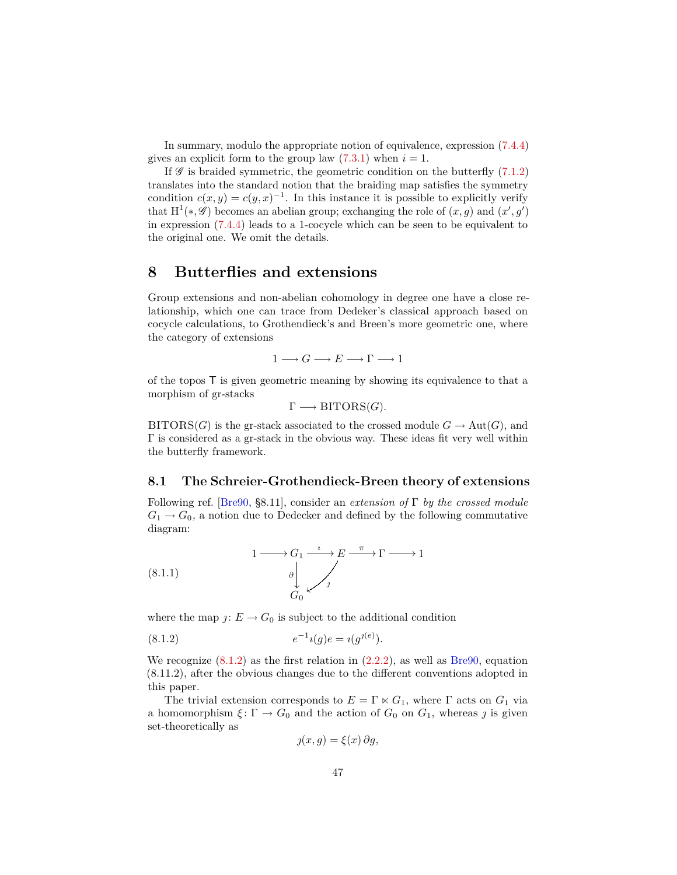<span id="page-46-4"></span>In summary, modulo the appropriate notion of equivalence, expression [\(7.4.4\)](#page-45-1) gives an explicit form to the group law  $(7.3.1)$  when  $i = 1$ .

If  $\mathscr G$  is braided symmetric, the geometric condition on the butterfly [\(7.1.2\)](#page-42-4) translates into the standard notion that the braiding map satisfies the symmetry condition  $c(x, y) = c(y, x)^{-1}$ . In this instance it is possible to explicitly verify that  $H^1(*, \mathscr{G})$  becomes an abelian group; exchanging the role of  $(x, g)$  and  $(x', g')$ in expression [\(7.4.4\)](#page-45-1) leads to a 1-cocycle which can be seen to be equivalent to the original one. We omit the details.

# <span id="page-46-0"></span>**8 Butterflies and extensions**

Group extensions and non-abelian cohomology in degree one have a close relationship, which one can trace from Dedeker's classical approach based on cocycle calculations, to Grothendieck's and Breen's more geometric one, where the category of extensions

$$
1 \longrightarrow G \longrightarrow E \longrightarrow \Gamma \longrightarrow 1
$$

of the topos T is given geometric meaning by showing its equivalence to that a morphism of gr-stacks

$$
\Gamma \longrightarrow \text{BITORS}(G).
$$

 $\text{BITORS}(G)$  is the gr-stack associated to the crossed module  $G \to \text{Aut}(G)$ , and Γ is considered as a gr-stack in the obvious way. These ideas fit very well within the butterfly framework.

#### <span id="page-46-1"></span>**8.1 The Schreier-Grothendieck-Breen theory of extensions**

Following ref. [\[Bre90,](#page-52-1) §8.11], consider an *extension of* Γ *by the crossed module*  $G_1 \rightarrow G_0$ , a notion due to Dedecker and defined by the following commutative diagram:

<span id="page-46-3"></span>(8.1.1) 
$$
1 \longrightarrow G_1 \xrightarrow{i} E \xrightarrow{\pi} \Gamma \longrightarrow 1
$$

$$
\downarrow \qquad \qquad \downarrow
$$

$$
\downarrow \qquad \qquad \downarrow
$$

$$
G_0 \swarrow \qquad \qquad \downarrow
$$

where the map  $j: E \to G_0$  is subject to the additional condition

(8.1.2) 
$$
e^{-1}i(g)e = i(g^{j(e)}).
$$

We recognize  $(8.1.2)$  as the first relation in  $(2.2.2)$ , as well as [Bre90,](#page-52-1) equation (8.11.2), after the obvious changes due to the different conventions adopted in this paper.

The trivial extension corresponds to  $E = \Gamma \ltimes G_1$ , where  $\Gamma$  acts on  $G_1$  via a homomorphism  $\xi \colon \Gamma \to G_0$  and the action of  $G_0$  on  $G_1$ , whereas  $\jmath$  is given set-theoretically as

<span id="page-46-2"></span>
$$
y(x, g) = \xi(x) \, \partial g,
$$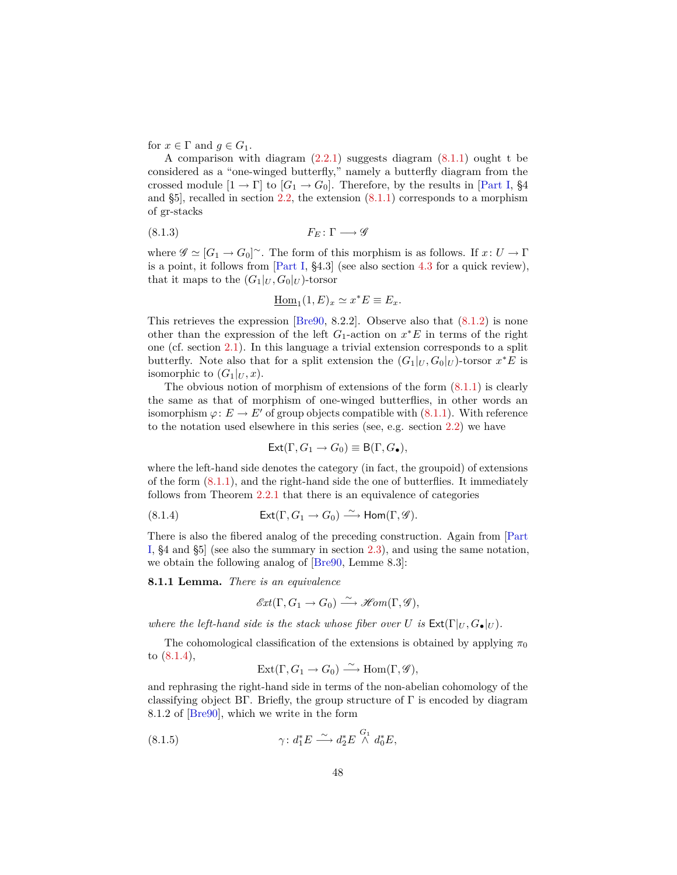<span id="page-47-2"></span>for  $x \in \Gamma$  and  $g \in G_1$ .

A comparison with diagram  $(2.2.1)$  suggests diagram  $(8.1.1)$  ought t be considered as a "one-winged butterfly," namely a butterfly diagram from the crossed module  $[1 \rightarrow \Gamma]$  to  $[G_1 \rightarrow G_0]$ . Therefore, by the results in [\[Part I,](#page-52-0) §4 and §5], recalled in section [2.2,](#page-8-0) the extension [\(8.1.1\)](#page-46-3) corresponds to a morphism of gr-stacks

$$
(8.1.3) \t\t F_E: \Gamma \longrightarrow \mathscr{G}
$$

where  $\mathscr{G} \simeq [G_1 \to G_0]^\sim$ . The form of this morphism is as follows. If  $x: U \to \Gamma$ is a point, it follows from [\[Part I,](#page-52-0) §4.3] (see also section [4.3](#page-20-0) for a quick review), that it maps to the  $(G_1|_U, G_0|_U)$ -torsor

$$
\underline{\mathrm{Hom}}_1(1,E)_x \simeq x^*E \equiv E_x.
$$

This retrieves the expression [\[Bre90,](#page-52-1) 8.2.2]. Observe also that [\(8.1.2\)](#page-46-2) is none other than the expression of the left  $G_1$ -action on  $x^*E$  in terms of the right one (cf. section [2.1\)](#page-7-2). In this language a trivial extension corresponds to a split butterfly. Note also that for a split extension the  $(G_1|_U, G_0|_U)$ -torsor  $x^*E$  is isomorphic to  $(G_1|_U, x)$ .

The obvious notion of morphism of extensions of the form  $(8.1.1)$  is clearly the same as that of morphism of one-winged butterflies, in other words an isomorphism  $\varphi: E \to E'$  of group objects compatible with  $(8.1.1)$ . With reference to the notation used elsewhere in this series (see, e.g. section [2.2\)](#page-8-0) we have

<span id="page-47-0"></span>
$$
\mathsf{Ext}(\Gamma,G_1\to G_0)\equiv \mathsf{B}(\Gamma,G_\bullet),
$$

where the left-hand side denotes the category (in fact, the groupoid) of extensions of the form [\(8.1.1\)](#page-46-3), and the right-hand side the one of butterflies. It immediately follows from Theorem [2.2.1](#page-9-2) that there is an equivalence of categories

(8.1.4) 
$$
\mathsf{Ext}(\Gamma,G_1\to G_0)\stackrel{\sim}{\longrightarrow}\mathsf{Hom}(\Gamma,\mathscr{G}).
$$

There is also the fibered analog of the preceding construction. Again from [\[Part](#page-52-0) [I,](#page-52-0) §4 and §5] (see also the summary in section [2.3\)](#page-10-0), and using the same notation, we obtain the following analog of [\[Bre90,](#page-52-1) Lemme 8.3]:

**8.1.1 Lemma.** *There is an equivalence*

$$
\mathscr{E}\!\mathit{xt}(\Gamma,G_1\to G_0)\xrightarrow{\sim}\mathscr{H}\!\mathit{om}(\Gamma,\mathscr{G}),
$$

*where the left-hand side is the stack whose fiber over U is*  $Ext(\Gamma|_U, G_{\bullet}|_U)$ .

The cohomological classification of the extensions is obtained by applying  $\pi_0$ to [\(8.1.4\)](#page-47-0),

<span id="page-47-1"></span>
$$
Ext(\Gamma, G_1 \to G_0) \xrightarrow{\sim} Hom(\Gamma, \mathscr{G}),
$$

and rephrasing the right-hand side in terms of the non-abelian cohomology of the classifying object BΓ. Briefly, the group structure of  $\Gamma$  is encoded by diagram 8.1.2 of [\[Bre90\]](#page-52-1), which we write in the form

(8.1.5) 
$$
\gamma \colon d_1^* E \xrightarrow{\sim} d_2^* E \overset{G_1}{\wedge} d_0^* E,
$$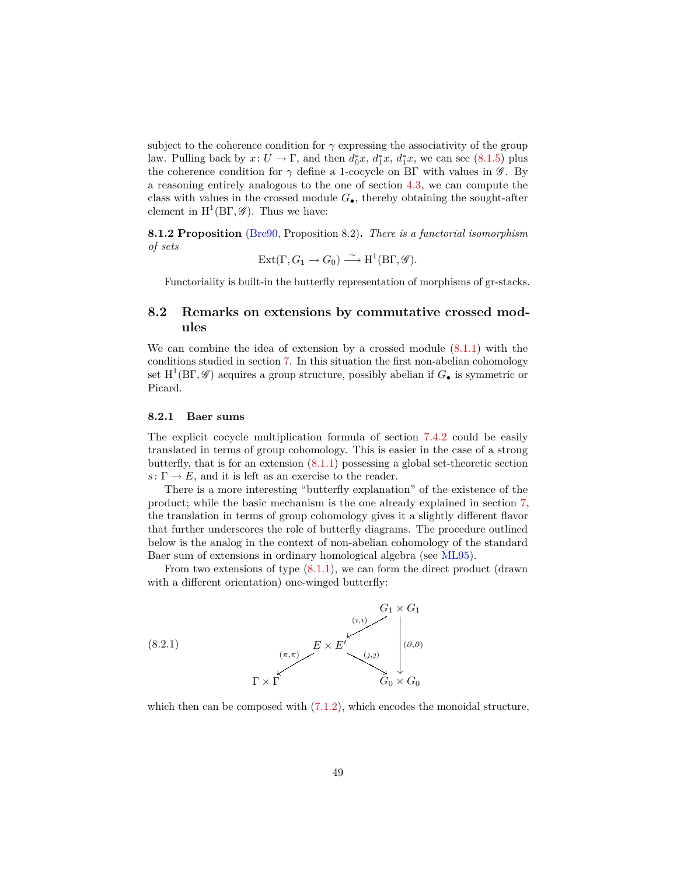<span id="page-48-2"></span>subject to the coherence condition for  $\gamma$  expressing the associativity of the group law. Pulling back by  $x: U \to \Gamma$ , and then  $d_0^*x, d_1^*x, d_1^*x$ , we can see [\(8.1.5\)](#page-47-1) plus the coherence condition for  $\gamma$  define a 1-cocycle on BΓ with values in  $\mathscr G$ . By a reasoning entirely analogous to the one of section [4.3,](#page-20-0) we can compute the class with values in the crossed module *G*•, thereby obtaining the sought-after element in  $H^1(B\Gamma, \mathscr{G})$ . Thus we have:

**8.1.2 Proposition** [\(Bre90,](#page-52-1) Proposition 8.2)**.** *There is a functorial isomorphism of sets*

$$
Ext(\Gamma, G_1 \to G_0) \xrightarrow{\sim} H^1(B\Gamma, \mathscr{G}).
$$

Functoriality is built-in the butterfly representation of morphisms of gr-stacks.

## <span id="page-48-0"></span>**8.2 Remarks on extensions by commutative crossed modules**

We can combine the idea of extension by a crossed module [\(8.1.1\)](#page-46-3) with the conditions studied in section [7.](#page-42-0) In this situation the first non-abelian cohomology set  $H^1(B\Gamma, \mathscr{G})$  acquires a group structure, possibly abelian if  $G_{\bullet}$  is symmetric or Picard.

#### **8.2.1 Baer sums**

The explicit cocycle multiplication formula of section [7.4.2](#page-45-2) could be easily translated in terms of group cohomology. This is easier in the case of a strong butterfly, that is for an extension [\(8.1.1\)](#page-46-3) possessing a global set-theoretic section  $s: \Gamma \to E$ , and it is left as an exercise to the reader.

There is a more interesting "butterfly explanation" of the existence of the product; while the basic mechanism is the one already explained in section [7,](#page-42-0) the translation in terms of group cohomology gives it a slightly different flavor that further underscores the role of butterfly diagrams. The procedure outlined below is the analog in the context of non-abelian cohomology of the standard Baer sum of extensions in ordinary homological algebra (see [ML95\)](#page-54-7).

From two extensions of type [\(8.1.1\)](#page-46-3), we can form the direct product (drawn with a different orientation) one-winged butterfly:

<span id="page-48-1"></span>

which then can be composed with  $(7.1.2)$ , which encodes the monoidal structure,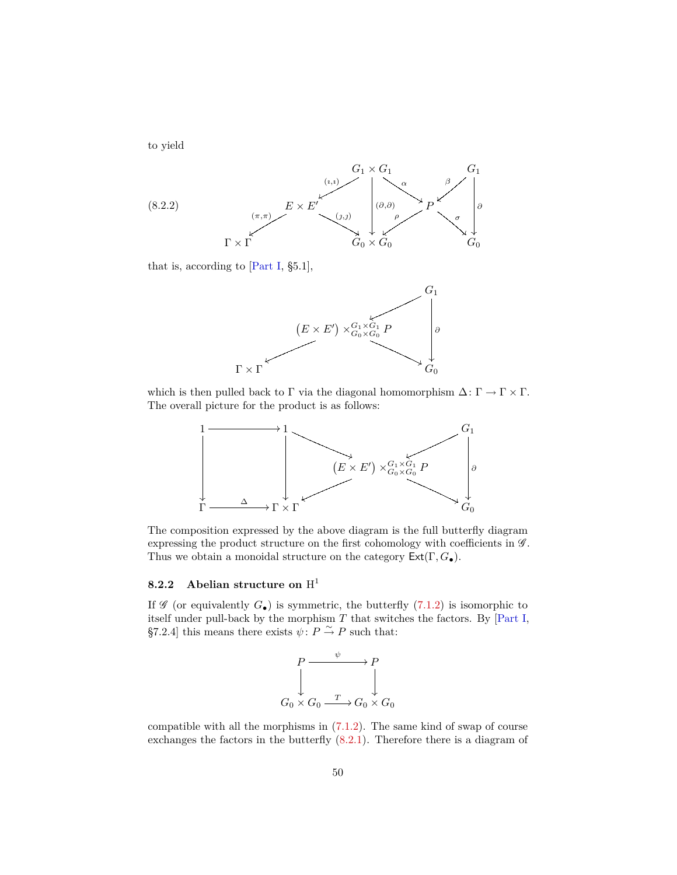<span id="page-49-0"></span>to yield



that is, according to [\[Part I,](#page-52-0) §5.1],



which is then pulled back to  $\Gamma$  via the diagonal homomorphism  $\Delta: \Gamma \to \Gamma \times \Gamma$ . The overall picture for the product is as follows:



The composition expressed by the above diagram is the full butterfly diagram expressing the product structure on the first cohomology with coefficients in  $\mathscr{G}$ . Thus we obtain a monoidal structure on the category Ext(Γ*, G*•).

## **8.2.2 Abelian structure on** H 1

If  $\mathscr G$  (or equivalently  $G_{\bullet}$ ) is symmetric, the butterfly  $(7.1.2)$  is isomorphic to itself under pull-back by the morphism *T* that switches the factors. By [\[Part I,](#page-52-0) §7.2.4] this means there exists  $\psi: P \overset{\sim}{\to} P$  such that:



compatible with all the morphisms in [\(7.1.2\)](#page-42-4). The same kind of swap of course exchanges the factors in the butterfly [\(8.2.1\)](#page-48-1). Therefore there is a diagram of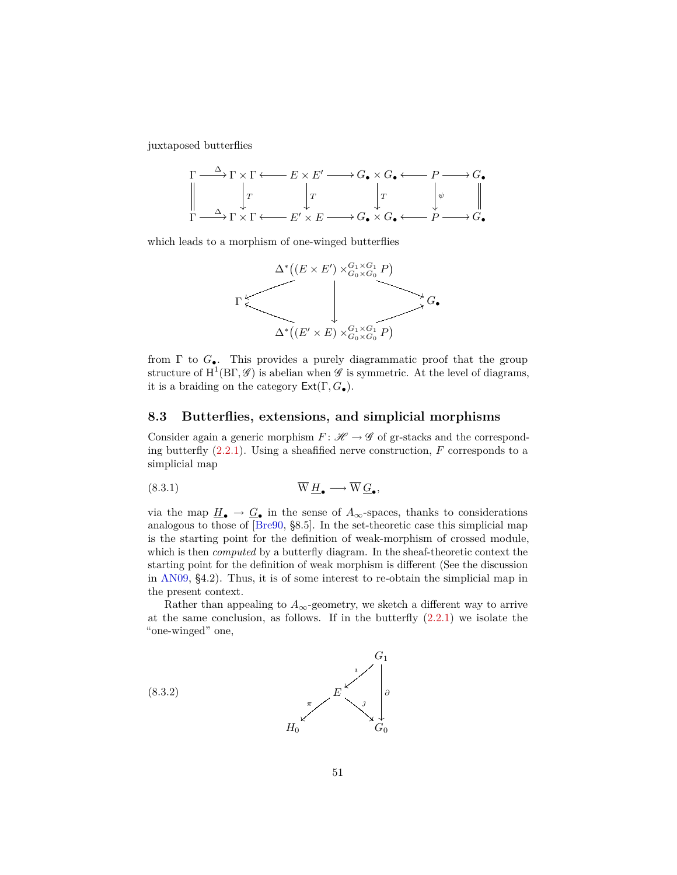<span id="page-50-3"></span>juxtaposed butterflies



which leads to a morphism of one-winged butterflies



from  $\Gamma$  to  $G_{\bullet}$ . This provides a purely diagrammatic proof that the group structure of  $H^1(B\Gamma, \mathscr{G})$  is abelian when  $\mathscr{G}$  is symmetric. At the level of diagrams, it is a braiding on the category Ext(Γ*, G*•).

#### <span id="page-50-0"></span>**8.3 Butterflies, extensions, and simplicial morphisms**

Consider again a generic morphism  $F: \mathcal{H} \to \mathcal{G}$  of gr-stacks and the corresponding butterfly [\(2.2.1\)](#page-9-1). Using a sheafified nerve construction, *F* corresponds to a simplicial map

<span id="page-50-2"></span>*,*

$$
\overline{W} \underline{H}_{\bullet} \longrightarrow \overline{W} \underline{G}_{\bullet}
$$

via the map  $\underline{H}_{\bullet} \to \underline{G}_{\bullet}$  in the sense of  $A_{\infty}$ -spaces, thanks to considerations analogous to those of [\[Bre90,](#page-52-1) §8.5]. In the set-theoretic case this simplicial map is the starting point for the definition of weak-morphism of crossed module, which is then *computed* by a butterfly diagram. In the sheaf-theoretic context the starting point for the definition of weak morphism is different (See the discussion in [AN09,](#page-52-0) §4.2). Thus, it is of some interest to re-obtain the simplicial map in the present context.

Rather than appealing to  $A_{\infty}$ -geometry, we sketch a different way to arrive at the same conclusion, as follows. If in the butterfly  $(2.2.1)$  we isolate the "one-winged" one,

<span id="page-50-1"></span>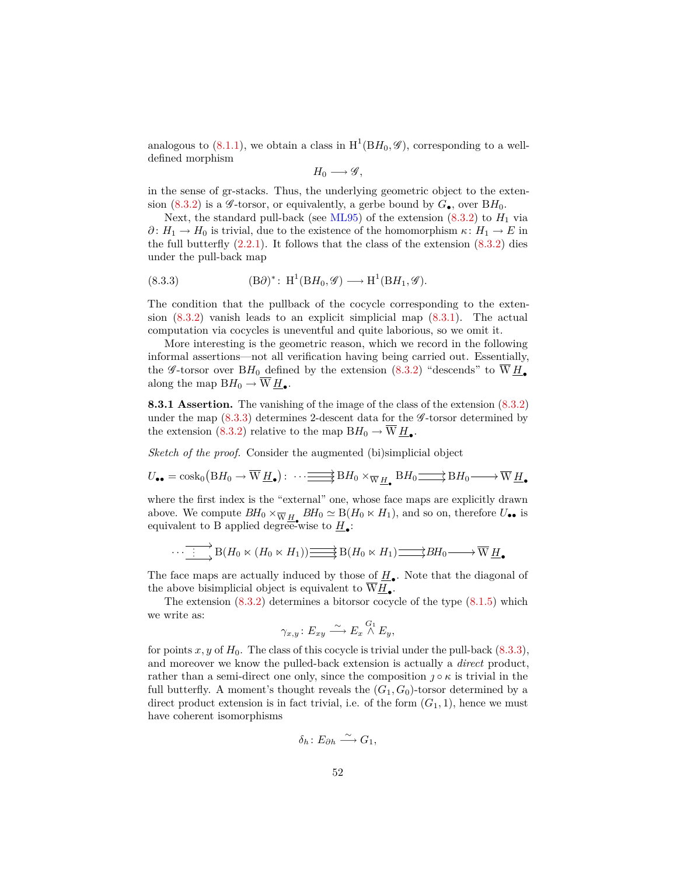<span id="page-51-1"></span>analogous to  $(8.1.1)$ , we obtain a class in  $H^1(BH_0, \mathscr{G})$ , corresponding to a welldefined morphism

$$
H_0\longrightarrow \mathscr{G},
$$

in the sense of gr-stacks. Thus, the underlying geometric object to the exten-sion [\(8.3.2\)](#page-50-1) is a *G*-torsor, or equivalently, a gerbe bound by  $G_{\bullet}$ , over  $BH_0$ .

Next, the standard pull-back (see [ML95\)](#page-54-7) of the extension  $(8.3.2)$  to  $H_1$  via *∂* :  $H_1$  →  $H_0$  is trivial, due to the existence of the homomorphism  $\kappa$  :  $H_1$  →  $E$  in the full butterfly  $(2.2.1)$ . It follows that the class of the extension  $(8.3.2)$  dies under the pull-back map

<span id="page-51-0"></span>(8.3.3) 
$$
(B\partial)^* \colon H^1(BH_0, \mathscr{G}) \longrightarrow H^1(BH_1, \mathscr{G}).
$$

The condition that the pullback of the cocycle corresponding to the extension [\(8.3.2\)](#page-50-1) vanish leads to an explicit simplicial map [\(8.3.1\)](#page-50-2). The actual computation via cocycles is uneventful and quite laborious, so we omit it.

More interesting is the geometric reason, which we record in the following informal assertions—not all verification having being carried out. Essentially, the *G*-torsor over BH<sub>0</sub> defined by the extension  $(8.3.2)$  "descends" to  $\overline{W}H_{\bullet}$ along the map  $BH_0 \rightarrow \overline{W} H_{\bullet}$ .

**8.3.1 Assertion.** The vanishing of the image of the class of the extension [\(8.3.2\)](#page-50-1) under the map  $(8.3.3)$  determines 2-descent data for the  $\mathscr G$ -torsor determined by the extension [\(8.3.2\)](#page-50-1) relative to the map  $BH_0 \to W \underline{H}_{\bullet}$ .

*Sketch of the proof.* Consider the augmented (bi)simplicial object

$$
U_{\bullet \bullet} = \cosh_0\left(BH_0 \to \overline{W} \underline{H}_{\bullet}\right): \cdots \longrightarrow \overline{B}H_0 \times_{\overline{W} \underline{H}_{\bullet}} BH_0 \longrightarrow \overline{B}H_0 \longrightarrow \overline{W} \underline{H}_{\bullet}
$$

where the first index is the "external" one, whose face maps are explicitly drawn above. We compute  $BH_0 \times_{\overline{W} H_{\bullet}} BH_0 \simeq B(H_0 \times H_1)$ , and so on, therefore  $U_{\bullet \bullet}$  is equivalent to B applied degree-wise to  $\underline{H}_{\bullet}$ :

$$
\cdots \xrightarrow{\cdot \cdot \cdot} B(H_0 \ltimes (H_0 \ltimes H_1)) \xrightarrow{\longrightarrow} B(H_0 \ltimes H_1) \xrightarrow{\longrightarrow} BH_0 \longrightarrow \overline{W} \underline{H}_{\bullet}
$$

The face maps are actually induced by those of  $\underline{H}_\bullet$ . Note that the diagonal of the above bisimplicial object is equivalent to  $W\underline{H}_{\bullet}$ .

The extension  $(8.3.2)$  determines a bitorsor cocycle of the type  $(8.1.5)$  which we write as:

$$
\gamma_{x,y} \colon E_{xy} \xrightarrow{\sim} E_x \stackrel{G_1}{\wedge} E_y,
$$

for points  $x, y$  of  $H_0$ . The class of this cocycle is trivial under the pull-back  $(8.3.3)$ , and moreover we know the pulled-back extension is actually a *direct* product, rather than a semi-direct one only, since the composition  $\gamma \circ \kappa$  is trivial in the full butterfly. A moment's thought reveals the  $(G_1, G_0)$ -torsor determined by a direct product extension is in fact trivial, i.e. of the form  $(G_1, 1)$ , hence we must have coherent isomorphisms

$$
\delta_h\colon E_{\partial h}\xrightarrow{\sim} G_1,
$$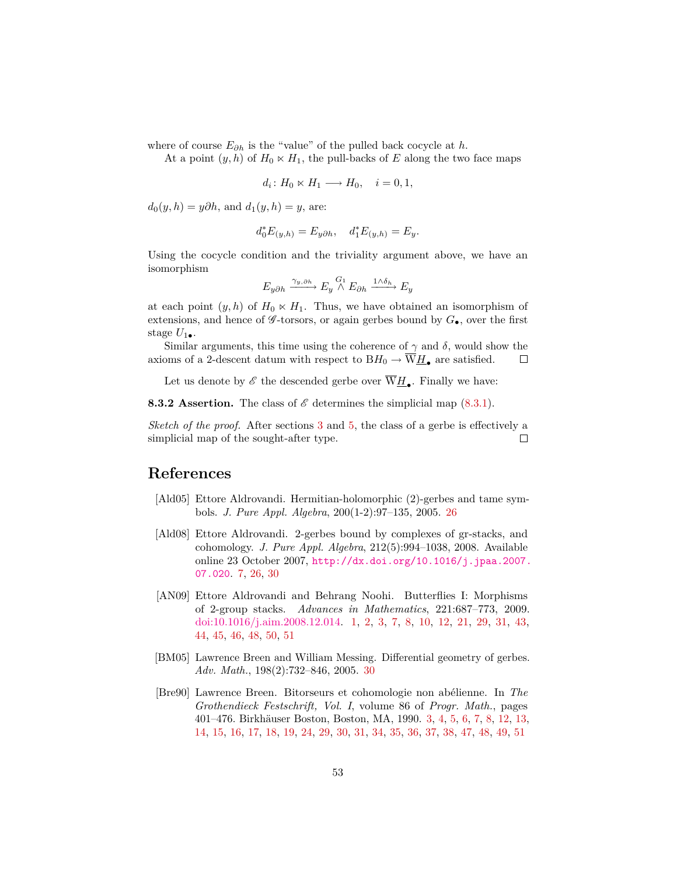where of course *E∂h* is the "value" of the pulled back cocycle at *h*.

At a point  $(y, h)$  of  $H_0 \ltimes H_1$ , the pull-backs of *E* along the two face maps

$$
d_i\colon H_0\ltimes H_1\longrightarrow H_0, \quad i=0,1,
$$

 $d_0(y, h) = y \partial h$ , and  $d_1(y, h) = y$ , are:

$$
d_0^* E_{(y,h)} = E_{y\partial h}, \quad d_1^* E_{(y,h)} = E_y.
$$

Using the cocycle condition and the triviality argument above, we have an isomorphism

$$
E_{y\partial h} \xrightarrow{\gamma_{y,\partial h}} E_y \stackrel{G_1}{\wedge} E_{\partial h} \xrightarrow{1 \wedge \delta_h} E_y
$$

at each point  $(y, h)$  of  $H_0 \ltimes H_1$ . Thus, we have obtained an isomorphism of extensions, and hence of  $\mathscr{G}$ -torsors, or again gerbes bound by  $G_{\bullet}$ , over the first stage  $U_{1\bullet}$ .

Similar arguments, this time using the coherence of  $\gamma$  and  $\delta$ , would show the axioms of a 2-descent datum with respect to  $BH_0 \rightarrow \overline{W}_{\underline{H}_{\bullet}}$  are satisfied.  $\Box$ 

Let us denote by  $\mathscr E$  the descended gerbe over  $W\underline H_\bullet$ . Finally we have:

**8.3.2 Assertion.** The class of  $\mathscr{E}$  determines the simplicial map  $(8.3.1)$ .

*Sketch of the proof.* After sections [3](#page-11-0) and [5,](#page-22-0) the class of a gerbe is effectively a simplicial map of the sought-after type.  $\Box$ 

# **References**

- <span id="page-52-3"></span>[Ald05] Ettore Aldrovandi. Hermitian-holomorphic (2)-gerbes and tame symbols. *J. Pure Appl. Algebra*, 200(1-2):97–135, 2005. [26](#page-25-1)
- <span id="page-52-2"></span>[Ald08] Ettore Aldrovandi. 2-gerbes bound by complexes of gr-stacks, and cohomology. *J. Pure Appl. Algebra*, 212(5):994–1038, 2008. Available online 23 October 2007, [http://dx.doi.org/10.1016/j.jpaa.2007.](http://dx.doi.org/10.1016/j.jpaa.2007.07.020) [07.020](http://dx.doi.org/10.1016/j.jpaa.2007.07.020). [7,](#page-6-1) [26,](#page-25-1) [30](#page-29-2)
- <span id="page-52-0"></span>[AN09] Ettore Aldrovandi and Behrang Noohi. Butterflies I: Morphisms of 2-group stacks. *Advances in Mathematics*, 221:687–773, 2009. [doi:10.1016/j.aim.2008.12.014.](http://dx.doi.org/10.1016/j.aim.2008.12.014) [1,](#page-0-0) [2,](#page-1-1) [3,](#page-2-4) [7,](#page-6-1) [8,](#page-7-3) [10,](#page-9-3) [12,](#page-11-2) [21,](#page-20-4) [29,](#page-28-1) [31,](#page-30-1) [43,](#page-42-5) [44,](#page-43-6) [45,](#page-44-3) [46,](#page-45-3) [48,](#page-47-2) [50,](#page-49-0) [51](#page-50-3)
- <span id="page-52-4"></span>[BM05] Lawrence Breen and William Messing. Differential geometry of gerbes. *Adv. Math.*, 198(2):732–846, 2005. [30](#page-29-2)
- <span id="page-52-1"></span>[Bre90] Lawrence Breen. Bitorseurs et cohomologie non abélienne. In *The Grothendieck Festschrift, Vol. I*, volume 86 of *Progr. Math.*, pages 401–476. Birkhäuser Boston, Boston, MA, 1990. [3,](#page-2-4) [4,](#page-3-2) [5,](#page-4-1) [6,](#page-5-1) [7,](#page-6-1) [8,](#page-7-3) [12,](#page-11-2) [13,](#page-12-1) [14,](#page-13-4) [15,](#page-14-5) [16,](#page-15-2) [17,](#page-16-2) [18,](#page-17-1) [19,](#page-18-2) [24,](#page-23-4) [29,](#page-28-1) [30,](#page-29-2) [31,](#page-30-1) [34,](#page-33-0) [35,](#page-34-2) [36,](#page-35-2) [37,](#page-36-1) [38,](#page-37-5) [47,](#page-46-4) [48,](#page-47-2) [49,](#page-48-2) [51](#page-50-3)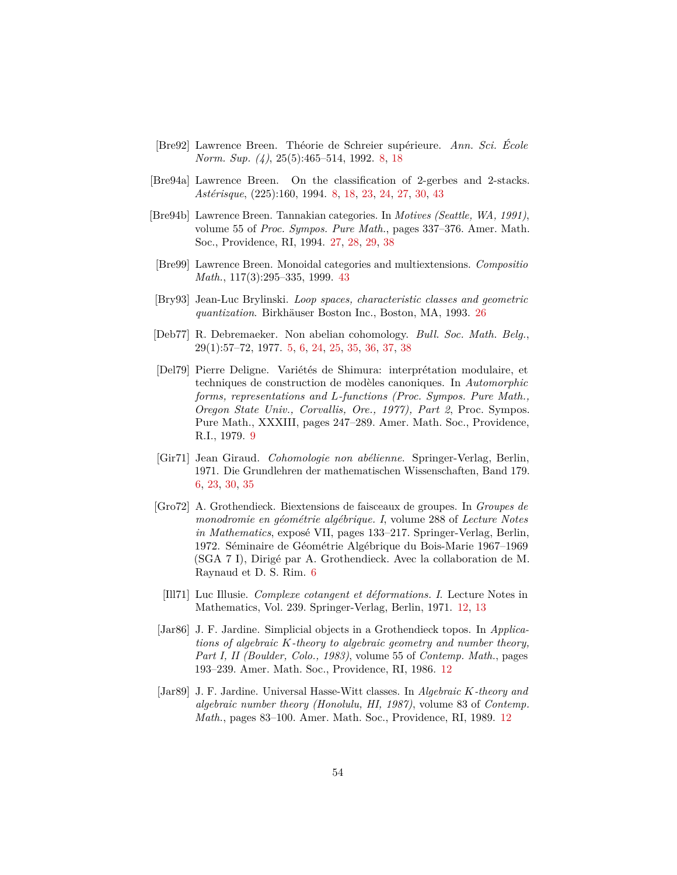- <span id="page-53-3"></span>[Bre92] Lawrence Breen. Théorie de Schreier supérieure. *Ann. Sci. École Norm. Sup. (4)*, 25(5):465–514, 1992. [8,](#page-7-3) [18](#page-17-1)
- <span id="page-53-4"></span>[Bre94a] Lawrence Breen. On the classification of 2-gerbes and 2-stacks. *Astérisque*, (225):160, 1994. [8,](#page-7-3) [18,](#page-17-1) [23,](#page-22-2) [24,](#page-23-4) [27,](#page-26-3) [30,](#page-29-2) [43](#page-42-5)
- <span id="page-53-10"></span>[Bre94b] Lawrence Breen. Tannakian categories. In *Motives (Seattle, WA, 1991)*, volume 55 of *Proc. Sympos. Pure Math.*, pages 337–376. Amer. Math. Soc., Providence, RI, 1994. [27,](#page-26-3) [28,](#page-27-3) [29,](#page-28-1) [38](#page-37-5)
- <span id="page-53-11"></span>[Bre99] Lawrence Breen. Monoidal categories and multiextensions. *Compositio Math.*, 117(3):295–335, 1999. [43](#page-42-5)
- <span id="page-53-9"></span>[Bry93] Jean-Luc Brylinski. *Loop spaces, characteristic classes and geometric quantization*. Birkhäuser Boston Inc., Boston, MA, 1993. [26](#page-25-1)
- <span id="page-53-0"></span>[Deb77] R. Debremaeker. Non abelian cohomology. *Bull. Soc. Math. Belg.*, 29(1):57–72, 1977. [5,](#page-4-1) [6,](#page-5-1) [24,](#page-23-4) [25,](#page-24-3) [35,](#page-34-2) [36,](#page-35-2) [37,](#page-36-1) [38](#page-37-5)
- <span id="page-53-5"></span>[Del79] Pierre Deligne. Variétés de Shimura: interprétation modulaire, et techniques de construction de modèles canoniques. In *Automorphic forms, representations and L-functions (Proc. Sympos. Pure Math., Oregon State Univ., Corvallis, Ore., 1977), Part 2*, Proc. Sympos. Pure Math., XXXIII, pages 247–289. Amer. Math. Soc., Providence, R.I., 1979. [9](#page-8-1)
- <span id="page-53-2"></span>[Gir71] Jean Giraud. *Cohomologie non abélienne*. Springer-Verlag, Berlin, 1971. Die Grundlehren der mathematischen Wissenschaften, Band 179. [6,](#page-5-1) [23,](#page-22-2) [30,](#page-29-2) [35](#page-34-2)
- <span id="page-53-1"></span>[Gro72] A. Grothendieck. Biextensions de faisceaux de groupes. In *Groupes de monodromie en géométrie algébrique. I*, volume 288 of *Lecture Notes in Mathematics*, exposé VII, pages 133–217. Springer-Verlag, Berlin, 1972. Séminaire de Géométrie Algébrique du Bois-Marie 1967–1969 (SGA 7 I), Dirigé par A. Grothendieck. Avec la collaboration de M. Raynaud et D. S. Rim. [6](#page-5-1)
	- [Ill71] Luc Illusie. *Complexe cotangent et déformations. I*. Lecture Notes in Mathematics, Vol. 239. Springer-Verlag, Berlin, 1971. [12,](#page-11-2) [13](#page-12-1)
- <span id="page-53-8"></span><span id="page-53-6"></span>[Jar86] J. F. Jardine. Simplicial objects in a Grothendieck topos. In *Applications of algebraic K-theory to algebraic geometry and number theory, Part I, II (Boulder, Colo., 1983)*, volume 55 of *Contemp. Math.*, pages 193–239. Amer. Math. Soc., Providence, RI, 1986. [12](#page-11-2)
- <span id="page-53-7"></span>[Jar89] J. F. Jardine. Universal Hasse-Witt classes. In *Algebraic K-theory and algebraic number theory (Honolulu, HI, 1987)*, volume 83 of *Contemp. Math.*, pages 83–100. Amer. Math. Soc., Providence, RI, 1989. [12](#page-11-2)